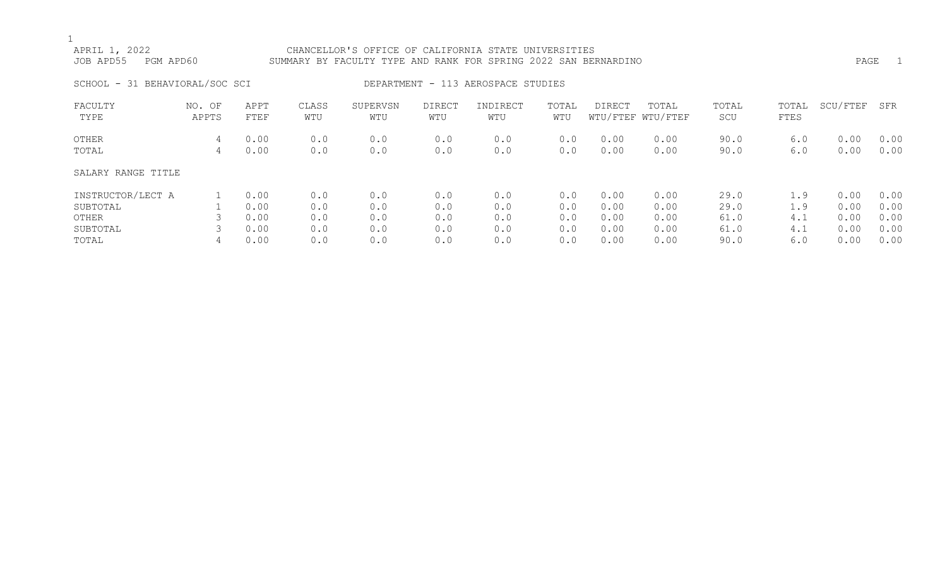| APRIL 1, 2022<br>PGM APD60<br>JOB APD55 |                 |              |              | CHANCELLOR'S OFFICE OF CALIFORNIA STATE UNIVERSITIES<br>SUMMARY BY FACULTY TYPE AND RANK FOR SPRING 2022 SAN BERNARDINO |                      |                                    |              |               |                            |              |               | PAGE     | $\overline{1}$ |
|-----------------------------------------|-----------------|--------------|--------------|-------------------------------------------------------------------------------------------------------------------------|----------------------|------------------------------------|--------------|---------------|----------------------------|--------------|---------------|----------|----------------|
| SCHOOL - 31 BEHAVIORAL/SOC SCI          |                 |              |              |                                                                                                                         |                      | DEPARTMENT - 113 AEROSPACE STUDIES |              |               |                            |              |               |          |                |
| FACULTY<br>TYPE                         | NO. OF<br>APPTS | APPT<br>FTEF | CLASS<br>WTU | SUPERVSN<br>WTU                                                                                                         | <b>DIRECT</b><br>WTU | INDIRECT<br>WTU                    | TOTAL<br>WTU | <b>DIRECT</b> | TOTAL<br>WTU/FTEF WTU/FTEF | TOTAL<br>SCU | TOTAL<br>FTES | SCU/FTEF | SFR            |
| OTHER                                   | 4               | 0.00         | 0.0          | 0.0                                                                                                                     | 0.0                  | 0.0                                | 0.0          | 0.00          | 0.00                       | 90.0         | 6.0           | 0.00     | 0.00           |
| TOTAL                                   | 4               | 0.00         | 0.0          | 0.0                                                                                                                     | 0.0                  | 0.0                                | 0.0          | 0.00          | 0.00                       | 90.0         | 6.0           | 0.00     | 0.00           |
| SALARY RANGE TITLE                      |                 |              |              |                                                                                                                         |                      |                                    |              |               |                            |              |               |          |                |
| INSTRUCTOR/LECT A                       |                 | 0.00         | 0.0          | 0.0                                                                                                                     | 0.0                  | 0.0                                | 0.0          | 0.00          | 0.00                       | 29.0         | 1.9           | 0.00     | 0.00           |
| SUBTOTAL                                |                 | 0.00         | 0.0          | 0.0                                                                                                                     | 0.0                  | 0.0                                | 0.0          | 0.00          | 0.00                       | 29.0         | 1.9           | 0.00     | 0.00           |
| OTHER                                   |                 | 0.00         | 0.0          | 0.0                                                                                                                     | 0.0                  | 0.0                                | 0.0          | 0.00          | 0.00                       | 61.0         | 4.1           | 0.00     | 0.00           |
| SUBTOTAL                                |                 | 0.00         | 0.0          | 0.0                                                                                                                     | 0.0                  | 0.0                                | 0.0          | 0.00          | 0.00                       | 61.0         | 4.1           | 0.00     | 0.00           |

TOTAL 4 0.00 0.0 0.0 0.0 0.0 0.0 0.00 0.00 90.0 6.0 0.00 0.00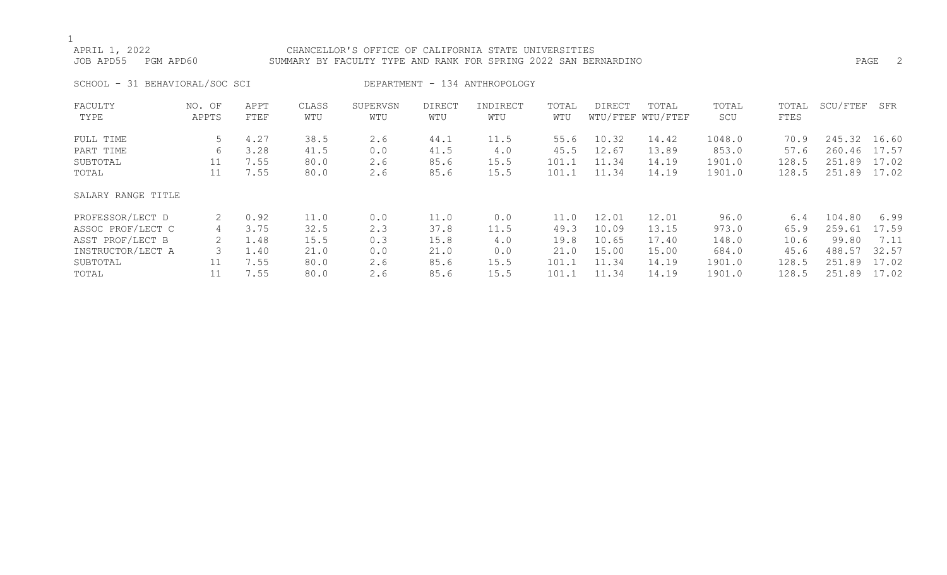## APRIL 1, 2022 CHANCELLOR'S OFFICE OF CALIFORNIA STATE UNIVERSITIES JOB APD55 PGM APD60 SUMMARY BY FACULTY TYPE AND RANK FOR SPRING 2022 SAN BERNARDINO PAGE 2 SCHOOL - 31 BEHAVIORAL/SOC SCI DEPARTMENT - 134 ANTHROPOLOGY FACULTY NO. OF APPT CLASS SUPERVSN DIRECT INDIRECT TOTAL DIRECT TOTAL TOTAL TOTAL SCU/FTEF SFR TYPE APPTS FTEF WTU WTU WTU WTU WTU WTU/FTEF WTU/FTEF SCU FTES FULL TIME 5 4.27 38.5 2.6 44.1 11.5 55.6 10.32 14.42 1048.0 70.9 245.32 16.60 PART TIME 6 3.28 41.5 0.0 41.5 4.0 45.5 12.67 13.89 853.0 57.6 260.46 17.57 SUBTOTAL 11 7.55 80.0 2.6 85.6 15.5 101.1 11.34 14.19 1901.0 128.5 251.89 17.02

### SALARY RANGE TITLE

| PROFESSOR/LECT D  | 0.92 | 11.0 | 0.0 | ⊥1.0 | 0.0  | 11 0  | 12.01 | 12.01 | 96.0   | 6.4   | 104.80 | 6.99  |
|-------------------|------|------|-----|------|------|-------|-------|-------|--------|-------|--------|-------|
| ASSOC PROF/LECT C | 3.75 | 32.5 | 2.3 | 37.8 | 11.5 | 49.3  | 10.09 | 13.15 | 973.0  | 65.9  | 259.61 | 17.59 |
| ASST PROF/LECT B  | 1.48 | 15.5 | 0.3 | 15.8 | 4.0  | 19.8  | 10.65 | 17.40 | 148.0  | 10.6  | 99.80  | 7.11  |
| INSTRUCTOR/LECT A | .40  | 21.0 | 0.0 | 21.0 | 0.0  | 21.0  | 15.00 | 15.00 | 684.0  | 45.6  | 488.57 | 32.57 |
| SUBTOTAL          | 7.55 | 80.0 | 2.6 | 85.6 | 15.5 | 101.1 | 11.34 | 14.19 | 1901.0 | 128.5 | 251.89 | 17.02 |
| TOTAL             | 7.55 | 80.0 | 2.6 | 85.6 | 155  | 101.1 | ⊥1.34 | 14.19 | 1901.0 | 128.5 | 251.89 | 17.02 |

TOTAL 11 7.55 80.0 2.6 85.6 15.5 101.1 11.34 14.19 1901.0 128.5 251.89 17.02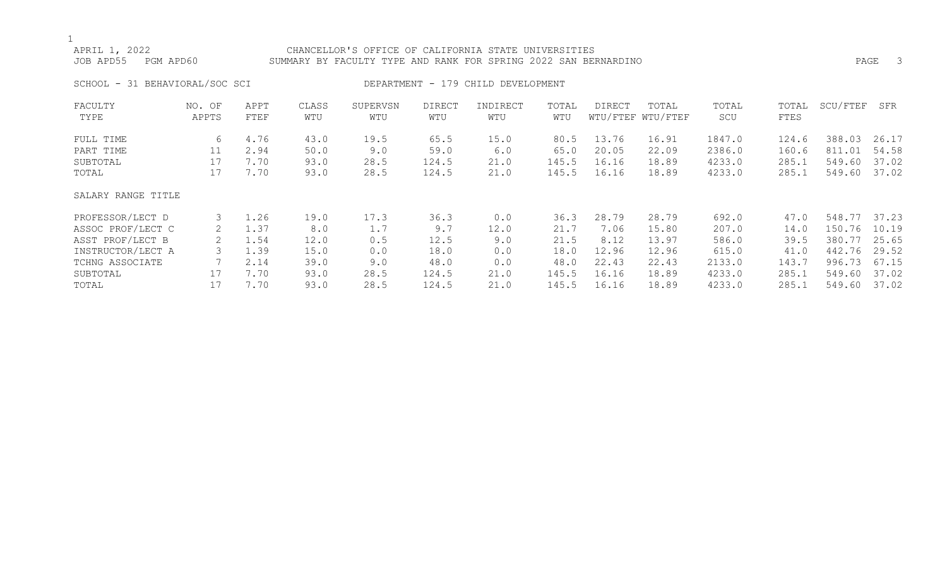## APRIL 1, 2022 CHANCELLOR'S OFFICE OF CALIFORNIA STATE UNIVERSITIES JOB APD55 PGM APD60 SUMMARY BY FACULTY TYPE AND RANK FOR SPRING 2022 SAN BERNARDINO PAGE 3 SCHOOL - 31 BEHAVIORAL/SOC SCI DEPARTMENT - 179 CHILD DEVELOPMENT FACULTY NO. OF APPT CLASS SUPERVSN DIRECT INDIRECT TOTAL DIRECT TOTAL TOTAL TOTAL SCU/FTEF SFR TYPE APPTS FTEF WTU WTU WTU WTU WTU WTU/FTEF WTU/FTEF SCU FTES FULL TIME 6 4.76 43.0 19.5 65.5 15.0 80.5 13.76 16.91 1847.0 124.6 388.03 26.17 PART TIME 11 2.94 50.0 9.0 59.0 6.0 65.0 20.05 22.09 2386.0 160.6 811.01 54.58 SUBTOTAL 17 7.70 93.0 28.5 124.5 21.0 145.5 16.16 18.89 4233.0 285.1 549.60 37.02 TOTAL 17 7.70 93.0 28.5 124.5 21.0 145.5 16.16 18.89 4233.0 285.1 549.60 37.02 SALARY RANGE TITLE

| PROFESSOR/LECT D  | $\perp$ .26 | 19.0 | 17.3 | 36.3  | 0.0  | 36.3  | 28.79              | 28.79 | 692.0  | 47.0  | 548.77 37.23 |       |
|-------------------|-------------|------|------|-------|------|-------|--------------------|-------|--------|-------|--------------|-------|
| ASSOC PROF/LECT C | 1.37        | 8.0  |      | 9.7   | 12.0 | 21.7  | .06                | 15.80 | 207.0  | 14.0  | 150.76       | 10.19 |
| ASST PROF/LECT B  | 1.54        | 12.0 | 0.5  | 12.5  | 9.0  | 21.5  | 8.12               | 13.97 | 586.0  | 39.5  | 380.77       | 25.65 |
| INSTRUCTOR/LECT A | 1.39        | 15.0 | 0.0  | 18.0  | 0.0  | 18.0  | 12.96              | 12.96 | 615.0  | 41.0  | 442.76       | 29.52 |
| TCHNG ASSOCIATE   | 2.14        | 39.0 | 9.0  | 48.0  | 0.0  | 48.0  | 22.43              | 22.43 | 2133.0 | 143.7 | 996.73       | 67.15 |
| SUBTOTAL          | 7.70        | 93.0 | 28.5 | 124.5 | 21.0 | 145.5 | .6.1<br>$\sqrt{2}$ | 18.89 | 4233.0 | 285.1 | 549.60       | 37.02 |
| TOTAL             | .70         | 93.0 | 28.5 | 124.5 | 21.0 | 145.5 | 16.16              | 18.89 | 4233.0 | 285.  | 549.60       | 37.02 |
|                   |             |      |      |       |      |       |                    |       |        |       |              |       |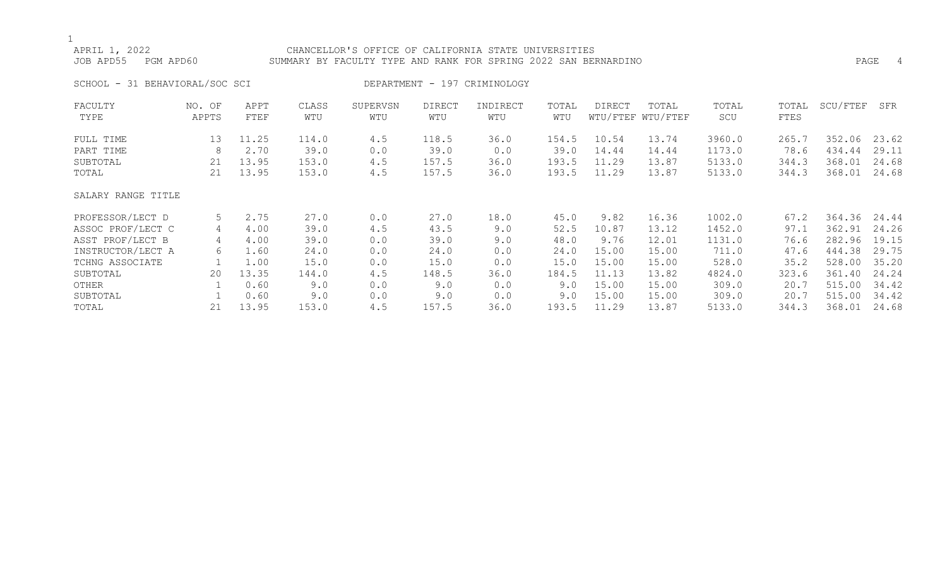| APRIL 1, 2022<br>JOB APD55<br>PGM APD60 |                 |              |              | CHANCELLOR'S OFFICE OF CALIFORNIA STATE UNIVERSITIES<br>SUMMARY BY FACULTY TYPE AND RANK FOR SPRING 2022 SAN BERNARDINO |                      |                              |              |        |                            |              |               |          | PAGE<br>4 |
|-----------------------------------------|-----------------|--------------|--------------|-------------------------------------------------------------------------------------------------------------------------|----------------------|------------------------------|--------------|--------|----------------------------|--------------|---------------|----------|-----------|
| SCHOOL - 31 BEHAVIORAL/SOC SCI          |                 |              |              |                                                                                                                         |                      | DEPARTMENT - 197 CRIMINOLOGY |              |        |                            |              |               |          |           |
| FACULTY<br>TYPE                         | NO. OF<br>APPTS | APPT<br>FTEF | CLASS<br>WTU | SUPERVSN<br>WTU                                                                                                         | <b>DIRECT</b><br>WTU | INDIRECT<br>WTU              | TOTAL<br>WTU | DIRECT | TOTAL<br>WTU/FTEF WTU/FTEF | TOTAL<br>SCU | TOTAL<br>FTES | SCU/FTEF | SFR       |
| FULL TIME                               | 13              | 11.25        | 114.0        | 4.5                                                                                                                     | 118.5                | 36.0                         | 154.5        | 10.54  | 13.74                      | 3960.0       | 265.7         | 352.06   | 23.62     |
| PART TIME                               | 8               | 2.70         | 39.0         | 0.0                                                                                                                     | 39.0                 | 0.0                          | 39.0         | 14.44  | 14.44                      | 1173.0       | 78.6          | 434.44   | 29.11     |
| SUBTOTAL                                | 21              | 13.95        | 153.0        | 4.5                                                                                                                     | 157.5                | 36.0                         | 193.5        | 11.29  | 13.87                      | 5133.0       | 344.3         | 368.01   | 24.68     |
| TOTAL                                   | 21              | 13.95        | 153.0        | 4.5                                                                                                                     | 157.5                | 36.0                         | 193.5        | 11.29  | 13.87                      | 5133.0       | 344.3         | 368.01   | 24.68     |
| SALARY RANGE TITLE                      |                 |              |              |                                                                                                                         |                      |                              |              |        |                            |              |               |          |           |
| PROFESSOR/LECT D                        | 5               | 2.75         | 27.0         | 0.0                                                                                                                     | 27.0                 | 18.0                         | 45.0         | 9.82   | 16.36                      | 1002.0       | 67.2          | 364.36   | 24.44     |
| ASSOC PROF/LECT C                       | 4               | 4.00         | 39.0         | 4.5                                                                                                                     | 43.5                 | 9.0                          | 52.5         | 10.87  | 13.12                      | 1452.0       | 97.1          | 362.91   | 24.26     |
| ASST PROF/LECT B                        | 4               | 4.00         | 39.0         | 0.0                                                                                                                     | 39.0                 | 9.0                          | 48.0         | 9.76   | 12.01                      | 1131.0       | 76.6          | 282.96   | 19.15     |
| INSTRUCTOR/LECT A                       | 6               | 1.60         | 24.0         | 0.0                                                                                                                     | 24.0                 | 0.0                          | 24.0         | 15.00  | 15.00                      | 711.0        | 47.6          | 444.38   | 29.75     |
| TCHNG ASSOCIATE                         |                 | 1.00         | 15.0         | 0.0                                                                                                                     | 15.0                 | 0.0                          | 15.0         | 15.00  | 15.00                      | 528.0        | 35.2          | 528.00   | 35.20     |
| SUBTOTAL                                | 20              | 13.35        | 144.0        | 4.5                                                                                                                     | 148.5                | 36.0                         | 184.5        | 11.13  | 13.82                      | 4824.0       | 323.6         | 361.40   | 24.24     |
| OTHER                                   |                 | 0.60         | 9.0          | 0.0                                                                                                                     | 9.0                  | 0.0                          | 9.0          | 15.00  | 15.00                      | 309.0        | 20.7          | 515.00   | 34.42     |
| SUBTOTAL                                |                 | 0.60         | 9.0          | 0.0                                                                                                                     | 9.0                  | 0.0                          | 9.0          | 15.00  | 15.00                      | 309.0        | 20.7          | 515.00   | 34.42     |

TOTAL 21 13.95 153.0 4.5 157.5 36.0 193.5 11.29 13.87 5133.0 344.3 368.01 24.68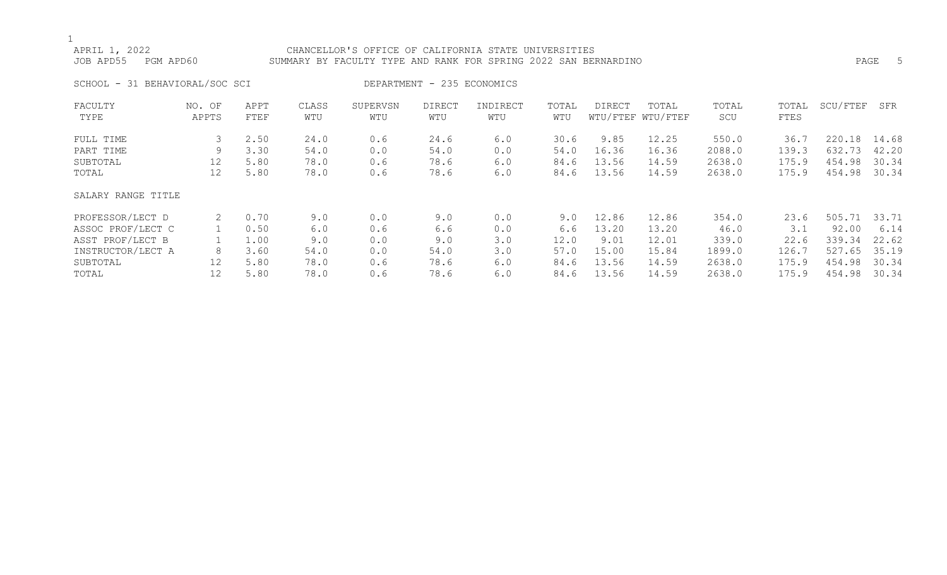## APRIL 1, 2022 CHANCELLOR'S OFFICE OF CALIFORNIA STATE UNIVERSITIES JOB APD55 PGM APD60 SUMMARY BY FACULTY TYPE AND RANK FOR SPRING 2022 SAN BERNARDINO PAGE 5 SCHOOL - 31 BEHAVIORAL/SOC SCI DEPARTMENT - 235 ECONOMICS FACULTY NO. OF APPT CLASS SUPERVSN DIRECT INDIRECT TOTAL DIRECT TOTAL TOTAL TOTAL SCU/FTEF SFR TYPE APPTS FTEF WTU WTU WTU WTU WTU WTU/FTEF WTU/FTEF SCU FTES FULL TIME 3 2.50 24.0 0.6 24.6 6.0 30.6 9.85 12.25 550.0 36.7 220.18 14.68 PART TIME 9 3.30 54.0 0.0 54.0 0.0 54.0 16.36 16.36 2088.0 139.3 632.73 42.20 SUBTOTAL 12 5.80 78.0 0.6 78.6 6.0 84.6 13.56 14.59 2638.0 175.9 454.98 30.34

### SALARY RANGE TITLE

| PROFESSOR/LECT D  | 0.70 | 9.0  | 0.0 | 9.0  | 0.0 | 9.0  | 12.86 | 12.86 | 354.0  | 23.6  | 505.71 33.71 |       |
|-------------------|------|------|-----|------|-----|------|-------|-------|--------|-------|--------------|-------|
| ASSOC PROF/LECT C | 0.50 | 6.0  | 0.6 | 6.6  | 0.0 | 6.6  | 13.20 | 13.20 | 46.0   |       | 92.00        | 6.14  |
| ASST PROF/LECT B  | 1.00 | 9.0  | 0.0 | 9.0  | 3.0 | 12.0 | 9.01  | 12.01 | 339.0  | 22.6  | 339.34       | 22.62 |
| INSTRUCTOR/LECT A | 3.60 | 54.0 | 0.0 | 54.0 | 3.0 | 57.0 | 15.00 | 15.84 | 1899.0 | 126.7 | 527.65 35.19 |       |
| SUBTOTAL          | 5.80 | 78.0 | 0.6 | 78.6 | 6.0 | 84.6 | 13.56 | 14.59 | 2638.0 | 175.9 | 454.98       | 30.34 |
| TOTAL             | 5.80 | 78.0 | 0.6 | 78.6 | 6.0 | 84.6 | 13.56 | 14.59 | 2638.0 | 175.9 | 454.98       | 30.34 |

TOTAL 12 5.80 78.0 0.6 78.6 6.0 84.6 13.56 14.59 2638.0 175.9 454.98 30.34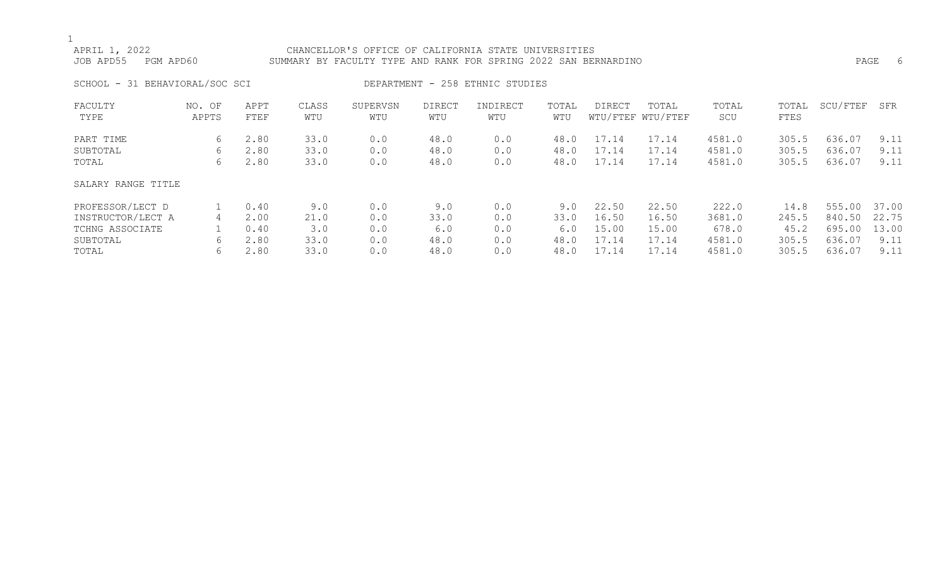| APRIL 1, 2022<br>JOB APD55<br>PGM APD60 |                 |              |              | CHANCELLOR'S OFFICE OF CALIFORNIA STATE UNIVERSITIES<br>SUMMARY BY FACULTY TYPE AND RANK FOR SPRING 2022 SAN BERNARDINO |                      |                                 |              |        |                            |              |               | PAGE     | - 6   |
|-----------------------------------------|-----------------|--------------|--------------|-------------------------------------------------------------------------------------------------------------------------|----------------------|---------------------------------|--------------|--------|----------------------------|--------------|---------------|----------|-------|
| SCHOOL - 31 BEHAVIORAL/SOC SCI          |                 |              |              |                                                                                                                         |                      | DEPARTMENT - 258 ETHNIC STUDIES |              |        |                            |              |               |          |       |
| FACULTY<br>TYPE                         | NO. OF<br>APPTS | APPT<br>FTEF | CLASS<br>WTU | SUPERVSN<br>WTU                                                                                                         | <b>DIRECT</b><br>WTU | INDIRECT<br>WTU                 | TOTAL<br>WTU | DIRECT | TOTAL<br>WTU/FTEF WTU/FTEF | TOTAL<br>SCU | TOTAL<br>FTES | SCU/FTEF | SFR   |
| PART TIME                               | 6               | 2.80         | 33.0         | 0.0                                                                                                                     | 48.0                 | 0.0                             | 48.0         | 17.14  | 17.14                      | 4581.0       | 305.5         | 636.07   | 9.11  |
| SUBTOTAL                                | 6               | 2.80         | 33.0         | 0.0                                                                                                                     | 48.0                 | 0.0                             | 48.0         | 17.14  | 17.14                      | 4581.0       | 305.5         | 636.07   | 9.11  |
| TOTAL                                   | 6               | 2.80         | 33.0         | 0.0                                                                                                                     | 48.0                 | 0.0                             | 48.0         | 17.14  | 17.14                      | 4581.0       | 305.5         | 636.07   | 9.11  |
| SALARY RANGE TITLE                      |                 |              |              |                                                                                                                         |                      |                                 |              |        |                            |              |               |          |       |
| PROFESSOR/LECT D                        |                 | 0.40         | 9.0          | 0.0                                                                                                                     | 9.0                  | 0.0                             | 9.0          | 22.50  | 22.50                      | 222.0        | 14.8          | 555.00   | 37.00 |

| INOI DUUUN DECI P | . . <del>.</del> . | ◡ - ◡ | ◡ • ◡ | ◡ ◦  | ◡ ∙ ◡ | ◡.◡  | - 44 - 90 | -44 - 99 | 222.V  | 17.U  | UU.UU UI.UU  |      |
|-------------------|--------------------|-------|-------|------|-------|------|-----------|----------|--------|-------|--------------|------|
| INSTRUCTOR/LECT A | 2.00               | 21.0  | 0.0   | 33.0 |       | 33.0 | 16.50     | 16.50    | 3681.0 | 245.5 | 840.50 22.75 |      |
| TCHNG ASSOCIATE   | 0.40               |       | 0.0   | 6.0  |       | 6.0  | 15.00     | 15.00    | 678.0  | 45.2  | 695.00 13.00 |      |
| SUBTOTAL          | 2.80               | 33.0  | 0.0   | 48.0 |       | 48.0 | 17.14     | 17.14    | 4581.0 | 305.5 | 636.07       | 9.11 |
| TOTAL             | 2.80               | 33.0  | 0.0   | 48.0 |       | 48.0 | 17.14     | 17.14    | 4581.0 | 305.5 | 636.07       | 9.11 |
|                   |                    |       |       |      |       |      |           |          |        |       |              |      |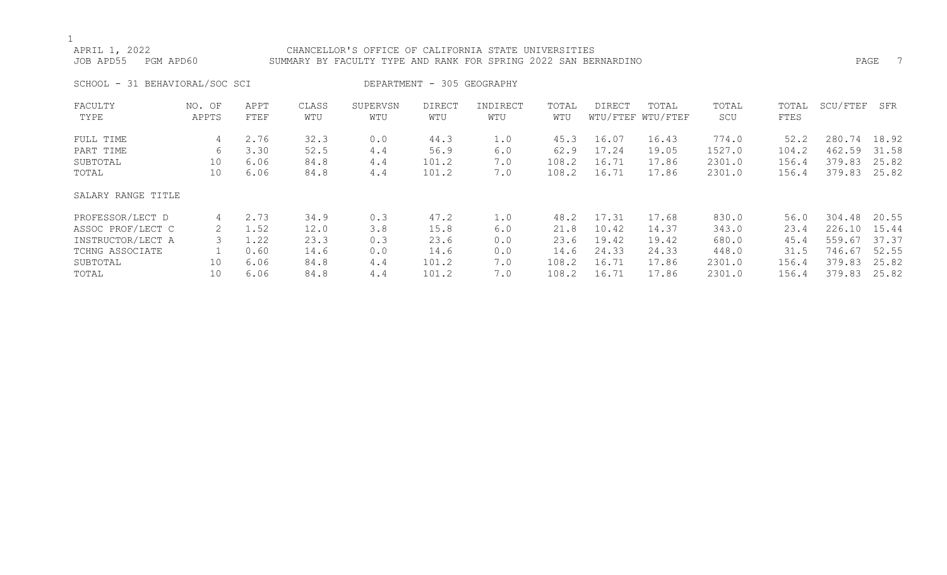## APRIL 1, 2022<br>JOB APD55 PGM APD60 SUMMARY BY FACULTY TYPE AND RANK FOR SPRING 2022 SAN BER SUMMARY BY FACULTY TYPE AND RANK FOR SPRING 2022 SAN BERNARDINO **PAGE 1996** PAGE 7 SCHOOL - 31 BEHAVIORAL/SOC SCI DEPARTMENT - 305 GEOGRAPHY FACULTY NO. OF APPT CLASS SUPERVSN DIRECT INDIRECT TOTAL DIRECT TOTAL TOTAL TOTAL SCU/FTEF SFR TYPE APPTS FTEF WTU WTU WTU WTU WTU WTU/FTEF WTU/FTEF SCU FTES

| FULL TIME          | 4  | 2.76 | 32.3 | 0.0 | 44.3  | 1.0 | 45.3  | 16.07 | 16.43 | 774.0  | 52.2  | 280.74       | 18.92 |
|--------------------|----|------|------|-----|-------|-----|-------|-------|-------|--------|-------|--------------|-------|
| PART TIME          | 6  | 3.30 | 52.5 | 4.4 | 56.9  | 6.0 | 62.9  | 17.24 | 19.05 | 1527.0 | 104.2 | 462.59       | 31.58 |
| SUBTOTAL           | 10 | 6.06 | 84.8 | 4.4 | 101.2 | 7.0 | 108.2 | 16.71 | 17.86 | 2301.0 | 156.4 | 379.83       | 25.82 |
| TOTAL              | 10 | 6.06 | 84.8 | 4.4 | 101.2 | 7.0 | 108.2 | 16.71 | 17.86 | 2301.0 | 156.4 | 379.83       | 25.82 |
| SALARY RANGE TITLE |    |      |      |     |       |     |       |       |       |        |       |              |       |
| PROFESSOR/LECT D   | 4  | 2.73 | 34.9 | 0.3 | 47.2  | 1.0 | 48.2  | 17.31 | 17.68 | 830.0  | 56.0  | 304.48 20.55 |       |
| ASSOC PROF/LECT C  | 2. | 1.52 | 12.0 | 3.8 | 15.8  | 6.0 | 21.8  | 10.42 | 14.37 | 343.0  | 23.4  | 226.10       | 15.44 |
| INSTRUCTOR/LECT A  |    | 1.22 | 23.3 | 0.3 | 23.6  | 0.0 | 23.6  | 19.42 | 19.42 | 680.0  | 45.4  | 559.67       | 37.37 |
| TCHNG ASSOCIATE    |    | 0.60 | 14.6 | 0.0 | 14.6  | 0.0 | 14.6  | 24.33 | 24.33 | 448.0  | 31.5  | 746.67       | 52.55 |
| SUBTOTAL           | 10 | 6.06 | 84.8 | 4.4 | 101.2 | 7.0 | 108.2 | 16.71 | 17.86 | 2301.0 | 156.4 | 379.83       | 25.82 |
| TOTAL              | 10 | 6.06 | 84.8 | 4.4 | 101.2 | 7.0 | 108.2 | 16.71 | 17.86 | 2301.0 | 156.4 | 379.83       | 25.82 |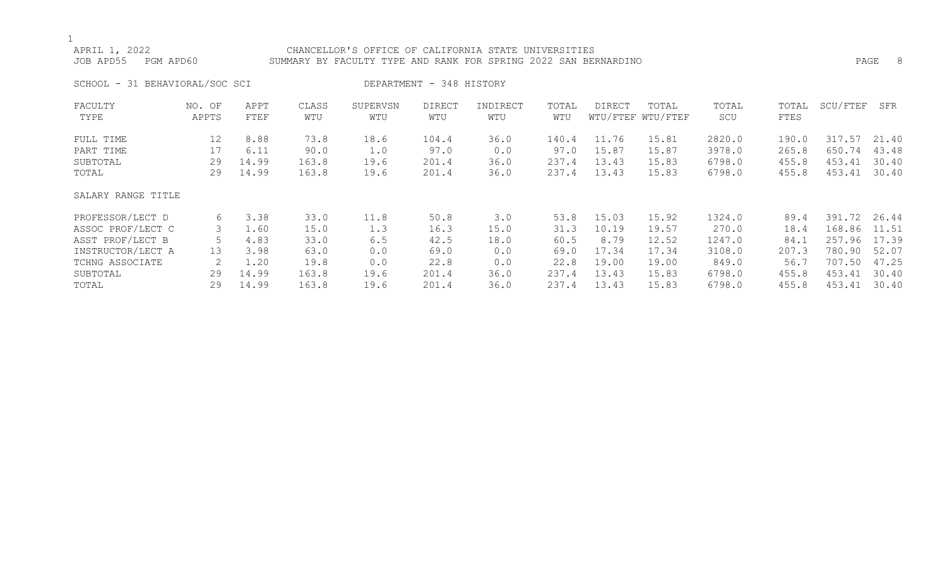| APRIL 1, 2022<br>JOB APD55     | PGM APD60       |              |              | CHANCELLOR'S OFFICE OF CALIFORNIA STATE UNIVERSITIES<br>SUMMARY BY FACULTY TYPE AND RANK FOR SPRING 2022 SAN BERNARDINO |                          |                 |              |        |                            |              |               |          | -8<br>PAGE |
|--------------------------------|-----------------|--------------|--------------|-------------------------------------------------------------------------------------------------------------------------|--------------------------|-----------------|--------------|--------|----------------------------|--------------|---------------|----------|------------|
| SCHOOL - 31 BEHAVIORAL/SOC SCI |                 |              |              |                                                                                                                         | DEPARTMENT - 348 HISTORY |                 |              |        |                            |              |               |          |            |
| FACULTY<br>TYPE                | NO. OF<br>APPTS | APPT<br>FTEF | CLASS<br>WTU | SUPERVSN<br>WTU                                                                                                         | DIRECT<br>WTU            | INDIRECT<br>WTU | TOTAL<br>WTU | DIRECT | TOTAL<br>WTU/FTEF WTU/FTEF | TOTAL<br>SCU | TOTAL<br>FTES | SCU/FTEF | SFR        |
| FULL TIME                      | 12              | 8.88         | 73.8         | 18.6                                                                                                                    | 104.4                    | 36.0            | 140.4        | 11.76  | 15.81                      | 2820.0       | 190.0         | 317.57   | 21.40      |
| PART TIME                      | 17              | 6.11         | 90.0         | 1.0                                                                                                                     | 97.0                     | 0.0             | 97.0         | 15.87  | 15.87                      | 3978.0       | 265.8         | 650.74   | 43.48      |
| SUBTOTAL                       | 29              | 14.99        | 163.8        | 19.6                                                                                                                    | 201.4                    | 36.0            | 237.4        | 13.43  | 15.83                      | 6798.0       | 455.8         | 453.41   | 30.40      |
| TOTAL                          | 29              | 14.99        | 163.8        | 19.6                                                                                                                    | 201.4                    | 36.0            | 237.4        | 13.43  | 15.83                      | 6798.0       | 455.8         | 453.41   | 30.40      |
| SALARY RANGE TITLE             |                 |              |              |                                                                                                                         |                          |                 |              |        |                            |              |               |          |            |
| PROFESSOR/LECT D               | 6               | 3.38         | 33.0         | 11.8                                                                                                                    | 50.8                     | 3.0             | 53.8         | 15.03  | 15.92                      | 1324.0       | 89.4          | 391.72   | 26.44      |
| ASSOC PROF/LECT C              |                 | 1.60         | 15.0         | 1.3                                                                                                                     | 16.3                     | 15.0            | 31.3         | 10.19  | 19.57                      | 270.0        | 18.4          | 168.86   | 11.51      |
| ASST PROF/LECT B               |                 | 4.83         | 33.0         | 6.5                                                                                                                     | 42.5                     | 18.0            | 60.5         | 8.79   | 12.52                      | 1247.0       | 84.1          | 257.96   | 17.39      |
| INSTRUCTOR/LECT A              | 13              | 3.98         | 63.0         | 0.0                                                                                                                     | 69.0                     | 0.0             | 69.0         | 17.34  | 17.34                      | 3108.0       | 207.3         | 780.90   | 52.07      |

TCHNG ASSOCIATE 2 1.20 19.8 0.0 22.8 0.0 22.8 19.00 19.00 849.0 56.7 707.50 47.25 SUBTOTAL 29 14.99 163.8 19.6 201.4 36.0 237.4 13.43 15.83 6798.0 455.8 453.41 30.40 TOTAL 29 14.99 163.8 19.6 201.4 36.0 237.4 13.43 15.83 6798.0 455.8 453.41 30.40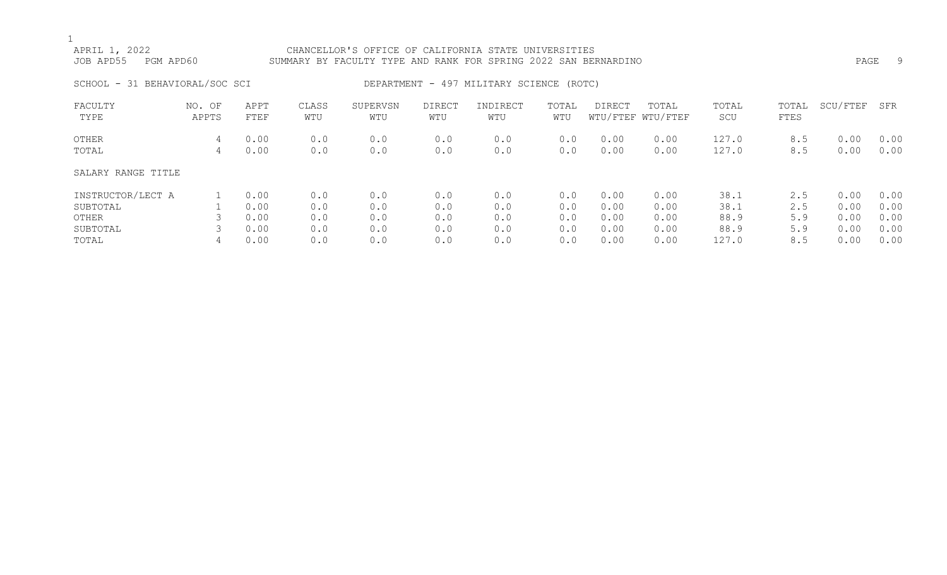## APRIL 1, 2022 CHANCELLOR'S OFFICE OF CALIFORNIA STATE UNIVERSITIES JOB APD55 PGM APD60 SUMMARY BY FACULTY TYPE AND RANK FOR SPRING 2022 SAN BERNARDINO PAGE 9 SCHOOL - 31 BEHAVIORAL/SOC SCI BERARTMENT - 497 MILITARY SCIENCE (ROTC) FACULTY NO. OF APPT CLASS SUPERVSN DIRECT INDIRECT TOTAL DIRECT TOTAL TOTAL TOTAL SCU/FTEF SFR TYPE APPTS FTEF WTU WTU WTU WTU WTU WTU/FTEF WTU/FTEF SCU FTES OTHER 4 0.00 0.0 0.0 0.0 0.0 0.0 0.00 0.00 127.0 8.5 0.00 0.00 TOTAL 4 0.00 0.0 0.0 0.0 0.0 0.0 0.00 0.00 127.0 8.5 0.00 0.00 SALARY RANGE TITLE INSTRUCTOR/LECT A 1 0.00 0.0 0.0 0.0 0.0 0.0 0.00 0.00 38.1 2.5 0.00 0.00

SUBTOTAL 1 0.00 0.0 0.0 0.0 0.0 0.0 0.00 0.00 38.1 2.5 0.00 0.00 OTHER 3 0.00 0.0 0.0 0.0 0.0 0.0 0.00 0.00 88.9 5.9 0.00 0.00 SUBTOTAL 3 0.00 0.0 0.0 0.0 0.0 0.0 0.00 0.00 88.9 5.9 0.00 0.00 TOTAL 4 0.00 0.0 0.0 0.0 0.0 0.0 0.00 0.00 127.0 8.5 0.00 0.00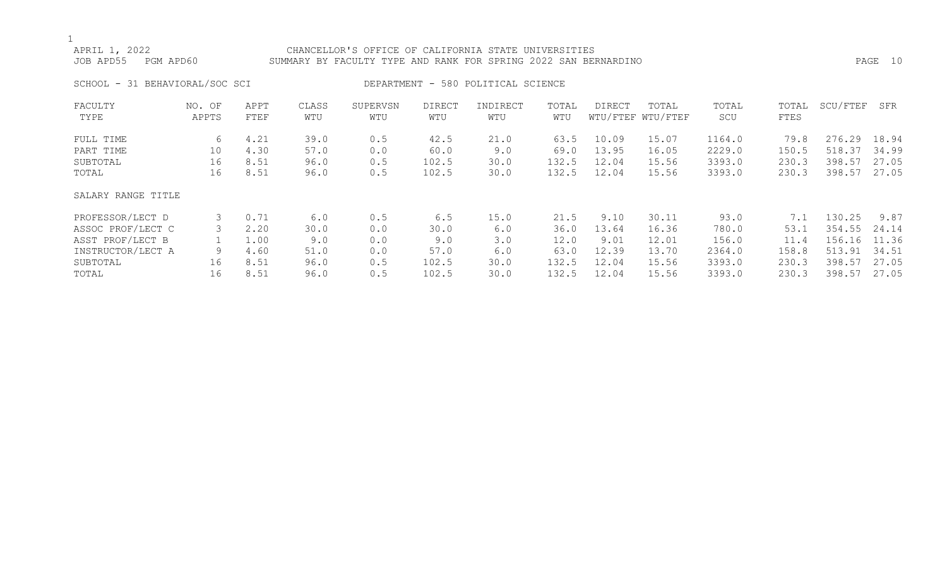## APRIL 1, 2022 CHANCELLOR'S OFFICE OF CALIFORNIA STATE UNIVERSITIES JOB APD55 PGM APD60 SUMMARY BY FACULTY TYPE AND RANK FOR SPRING 2022 SAN BERNARDINO PAGE 10 SCHOOL - 31 BEHAVIORAL/SOC SCI DEPARTMENT - 580 POLITICAL SCIENCE

| FACULTY            | NO. OF | APPT | CLASS | SUPERVSN | DIRECT | INDIRECT | TOTAL | DIRECT | TOTAL             | TOTAL  | TOTAL | SCU/FTEF | SFR   |
|--------------------|--------|------|-------|----------|--------|----------|-------|--------|-------------------|--------|-------|----------|-------|
| TYPE               | APPTS  | FTEF | WTU   | WTU      | WTU    | WTU      | WTU   |        | WTU/FTEF WTU/FTEF | SCU    | FTES  |          |       |
| FULL TIME          | 6      | 4.21 | 39.0  | 0.5      | 42.5   | 21.0     | 63.5  | 10.09  | 15.07             | 1164.0 | 79.8  | 276.29   | 18.94 |
| PART TIME          | 10     | 4.30 | 57.0  | 0.0      | 60.0   | 9.0      | 69.0  | 13.95  | 16.05             | 2229.0 | 150.5 | 518.37   | 34.99 |
| SUBTOTAL           | 16     | 8.51 | 96.0  | 0.5      | 102.5  | 30.0     | 132.5 | 12.04  | 15.56             | 3393.0 | 230.3 | 398.57   | 27.05 |
| TOTAL              | 16     | 8.51 | 96.0  | 0.5      | 102.5  | 30.0     | 132.5 | 12.04  | 15.56             | 3393.0 | 230.3 | 398.57   | 27.05 |
| SALARY RANGE TITLE |        |      |       |          |        |          |       |        |                   |        |       |          |       |
| PROFESSOR/LECT D   | 3      | 0.71 | 6.0   | 0.5      | 6.5    | 15.0     | 21.5  | 9.10   | 30.11             | 93.0   | 7.1   | 130.25   | 9.87  |
| ASSOC PROF/LECT C  |        | 2.20 | 30.0  | 0.0      | 30.0   | 6.0      | 36.0  | 13.64  | 16.36             | 780.0  | 53.1  | 354.55   | 24.14 |
| ASST PROF/LECT B   |        | 1.00 | 9.0   | 0.0      | 9.0    | 3.0      | 12.0  | 9.01   | 12.01             | 156.0  | 11.4  | 156.16   | 11.36 |
| INSTRUCTOR/LECT A  | 9      | 4.60 | 51.0  | 0.0      | 57.0   | 6.0      | 63.0  | 12.39  | 13.70             | 2364.0 | 158.8 | 513.91   | 34.51 |
| SUBTOTAL           | 16     | 8.51 | 96.0  | 0.5      | 102.5  | 30.0     | 132.5 | 12.04  | 15.56             | 3393.0 | 230.3 | 398.57   | 27.05 |
| TOTAL              | 16     | 8.51 | 96.0  | 0.5      | 102.5  | 30.0     | 132.5 | 12.04  | 15.56             | 3393.0 | 230.3 | 398.57   | 27.05 |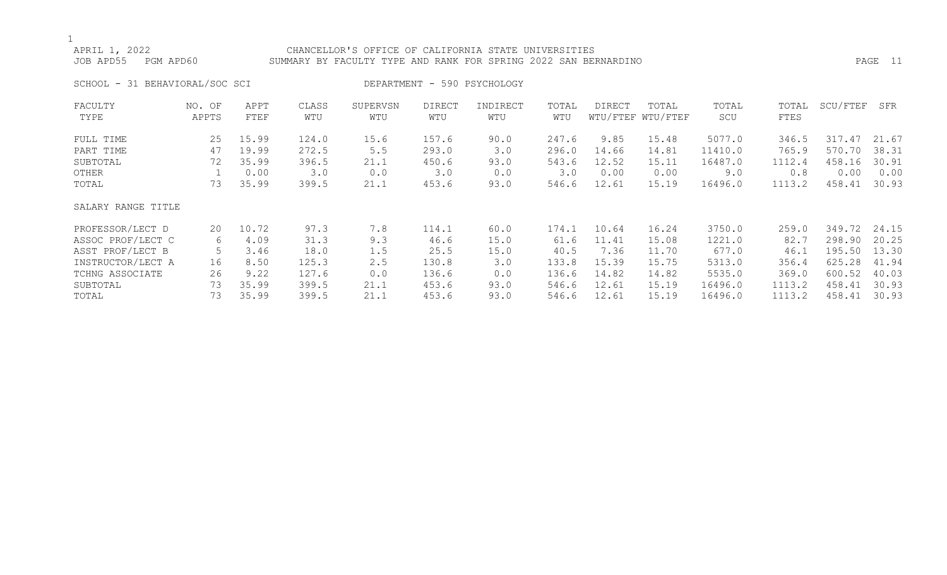## APRIL 1, 2022 CHANCELLOR'S OFFICE OF CALIFORNIA STATE UNIVERSITIES

JOB APD55 PGM APD60 SUMMARY BY FACULTY TYPE AND RANK FOR SPRING 2022 SAN BERNARDINO PAGE 11

SCHOOL - 31 BEHAVIORAL/SOC SCI DEPARTMENT - 590 PSYCHOLOGY

| FACULTY            | NO. OF | APPT  | CLASS | SUPERVSN | <b>DIRECT</b> | INDIRECT | TOTAL | DIRECT | TOTAL             | TOTAL   | TOTAL  | SCU/FTEF | SFR   |
|--------------------|--------|-------|-------|----------|---------------|----------|-------|--------|-------------------|---------|--------|----------|-------|
| TYPE               | APPTS  | FTEF  | WTU   | WTU      | WTU           | WTU      | WTU   |        | WTU/FTEF WTU/FTEF | SCU     | FTES   |          |       |
| FULL TIME          | 25     | 15.99 | 124.0 | 15.6     | 157.6         | 90.0     | 247.6 | 9.85   | 15.48             | 5077.0  | 346.5  | 317.47   | 21.67 |
| PART TIME          | 47     | 19.99 | 272.5 | 5.5      | 293.0         | 3.0      | 296.0 | 14.66  | 14.81             | 11410.0 | 765.9  | 570.70   | 38.31 |
| SUBTOTAL           | 72     | 35.99 | 396.5 | 21.1     | 450.6         | 93.0     | 543.6 | 12.52  | 15.11             | 16487.0 | 1112.4 | 458.16   | 30.91 |
| OTHER              |        | 0.00  | 3.0   | 0.0      | 3.0           | 0.0      | 3.0   | 0.00   | 0.00              | 9.0     | 0.8    | 0.00     | 0.00  |
| TOTAL              | 73     | 35.99 | 399.5 | 21.1     | 453.6         | 93.0     | 546.6 | 12.61  | 15.19             | 16496.0 | 1113.2 | 458.41   | 30.93 |
| SALARY RANGE TITLE |        |       |       |          |               |          |       |        |                   |         |        |          |       |
| PROFESSOR/LECT D   | 20     | 10.72 | 97.3  | 7.8      | 114.1         | 60.0     | 174.1 | 10.64  | 16.24             | 3750.0  | 259.0  | 349.72   | 24.15 |
| ASSOC PROF/LECT C  | 6      | 4.09  | 31.3  | 9.3      | 46.6          | 15.0     | 61.6  | 11.41  | 15.08             | 1221.0  | 82.7   | 298.90   | 20.25 |
| ASST PROF/LECT B   |        | 3.46  | 18.0  | 1.5      | 25.5          | 15.0     | 40.5  | 7.36   | 11.70             | 677.0   | 46.1   | 195.50   | 13.30 |
| INSTRUCTOR/LECT A  | 16     | 8.50  | 125.3 | 2.5      | 130.8         | 3.0      | 133.8 | 15.39  | 15.75             | 5313.0  | 356.4  | 625.28   | 41.94 |
| TCHNG ASSOCIATE    | 26     | 9.22  | 127.6 | 0.0      | 136.6         | 0.0      | 136.6 | 14.82  | 14.82             | 5535.0  | 369.0  | 600.52   | 40.03 |
| SUBTOTAL           | 73     | 35.99 | 399.5 | 21.1     | 453.6         | 93.0     | 546.6 | 12.61  | 15.19             | 16496.0 | 1113.2 | 458.41   | 30.93 |
| TOTAL              | 73     | 35.99 | 399.5 | 21.1     | 453.6         | 93.0     | 546.6 | 12.61  | 15.19             | 16496.0 | 1113.2 | 458.41   | 30.93 |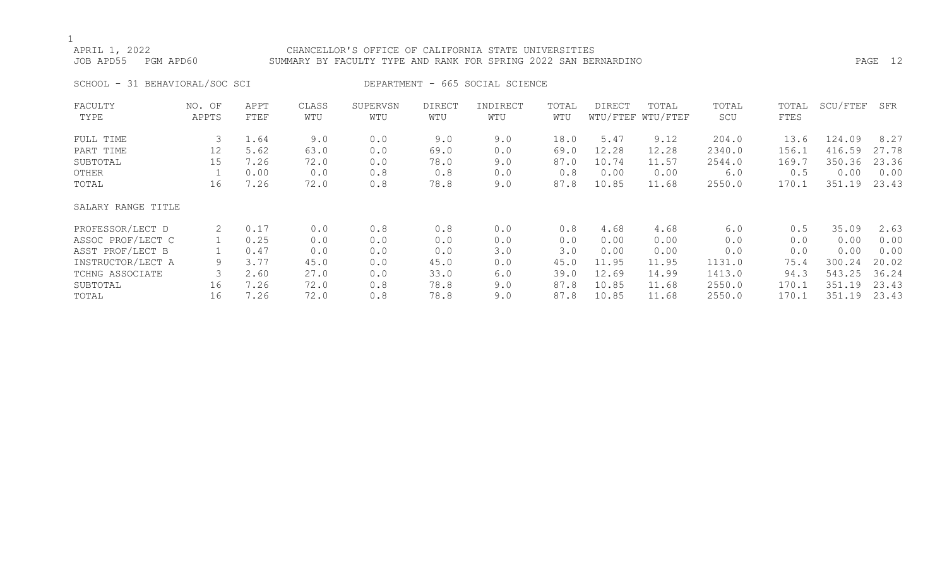## APRIL 1, 2022 CHANCELLOR'S OFFICE OF CALIFORNIA STATE UNIVERSITIES JOB APD55 PGM APD60 SUMMARY BY FACULTY TYPE AND RANK FOR SPRING 2022 SAN BERNARDINO PAGE 12

SCHOOL - 31 BEHAVIORAL/SOC SCI DEPARTMENT - 665 SOCIAL SCIENCE

| FACULTY            | NO. OF | APPT | CLASS | SUPERVSN | DIRECT | INDIRECT | TOTAL | DIRECT | TOTAL             | TOTAL  | TOTAL | SCU/FTEF | SFR   |
|--------------------|--------|------|-------|----------|--------|----------|-------|--------|-------------------|--------|-------|----------|-------|
| TYPE               | APPTS  | FTEF | WTU   | WTU      | WTU    | WTU      | WTU   |        | WTU/FTEF WTU/FTEF | SCU    | FTES  |          |       |
| FULL TIME          | 3      | 1.64 | 9.0   | 0.0      | 9.0    | 9.0      | 18.0  | 5.47   | 9.12              | 204.0  | 13.6  | 124.09   | 8.27  |
| PART TIME          | 12     | 5.62 | 63.0  | 0.0      | 69.0   | 0.0      | 69.0  | 12.28  | 12.28             | 2340.0 | 156.1 | 416.59   | 27.78 |
| SUBTOTAL           | 15     | 7.26 | 72.0  | 0.0      | 78.0   | 9.0      | 87.0  | 10.74  | 11.57             | 2544.0 | 169.7 | 350.36   | 23.36 |
| OTHER              |        | 0.00 | 0.0   | 0.8      | 0.8    | 0.0      | 0.8   | 0.00   | 0.00              | 6.0    | 0.5   | 0.00     | 0.00  |
| TOTAL              | 16     | 7.26 | 72.0  | 0.8      | 78.8   | 9.0      | 87.8  | 10.85  | 11.68             | 2550.0 | 170.1 | 351.19   | 23.43 |
| SALARY RANGE TITLE |        |      |       |          |        |          |       |        |                   |        |       |          |       |
| PROFESSOR/LECT D   | 2      | 0.17 | 0.0   | 0.8      | 0.8    | 0.0      | 0.8   | 4.68   | 4.68              | 6.0    | 0.5   | 35.09    | 2.63  |
| ASSOC PROF/LECT C  |        | 0.25 | 0.0   | 0.0      | 0.0    | 0.0      | 0.0   | 0.00   | 0.00              | 0.0    | 0.0   | 0.00     | 0.00  |
| ASST PROF/LECT B   |        | 0.47 | 0.0   | 0.0      | 0.0    | 3.0      | 3.0   | 0.00   | 0.00              | 0.0    | 0.0   | 0.00     | 0.00  |
| INSTRUCTOR/LECT A  | 9      | 3.77 | 45.0  | 0.0      | 45.0   | 0.0      | 45.0  | 11.95  | 11.95             | 1131.0 | 75.4  | 300.24   | 20.02 |
| TCHNG ASSOCIATE    |        | 2.60 | 27.0  | 0.0      | 33.0   | 6.0      | 39.0  | 12.69  | 14.99             | 1413.0 | 94.3  | 543.25   | 36.24 |
| SUBTOTAL           | 16     | 7.26 | 72.0  | 0.8      | 78.8   | 9.0      | 87.8  | 10.85  | 11.68             | 2550.0 | 170.1 | 351.19   | 23.43 |
| TOTAL              | 16     | 7.26 | 72.0  | 0.8      | 78.8   | 9.0      | 87.8  | 10.85  | 11.68             | 2550.0 | 170.1 | 351.19   | 23.43 |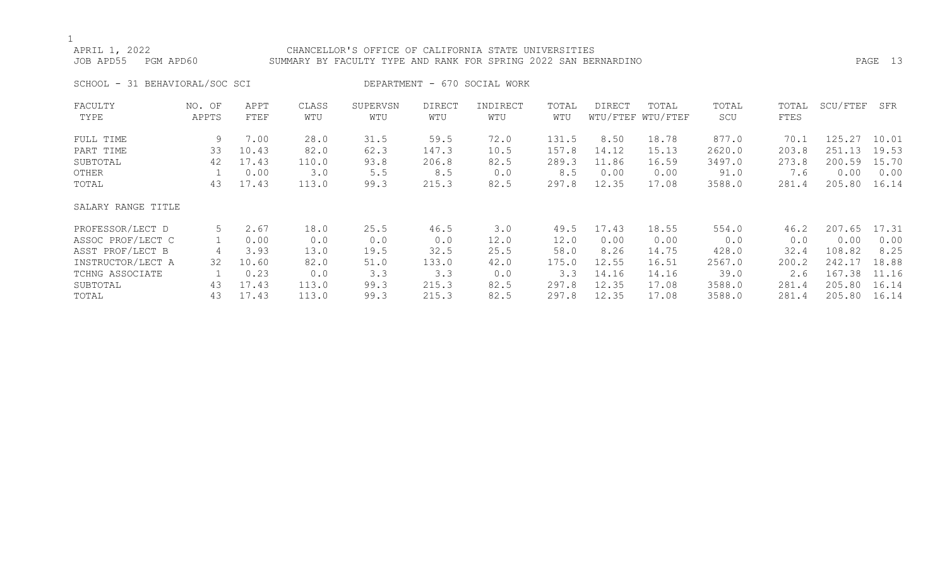## APRIL 1, 2022 CHANCELLOR'S OFFICE OF CALIFORNIA STATE UNIVERSITIES

## JOB APD55 PGM APD60 SUMMARY BY FACULTY TYPE AND RANK FOR SPRING 2022 SAN BERNARDINO PAGE 13

SCHOOL - 31 BEHAVIORAL/SOC SCI DEPARTMENT - 670 SOCIAL WORK

| FACULTY            | NO. OF | APPT  | CLASS | SUPERVSN | DIRECT | INDIRECT | TOTAL | DIRECT | TOTAL             | TOTAL  | TOTAL | SCU/FTEF | SFR   |
|--------------------|--------|-------|-------|----------|--------|----------|-------|--------|-------------------|--------|-------|----------|-------|
| TYPE               | APPTS  | FTEF  | WTU   | WTU      | WTU    | WTU      | WTU   |        | WTU/FTEF WTU/FTEF | SCU    | FTES  |          |       |
| FULL TIME          | 9      | 7.00  | 28.0  | 31.5     | 59.5   | 72.0     | 131.5 | 8.50   | 18.78             | 877.0  | 70.1  | 125.27   | 10.01 |
| PART TIME          | 33     | 10.43 | 82.0  | 62.3     | 147.3  | 10.5     | 157.8 | 14.12  | 15.13             | 2620.0 | 203.8 | 251.13   | 19.53 |
| SUBTOTAL           | 42     | 17.43 | 110.0 | 93.8     | 206.8  | 82.5     | 289.3 | 11.86  | 16.59             | 3497.0 | 273.8 | 200.59   | 15.70 |
| OTHER              |        | 0.00  | 3.0   | 5.5      | 8.5    | 0.0      | 8.5   | 0.00   | 0.00              | 91.0   | 7.6   | 0.00     | 0.00  |
| TOTAL              | 43     | 17.43 | 113.0 | 99.3     | 215.3  | 82.5     | 297.8 | 12.35  | 17.08             | 3588.0 | 281.4 | 205.80   | 16.14 |
| SALARY RANGE TITLE |        |       |       |          |        |          |       |        |                   |        |       |          |       |
| PROFESSOR/LECT D   | 5      | 2.67  | 18.0  | 25.5     | 46.5   | 3.0      | 49.5  | 17.43  | 18.55             | 554.0  | 46.2  | 207.65   | 17.31 |
| ASSOC PROF/LECT C  |        | 0.00  | 0.0   | 0.0      | 0.0    | 12.0     | 12.0  | 0.00   | 0.00              | 0.0    | 0.0   | 0.00     | 0.00  |
| ASST PROF/LECT B   |        | 3.93  | 13.0  | 19.5     | 32.5   | 25.5     | 58.0  | 8.26   | 14.75             | 428.0  | 32.4  | 108.82   | 8.25  |
| INSTRUCTOR/LECT A  | 32     | 10.60 | 82.0  | 51.0     | 133.0  | 42.0     | 175.0 | 12.55  | 16.51             | 2567.0 | 200.2 | 242.17   | 18.88 |
| TCHNG ASSOCIATE    |        | 0.23  | 0.0   | 3.3      | 3.3    | 0.0      | 3.3   | 14.16  | 14.16             | 39.0   | 2.6   | 167.38   | 11.16 |
| SUBTOTAL           | 43     | 17.43 | 113.0 | 99.3     | 215.3  | 82.5     | 297.8 | 12.35  | 17.08             | 3588.0 | 281.4 | 205.80   | 16.14 |
| TOTAL              | 43     | 17.43 | 113.0 | 99.3     | 215.3  | 82.5     | 297.8 | 12.35  | 17.08             | 3588.0 | 281.4 | 205.80   | 16.14 |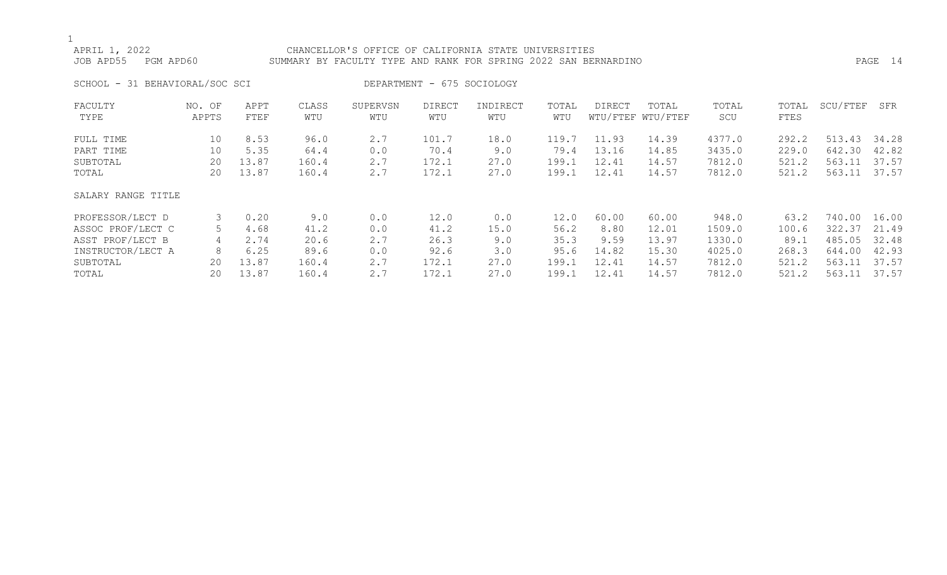| APRIL 1, 2022<br>JOB APD55     | PGM APD60       |              |              | CHANCELLOR'S OFFICE OF CALIFORNIA STATE UNIVERSITIES<br>SUMMARY BY FACULTY TYPE AND RANK FOR SPRING 2022 SAN BERNARDINO |                            |                 |              |        |                            |              |               |              | PAGE 14 |
|--------------------------------|-----------------|--------------|--------------|-------------------------------------------------------------------------------------------------------------------------|----------------------------|-----------------|--------------|--------|----------------------------|--------------|---------------|--------------|---------|
| SCHOOL - 31 BEHAVIORAL/SOC SCI |                 |              |              |                                                                                                                         | DEPARTMENT - 675 SOCIOLOGY |                 |              |        |                            |              |               |              |         |
| FACULTY<br>TYPE                | NO. OF<br>APPTS | APPT<br>FTEF | CLASS<br>WTU | SUPERVSN<br>WTU                                                                                                         | DIRECT<br>WTU              | INDIRECT<br>WTU | TOTAL<br>WTU | DIRECT | TOTAL<br>WTU/FTEF WTU/FTEF | TOTAL<br>SCU | TOTAL<br>FTES | SCU/FTEF     | SFR     |
| FULL TIME                      | 10              | 8.53         | 96.0         | 2.7                                                                                                                     | 101.7                      | 18.0            | 119.7        | 11.93  | 14.39                      | 4377.0       | 292.2         | 513.43 34.28 |         |
| PART TIME                      | 10              | 5.35         | 64.4         | 0.0                                                                                                                     | 70.4                       | 9.0             | 79.4         | 13.16  | 14.85                      | 3435.0       | 229.0         | 642.30       | 42.82   |
| SUBTOTAL                       | 20              | 13.87        | 160.4        | 2.7                                                                                                                     | 172.1                      | 27.0            | 199.1        | 12.41  | 14.57                      | 7812.0       | 521.2         | 563.11       | 37.57   |
| TOTAL                          | 20              | 13.87        | 160.4        | 2.7                                                                                                                     | 172.1                      | 27.0            | 199.1        | 12.41  | 14.57                      | 7812.0       | 521.2         | 563.11 37.57 |         |
| SALARY RANGE TITLE             |                 |              |              |                                                                                                                         |                            |                 |              |        |                            |              |               |              |         |

| PROFESSOR/LECT D  |    | 0.20  | 9.0   |     | 12.0  | 0.0  | 12.0  | 60.00 | 60.00              | 948.0  | 63.2  | 740.00 | 16.00 |
|-------------------|----|-------|-------|-----|-------|------|-------|-------|--------------------|--------|-------|--------|-------|
| ASSOC PROF/LECT C |    | 4.68  | 41.2  | 0.0 | 41.2  | 15.0 | 56.2  | 8.80  | 12.01              | 1509.0 | 100.6 | 322.37 | 21.49 |
| ASST PROF/LECT B  |    | 2.74  | 20.6  | 2.7 | 26.3  | 9.0  | 35.3  | 9.59  | 13.97              | 1330.0 | 89.,  | 485.05 | 32.48 |
| INSTRUCTOR/LECT A |    | 6.25  | 89.6  |     | 92.6  | 3.0  | 95.6  | 14.82 | 15.30              | 4025.0 | 268.3 | 644.00 | 42.93 |
| SUBTOTAL          | 20 | 13.87 | 160.4 |     | 172.1 | 27.0 | 199.1 | 12.41 | 14.57              | 7812.0 | 521.2 | 563.11 | 37.57 |
| TOTAL             | 20 | 13.87 | 160.4 |     | 172.1 | 27 N | 199.1 | 12.41 | $\overline{14.57}$ | 7812.0 | 521.2 | 563.11 | 37.57 |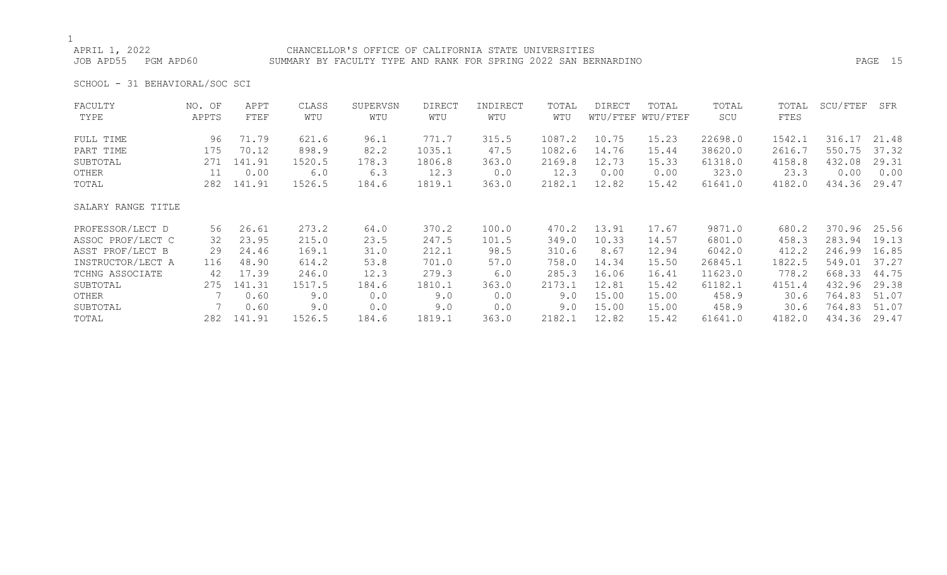## APRIL 1, 2022 CHANCELLOR'S OFFICE OF CALIFORNIA STATE UNIVERSITIES

JOB APD55 PGM APD60 SUMMARY BY FACULTY TYPE AND RANK FOR SPRING 2022 SAN BERNARDINO PAGE 15

SCHOOL - 31 BEHAVIORAL/SOC SCI

| FACULTY            | NO. OF | APPT   | CLASS  | SUPERVSN | <b>DIRECT</b> | INDIRECT | TOTAL  | <b>DIRECT</b> | TOTAL             | TOTAL   | TOTAL  | SCU/FTEF | SFR   |
|--------------------|--------|--------|--------|----------|---------------|----------|--------|---------------|-------------------|---------|--------|----------|-------|
| TYPE               | APPTS  | FTEF   | WTU    | WTU      | WTU           | WTU      | WTU    |               | WTU/FTEF WTU/FTEF | SCU     | FTES   |          |       |
| FULL TIME          | 96     | 71.79  | 621.6  | 96.1     | 771.7         | 315.5    | 1087.2 | 10.75         | 15.23             | 22698.0 | 1542.1 | 316.17   | 21.48 |
| PART TIME          | 175    | 70.12  | 898.9  | 82.2     | 1035.1        | 47.5     | 1082.6 | 14.76         | 15.44             | 38620.0 | 2616.7 | 550.75   | 37.32 |
| SUBTOTAL           | 271    | 141.91 | 1520.5 | 178.3    | 1806.8        | 363.0    | 2169.8 | 12.73         | 15.33             | 61318.0 | 4158.8 | 432.08   | 29.31 |
| OTHER              | 11     | 0.00   | 6.0    | 6.3      | 12.3          | 0.0      | 12.3   | 0.00          | 0.00              | 323.0   | 23.3   | 0.00     | 0.00  |
| TOTAL              | 282    | 141.91 | 1526.5 | 184.6    | 1819.1        | 363.0    | 2182.1 | 12.82         | 15.42             | 61641.0 | 4182.0 | 434.36   | 29.47 |
| SALARY RANGE TITLE |        |        |        |          |               |          |        |               |                   |         |        |          |       |
| PROFESSOR/LECT D   | 56     | 26.61  | 273.2  | 64.0     | 370.2         | 100.0    | 470.2  | 13.91         | 17.67             | 9871.0  | 680.2  | 370.96   | 25.56 |
| ASSOC PROF/LECT C  | 32     | 23.95  | 215.0  | 23.5     | 247.5         | 101.5    | 349.0  | 10.33         | 14.57             | 6801.0  | 458.3  | 283.94   | 19.13 |
| ASST PROF/LECT B   | 29     | 24.46  | 169.1  | 31.0     | 212.1         | 98.5     | 310.6  | 8.67          | 12.94             | 6042.0  | 412.2  | 246.99   | 16.85 |
| INSTRUCTOR/LECT A  | 116    | 48.90  | 614.2  | 53.8     | 701.0         | 57.0     | 758.0  | 14.34         | 15.50             | 26845.1 | 1822.5 | 549.01   | 37.27 |
| TCHNG ASSOCIATE    | 42     | 17.39  | 246.0  | 12.3     | 279.3         | 6.0      | 285.3  | 16.06         | 16.41             | 11623.0 | 778.2  | 668.33   | 44.75 |
| SUBTOTAL           | 275    | 141.31 | 1517.5 | 184.6    | 1810.1        | 363.0    | 2173.1 | 12.81         | 15.42             | 61182.1 | 4151.4 | 432.96   | 29.38 |
| OTHER              |        | 0.60   | 9.0    | 0.0      | 9.0           | 0.0      | 9.0    | 15.00         | 15.00             | 458.9   | 30.6   | 764.83   | 51.07 |
| SUBTOTAL           |        | 0.60   | 9.0    | 0.0      | 9.0           | 0.0      | 9.0    | 15.00         | 15.00             | 458.9   | 30.6   | 764.83   | 51.07 |
| TOTAL              | 282    | 141.91 | 1526.5 | 184.6    | 1819.1        | 363.0    | 2182.1 | 12.82         | 15.42             | 61641.0 | 4182.0 | 434.36   | 29.47 |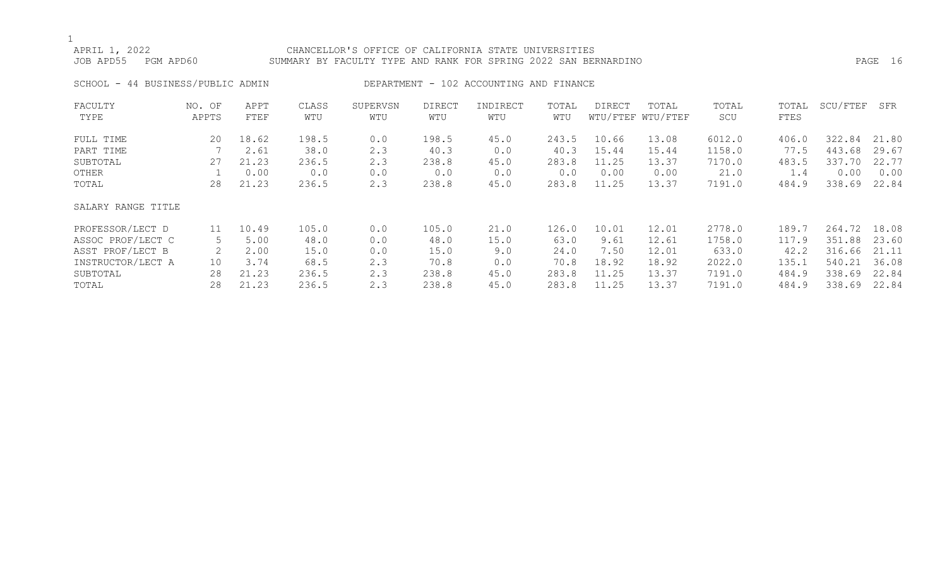## APRIL 1, 2022 CHANCELLOR'S OFFICE OF CALIFORNIA STATE UNIVERSITIES JOB APD55 PGM APD60 SUMMARY BY FACULTY TYPE AND RANK FOR SPRING 2022 SAN BERNARDINO PAGE 16

SCHOOL - 44 BUSINESS/PUBLIC ADMIN DEPARTMENT - 102 ACCOUNTING AND FINANCE

| FACULTY            | NO. OF | APPT  | CLASS | SUPERVSN | <b>DIRECT</b> | INDIRECT | TOTAL | DIRECT | TOTAL             | TOTAL  | TOTAL | SCU/FTEF | SFR   |
|--------------------|--------|-------|-------|----------|---------------|----------|-------|--------|-------------------|--------|-------|----------|-------|
| TYPE               | APPTS  | FTEF  | WTU   | WTU      | WTU           | WTU      | WTU   |        | WTU/FTEF WTU/FTEF | SCU    | FTES  |          |       |
| FULL TIME          | 20     | 18.62 | 198.5 | 0.0      | 198.5         | 45.0     | 243.5 | 10.66  | 13.08             | 6012.0 | 406.0 | 322.84   | 21.80 |
| PART TIME          |        | 2.61  | 38.0  | 2.3      | 40.3          | 0.0      | 40.3  | 15.44  | 15.44             | 1158.0 | 77.5  | 443.68   | 29.67 |
| SUBTOTAL           | 27     | 21.23 | 236.5 | 2.3      | 238.8         | 45.0     | 283.8 | 11.25  | 13.37             | 7170.0 | 483.5 | 337.70   | 22.77 |
| OTHER              |        | 0.00  | 0.0   | 0.0      | 0.0           | 0.0      | 0.0   | 0.00   | 0.00              | 21.0   | 1.4   | 0.00     | 0.00  |
| TOTAL              | 28     | 21.23 | 236.5 | 2.3      | 238.8         | 45.0     | 283.8 | 11.25  | 13.37             | 7191.0 | 484.9 | 338.69   | 22.84 |
| SALARY RANGE TITLE |        |       |       |          |               |          |       |        |                   |        |       |          |       |
| PROFESSOR/LECT D   | 11     | 10.49 | 105.0 | 0.0      | 105.0         | 21.0     | 126.0 | 10.01  | 12.01             | 2778.0 | 189.7 | 264.72   | 18.08 |
| ASSOC PROF/LECT C  | 5.     | 5.00  | 48.0  | 0.0      | 48.0          | 15.0     | 63.0  | 9.61   | 12.61             | 1758.0 | 117.9 | 351.88   | 23.60 |
| ASST PROF/LECT B   | 2      | 2.00  | 15.0  | 0.0      | 15.0          | 9.0      | 24.0  | 7.50   | 12.01             | 633.0  | 42.2  | 316.66   | 21.11 |
| INSTRUCTOR/LECT A  | 10     | 3.74  | 68.5  | 2.3      | 70.8          | 0.0      | 70.8  | 18.92  | 18.92             | 2022.0 | 135.1 | 540.21   | 36.08 |
| SUBTOTAL           | 28     | 21.23 | 236.5 | 2.3      | 238.8         | 45.0     | 283.8 | 11.25  | 13.37             | 7191.0 | 484.9 | 338.69   | 22.84 |
| TOTAL              | 28     | 21.23 | 236.5 | 2.3      | 238.8         | 45.0     | 283.8 | 11.25  | 13.37             | 7191.0 | 484.9 | 338.69   | 22.84 |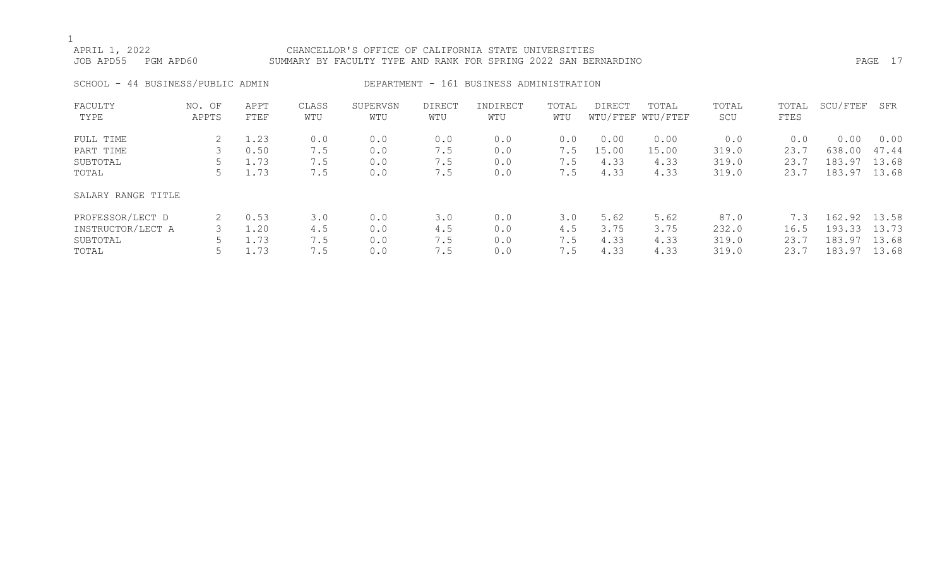## APRIL 1, 2022 CHANCELLOR'S OFFICE OF CALIFORNIA STATE UNIVERSITIES

JOB APD55 PGM APD60 SUMMARY BY FACULTY TYPE AND RANK FOR SPRING 2022 SAN BERNARDINO PAGE 17

SCHOOL - 44 BUSINESS/PUBLIC ADMIN DEPARTMENT - 161 BUSINESS ADMINISTRATION

| FACULTY            | NO. OF | APPT | CLASS | SUPERVSN | DIRECT | INDIRECT | TOTAL | DIRECT | TOTAL             | TOTAL | TOTAL | SCU/FTEF | SFR   |
|--------------------|--------|------|-------|----------|--------|----------|-------|--------|-------------------|-------|-------|----------|-------|
| TYPE               | APPTS  | FTEF | WTU   | WTU      | WTU    | WTU      | WTU   |        | WTU/FTEF WTU/FTEF | SCU   | FTES  |          |       |
| FULL TIME          |        | 1.23 | 0.0   | 0.0      | 0.0    | 0.0      | 0.0   | 0.00   | 0.00              | 0.0   | 0.0   | 0.00     | 0.00  |
| PART TIME          | 3      | 0.50 | 7.5   | 0.0      | 7.5    | 0.0      | 7.5   | 15.00  | 15.00             | 319.0 | 23.7  | 638.00   | 47.44 |
| SUBTOTAL           |        | 1.73 | 7.5   | 0.0      | 7.5    | 0.0      | 7.5   | 4.33   | 4.33              | 319.0 | 23.7  | 183.97   | 13.68 |
| TOTAL              |        | 1.73 | 7.5   | 0.0      | 7.5    | 0.0      | 7.5   | 4.33   | 4.33              | 319.0 | 23.7  | 183.97   | 13.68 |
| SALARY RANGE TITLE |        |      |       |          |        |          |       |        |                   |       |       |          |       |
| PROFESSOR/LECT D   | 2      | 0.53 | 3.0   | 0.0      | 3.0    | 0.0      | 3.0   | 5.62   | 5.62              | 87.0  | 7.3   | 162.92   | 13.58 |
| INSTRUCTOR/LECT A  |        | 1.20 | 4.5   | 0.0      | 4.5    | 0.0      | 4.5   | 3.75   | 3.75              | 232.0 | 16.5  | 193.33   | 13.73 |
| SUBTOTAL           |        | 1.73 | 7.5   | 0.0      | 7.5    | 0.0      | 7.5   | 4.33   | 4.33              | 319.0 | 23.7  | 183.97   | 13.68 |
| TOTAL              |        | .73  | 7.5   | 0.0      | 7.5    | 0.0      | 7.5   | 4.33   | 4.33              | 319.0 | 23.7  | 183.97   | 13.68 |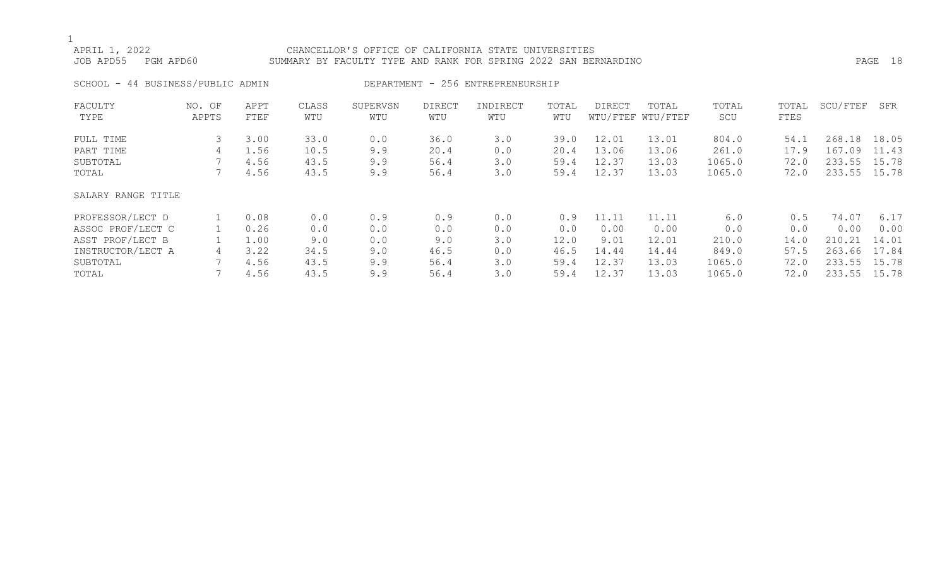## APRIL 1, 2022 CHANCELLOR'S OFFICE OF CALIFORNIA STATE UNIVERSITIES JOB APD55 PGM APD60 SUMMARY BY FACULTY TYPE AND RANK FOR SPRING 2022 SAN BERNARDINO PAGE 18 SCHOOL - 44 BUSINESS/PUBLIC ADMIN DEPARTMENT - 256 ENTREPRENEURSHIP FACULTY NO. OF APPT CLASS SUPERVSN DIRECT INDIRECT TOTAL DIRECT TOTAL TOTAL TOTAL SCU/FTEF SFR

| TYPE               | APPTS | FTEF | WTU  | WTU | WTU  | WTU | WTU  |       | WTU/FTEF WTU/FTEF | SCU    | FTES |              |       |
|--------------------|-------|------|------|-----|------|-----|------|-------|-------------------|--------|------|--------------|-------|
| FULL TIME          |       | 3.00 | 33.0 | 0.0 | 36.0 | 3.0 | 39.0 | 12.01 | 13.01             | 804.0  | 54.1 | 268.18       | 18.05 |
| PART TIME          | 4     | 1.56 | 10.5 | 9.9 | 20.4 | 0.0 | 20.4 | 13.06 | 13.06             | 261.0  | 17.9 | 167.09       | 11.43 |
| SUBTOTAL           |       | 4.56 | 43.5 | 9.9 | 56.4 | 3.0 | 59.4 | 12.37 | 13.03             | 1065.0 | 72.0 | 233.55       | 15.78 |
| TOTAL              |       | 4.56 | 43.5 | 9.9 | 56.4 | 3.0 | 59.4 | 12.37 | 13.03             | 1065.0 | 72.0 | 233.55 15.78 |       |
| SALARY RANGE TITLE |       |      |      |     |      |     |      |       |                   |        |      |              |       |
| PROFESSOR/LECT D   |       | 0.08 | 0.0  | 0.9 | 0.9  | 0.0 | 0.9  | 11.11 | 11.11             | 6.0    | 0.5  | 74.07        | 6.17  |
| ASSOC PROF/LECT C  |       | 0.26 | 0.0  | 0.0 | 0.0  | 0.0 | 0.0  | 0.00  | 0.00              | 0.0    | 0.0  | 0.00         | 0.00  |
| ASST PROF/LECT B   |       | 1.00 | 9.0  | 0.0 | 9.0  | 3.0 | 12.0 | 9.01  | 12.01             | 210.0  | 14.0 | 210.21       | 14.01 |
| INSTRUCTOR/LECT A  | 4     | 3.22 | 34.5 | 9.0 | 46.5 | 0.0 | 46.5 | 14.44 | 14.44             | 849.0  | 57.5 | 263.66       | 17.84 |
| SUBTOTAL           |       | 4.56 | 43.5 | 9.9 | 56.4 | 3.0 | 59.4 | 12.37 | 13.03             | 1065.0 | 72.0 | 233.55       | 15.78 |
| TOTAL              |       | 4.56 | 43.5 | 9.9 | 56.4 | 3.0 | 59.4 | 12.37 | 13.03             | 1065.0 | 72.0 | 233.55       | 15.78 |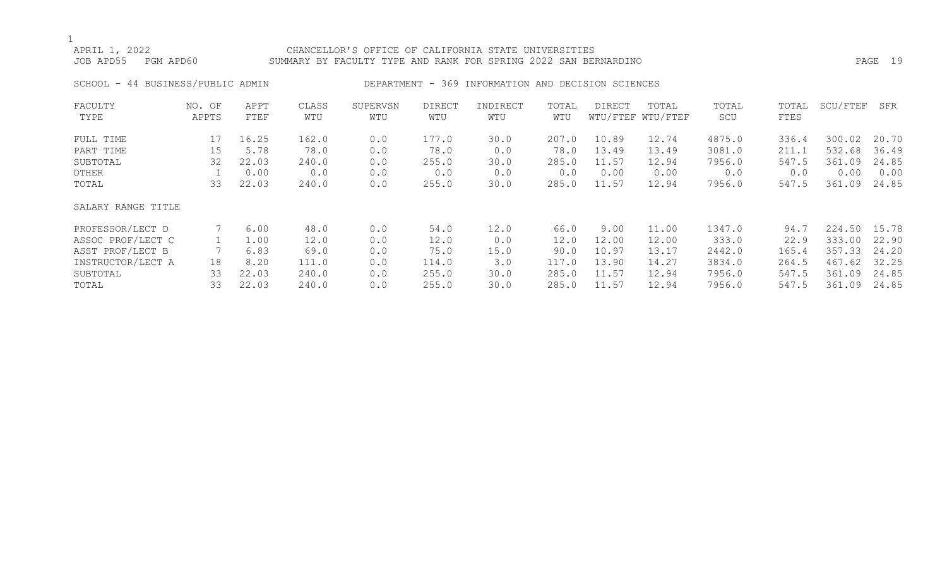## APRIL 1, 2022 CHANCELLOR'S OFFICE OF CALIFORNIA STATE UNIVERSITIES JOB APD55 PGM APD60 SUMMARY BY FACULTY TYPE AND RANK FOR SPRING 2022 SAN BERNARDINO PAGE 19

SCHOOL - 44 BUSINESS/PUBLIC ADMIN DEPARTMENT - 369 INFORMATION AND DECISION SCIENCES

| FACULTY            | NO. OF | APPT  | CLASS | SUPERVSN | <b>DIRECT</b> | INDIRECT | TOTAL | DIRECT | TOTAL             | TOTAL  | TOTAL | SCU/FTEF | SFR   |
|--------------------|--------|-------|-------|----------|---------------|----------|-------|--------|-------------------|--------|-------|----------|-------|
| TYPE               | APPTS  | FTEF  | WTU   | WTU      | WTU           | WTU      | WTU   |        | WTU/FTEF WTU/FTEF | SCU    | FTES  |          |       |
| FULL TIME          | 17     | 16.25 | 162.0 | 0.0      | 177.0         | 30.0     | 207.0 | 10.89  | 12.74             | 4875.0 | 336.4 | 300.02   | 20.70 |
| PART TIME          | 15     | 5.78  | 78.0  | 0.0      | 78.0          | 0.0      | 78.0  | 13.49  | 13.49             | 3081.0 | 211.1 | 532.68   | 36.49 |
| SUBTOTAL           | 32     | 22.03 | 240.0 | 0.0      | 255.0         | 30.0     | 285.0 | 11.57  | 12.94             | 7956.0 | 547.5 | 361.09   | 24.85 |
| OTHER              |        | 0.00  | 0.0   | 0.0      | 0.0           | 0.0      | 0.0   | 0.00   | 0.00              | 0.0    | 0.0   | 0.00     | 0.00  |
| TOTAL              | 33     | 22.03 | 240.0 | 0.0      | 255.0         | 30.0     | 285.0 | 11.57  | 12.94             | 7956.0 | 547.5 | 361.09   | 24.85 |
| SALARY RANGE TITLE |        |       |       |          |               |          |       |        |                   |        |       |          |       |
| PROFESSOR/LECT D   |        | 6.00  | 48.0  | 0.0      | 54.0          | 12.0     | 66.0  | 9.00   | 11.00             | 1347.0 | 94.7  | 224.50   | 15.78 |
| ASSOC PROF/LECT C  |        | 1.00  | 12.0  | 0.0      | 12.0          | 0.0      | 12.0  | 12.00  | 12.00             | 333.0  | 22.9  | 333.00   | 22.90 |
| ASST PROF/LECT B   |        | 6.83  | 69.0  | 0.0      | 75.0          | 15.0     | 90.0  | 10.97  | 13.17             | 2442.0 | 165.4 | 357.33   | 24.20 |
| INSTRUCTOR/LECT A  | 18     | 8.20  | 111.0 | 0.0      | 114.0         | 3.0      | 117.0 | 13.90  | 14.27             | 3834.0 | 264.5 | 467.62   | 32.25 |
| SUBTOTAL           | 33     | 22.03 | 240.0 | 0.0      | 255.0         | 30.0     | 285.0 | 11.57  | 12.94             | 7956.0 | 547.5 | 361.09   | 24.85 |
| TOTAL              | 33     | 22.03 | 240.0 | 0.0      | 255.0         | 30.0     | 285.0 | 11.57  | 12.94             | 7956.0 | 547.5 | 361.09   | 24.85 |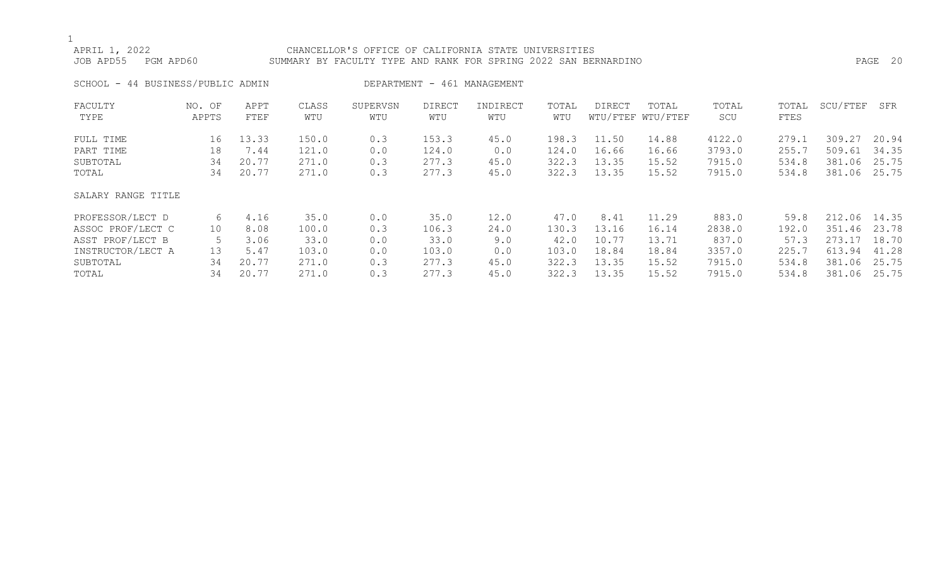## APRIL 1, 2022 CHANCELLOR'S OFFICE OF CALIFORNIA STATE UNIVERSITIES JOB APD55 PGM APD60 SUMMARY BY FACULTY TYPE AND RANK FOR SPRING 2022 SAN BERNARDINO PAGE 20 SCHOOL - 44 BUSINESS/PUBLIC ADMIN DEPARTMENT - 461 MANAGEMENT

| FACULTY<br>TYPE    | NO. OF<br>APPTS | APPT<br>FTEF | CLASS<br>WTU | SUPERVSN<br>WTU | <b>DIRECT</b><br>WTU | INDIRECT<br>WTU | TOTAL<br>WTU | <b>DIRECT</b> | TOTAL<br>WTU/FTEF WTU/FTEF | TOTAL<br>SCU | TOTAL<br>FTES | SCU/FTEF | SFR   |
|--------------------|-----------------|--------------|--------------|-----------------|----------------------|-----------------|--------------|---------------|----------------------------|--------------|---------------|----------|-------|
| FULL TIME          | 16              | 13.33        | 150.0        | 0.3             | 153.3                | 45.0            | 198.3        | 11.50         | 14.88                      | 4122.0       | 279.1         | 309.27   | 20.94 |
| PART TIME          | 18              | 7.44         | 121.0        | 0.0             | 124.0                | 0.0             | 124.0        | 16.66         | 16.66                      | 3793.0       | 255.7         | 509.61   | 34.35 |
| SUBTOTAL           | 34              | 20.77        | 271.0        | 0.3             | 277.3                | 45.0            | 322.3        | 13.35         | 15.52                      | 7915.0       | 534.8         | 381.06   | 25.75 |
| TOTAL              | 34              | 20.77        | 271.0        | 0.3             | 277.3                | 45.0            | 322.3        | 13.35         | 15.52                      | 7915.0       | 534.8         | 381.06   | 25.75 |
| SALARY RANGE TITLE |                 |              |              |                 |                      |                 |              |               |                            |              |               |          |       |
| PROFESSOR/LECT D   | 6               | 4.16         | 35.0         | 0.0             | 35.0                 | 12.0            | 47.0         | 8.41          | 11.29                      | 883.0        | 59.8          | 212.06   | 14.35 |
| ASSOC PROF/LECT C  | 10              | 8.08         | 100.0        | 0.3             | 106.3                | 24.0            | 130.3        | 13.16         | 16.14                      | 2838.0       | 192.0         | 351.46   | 23.78 |
| ASST PROF/LECT B   |                 | 3.06         | 33.0         | 0.0             | 33.0                 | 9.0             | 42.0         | 10.77         | 13.71                      | 837.0        | 57.3          | 273.17   | 18.70 |
| INSTRUCTOR/LECT A  | 13              | 5.47         | 103.0        | 0.0             | 103.0                | 0.0             | 103.0        | 18.84         | 18.84                      | 3357.0       | 225.7         | 613.94   | 41.28 |
| SUBTOTAL           | 34              | 20.77        | 271.0        | 0.3             | 277.3                | 45.0            | 322.3        | 13.35         | 15.52                      | 7915.0       | 534.8         | 381.06   | 25.75 |
| TOTAL              | 34              | 20.77        | 271.0        | 0.3             | 277.3                | 45.0            | 322.3        | 13.35         | 15.52                      | 7915.0       | 534.8         | 381.06   | 25.75 |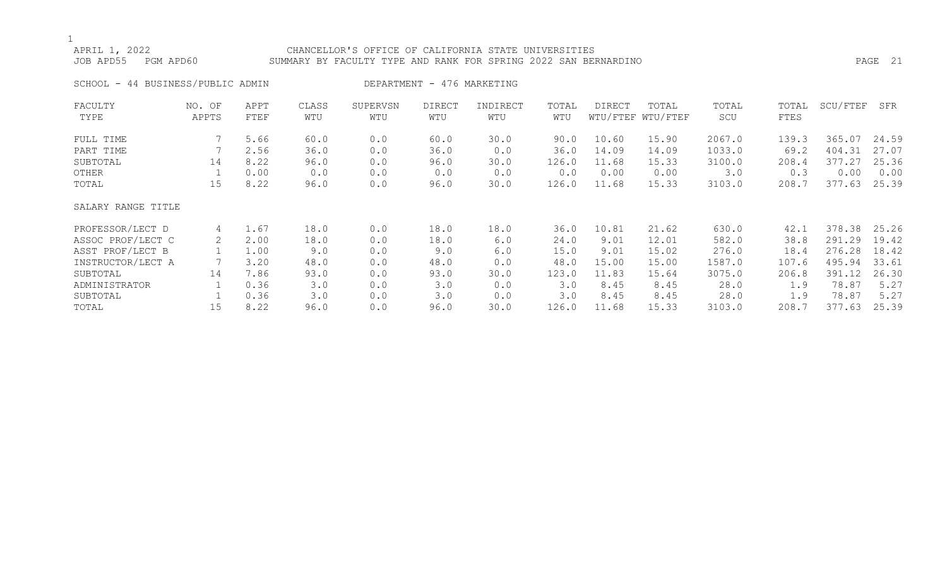## APRIL 1, 2022 CHANCELLOR'S OFFICE OF CALIFORNIA STATE UNIVERSITIES JOB APD55 PGM APD60 SUMMARY BY FACULTY TYPE AND RANK FOR SPRING 2022 SAN BERNARDINO PAGE 21

SCHOOL - 44 BUSINESS/PUBLIC ADMIN DEPARTMENT - 476 MARKETING

| FACULTY            | NO. OF                | APPT | CLASS | SUPERVSN | <b>DIRECT</b> | INDIRECT | TOTAL | <b>DIRECT</b> | TOTAL             | TOTAL  | TOTAL | SCU/FTEF | SFR   |
|--------------------|-----------------------|------|-------|----------|---------------|----------|-------|---------------|-------------------|--------|-------|----------|-------|
| TYPE               | APPTS                 | FTEF | WTU   | WTU      | WTU           | WTU      | WTU   |               | WTU/FTEF WTU/FTEF | SCU    | FTES  |          |       |
| FULL TIME          |                       | 5.66 | 60.0  | 0.0      | 60.0          | 30.0     | 90.0  | 10.60         | 15.90             | 2067.0 | 139.3 | 365.07   | 24.59 |
| PART TIME          |                       | 2.56 | 36.0  | 0.0      | 36.0          | 0.0      | 36.0  | 14.09         | 14.09             | 1033.0 | 69.2  | 404.31   | 27.07 |
| SUBTOTAL           | 14                    | 8.22 | 96.0  | 0.0      | 96.0          | 30.0     | 126.0 | 11.68         | 15.33             | 3100.0 | 208.4 | 377.27   | 25.36 |
| OTHER              |                       | 0.00 | 0.0   | 0.0      | 0.0           | 0.0      | 0.0   | 0.00          | 0.00              | 3.0    | 0.3   | 0.00     | 0.00  |
| TOTAL              | 15                    | 8.22 | 96.0  | 0.0      | 96.0          | 30.0     | 126.0 | 11.68         | 15.33             | 3103.0 | 208.7 | 377.63   | 25.39 |
| SALARY RANGE TITLE |                       |      |       |          |               |          |       |               |                   |        |       |          |       |
| PROFESSOR/LECT D   | 4                     | 1.67 | 18.0  | 0.0      | 18.0          | 18.0     | 36.0  | 10.81         | 21.62             | 630.0  | 42.1  | 378.38   | 25.26 |
| ASSOC PROF/LECT C  | $\mathbf{2}^{\prime}$ | 2.00 | 18.0  | 0.0      | 18.0          | 6.0      | 24.0  | 9.01          | 12.01             | 582.0  | 38.8  | 291.29   | 19.42 |
| ASST PROF/LECT B   |                       | 1.00 | 9.0   | 0.0      | 9.0           | 6.0      | 15.0  | 9.01          | 15.02             | 276.0  | 18.4  | 276.28   | 18.42 |
| INSTRUCTOR/LECT A  |                       | 3.20 | 48.0  | 0.0      | 48.0          | 0.0      | 48.0  | 15.00         | 15.00             | 1587.0 | 107.6 | 495.94   | 33.61 |
| SUBTOTAL           | 14                    | 7.86 | 93.0  | 0.0      | 93.0          | 30.0     | 123.0 | 11.83         | 15.64             | 3075.0 | 206.8 | 391.12   | 26.30 |
| ADMINISTRATOR      |                       | 0.36 | 3.0   | 0.0      | 3.0           | 0.0      | 3.0   | 8.45          | 8.45              | 28.0   | 1.9   | 78.87    | 5.27  |
| SUBTOTAL           |                       | 0.36 | 3.0   | 0.0      | 3.0           | 0.0      | 3.0   | 8.45          | 8.45              | 28.0   | 1.9   | 78.87    | 5.27  |
| TOTAL              | 15                    | 8.22 | 96.0  | 0.0      | 96.0          | 30.0     | 126.0 | 11.68         | 15.33             | 3103.0 | 208.7 | 377.63   | 25.39 |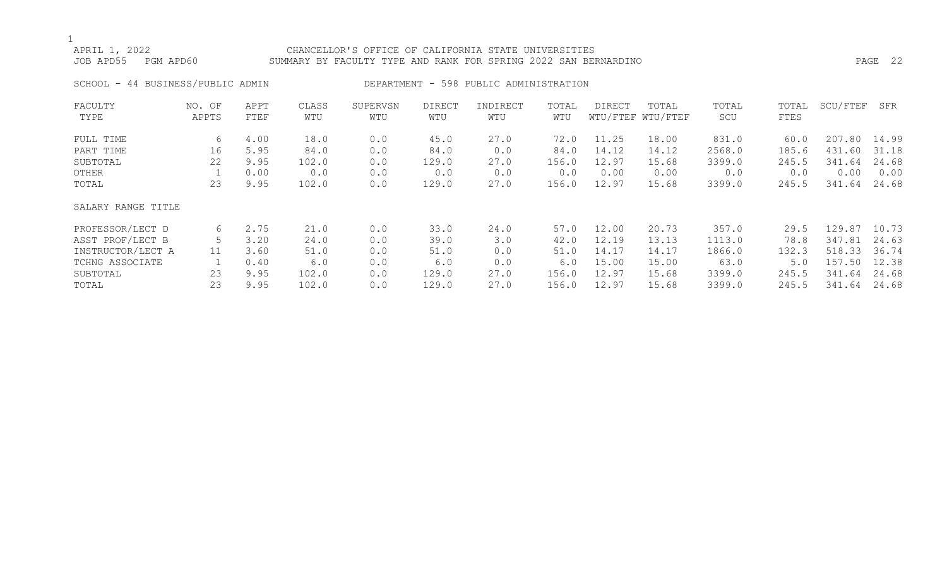## APRIL 1, 2022 CHANCELLOR'S OFFICE OF CALIFORNIA STATE UNIVERSITIES JOB APD55 PGM APD60 SUMMARY BY FACULTY TYPE AND RANK FOR SPRING 2022 SAN BERNARDINO PAGE 22

SCHOOL - 44 BUSINESS/PUBLIC ADMIN DEPARTMENT - 598 PUBLIC ADMINISTRATION

| FACULTY            | NO. OF | APPT | CLASS | SUPERVSN | <b>DIRECT</b> | INDIRECT | TOTAL | DIRECT | TOTAL             | TOTAL  | TOTAL | SCU/FTEF | SFR   |
|--------------------|--------|------|-------|----------|---------------|----------|-------|--------|-------------------|--------|-------|----------|-------|
| TYPE               | APPTS  | FTEF | WTU   | WTU      | WTU           | WTU      | WTU   |        | WTU/FTEF WTU/FTEF | SCU    | FTES  |          |       |
| FULL TIME          | 6      | 4.00 | 18.0  | 0.0      | 45.0          | 27.0     | 72.0  | 11.25  | 18.00             | 831.0  | 60.0  | 207.80   | 14.99 |
| PART TIME          | 16     | 5.95 | 84.0  | 0.0      | 84.0          | 0.0      | 84.0  | 14.12  | 14.12             | 2568.0 | 185.6 | 431.60   | 31.18 |
| SUBTOTAL           | 22     | 9.95 | 102.0 | 0.0      | 129.0         | 27.0     | 156.0 | 12.97  | 15.68             | 3399.0 | 245.5 | 341.64   | 24.68 |
| OTHER              |        | 0.00 | 0.0   | 0.0      | 0.0           | 0.0      | 0.0   | 0.00   | 0.00              | 0.0    | 0.0   | 0.00     | 0.00  |
| TOTAL              | 23     | 9.95 | 102.0 | 0.0      | 129.0         | 27.0     | 156.0 | 12.97  | 15.68             | 3399.0 | 245.5 | 341.64   | 24.68 |
| SALARY RANGE TITLE |        |      |       |          |               |          |       |        |                   |        |       |          |       |
| PROFESSOR/LECT D   | 6      | 2.75 | 21.0  | 0.0      | 33.0          | 24.0     | 57.0  | 12.00  | 20.73             | 357.0  | 29.5  | 129.87   | 10.73 |
| ASST PROF/LECT B   |        | 3.20 | 24.0  | 0.0      | 39.0          | 3.0      | 42.0  | 12.19  | 13.13             | 1113.0 | 78.8  | 347.81   | 24.63 |
| INSTRUCTOR/LECT A  | 11     | 3.60 | 51.0  | 0.0      | 51.0          | 0.0      | 51.0  | 14.17  | 14.17             | 1866.0 | 132.3 | 518.33   | 36.74 |
| TCHNG ASSOCIATE    |        | 0.40 | 6.0   | 0.0      | 6.0           | 0.0      | 6.0   | 15.00  | 15.00             | 63.0   | 5.0   | 157.50   | 12.38 |
| SUBTOTAL           | 23     | 9.95 | 102.0 | 0.0      | 129.0         | 27.0     | 156.0 | 12.97  | 15.68             | 3399.0 | 245.5 | 341.64   | 24.68 |
| TOTAL              | 23     | 9.95 | 102.0 | 0.0      | 129.0         | 27.0     | 156.0 | 12.97  | 15.68             | 3399.0 | 245.5 | 341.64   | 24.68 |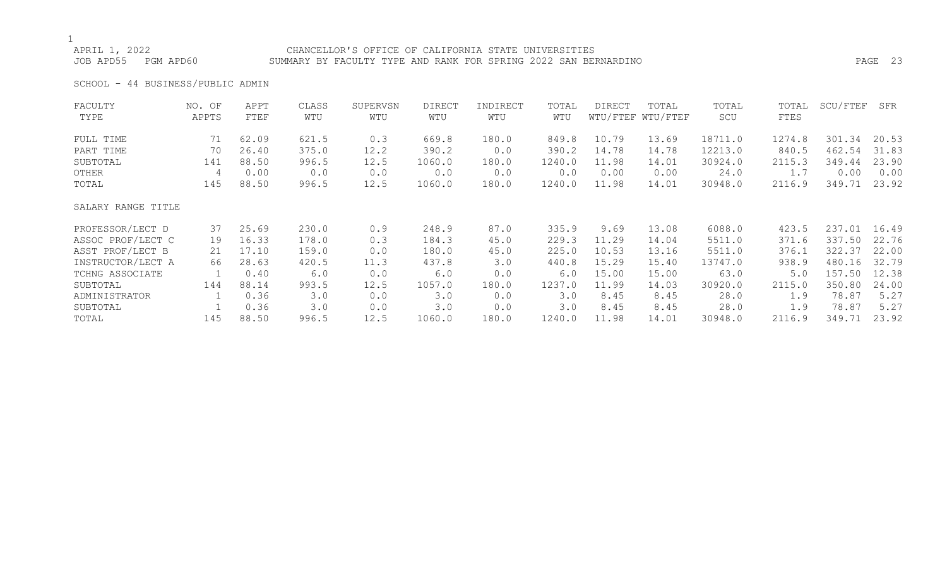## APRIL 1, 2022 CHANCELLOR'S OFFICE OF CALIFORNIA STATE UNIVERSITIES JOB APD55 PGM APD60 SUMMARY BY FACULTY TYPE AND RANK FOR SPRING 2022 SAN BERNARDINO PAGE 23

SCHOOL - 44 BUSINESS/PUBLIC ADMIN

| FACULTY            | NO. OF | APPT  | CLASS | SUPERVSN | <b>DIRECT</b> | INDIRECT | TOTAL  | DIRECT | TOTAL             | TOTAL   | TOTAL  | SCU/FTEF | SFR   |
|--------------------|--------|-------|-------|----------|---------------|----------|--------|--------|-------------------|---------|--------|----------|-------|
| TYPE               | APPTS  | FTEF  | WTU   | WTU      | WTU           | WTU      | WTU    |        | WTU/FTEF WTU/FTEF | SCU     | FTES   |          |       |
| FULL TIME          | 71     | 62.09 | 621.5 | 0.3      | 669.8         | 180.0    | 849.8  | 10.79  | 13.69             | 18711.0 | 1274.8 | 301.34   | 20.53 |
| PART TIME          | 70     | 26.40 | 375.0 | 12.2     | 390.2         | 0.0      | 390.2  | 14.78  | 14.78             | 12213.0 | 840.5  | 462.54   | 31.83 |
| SUBTOTAL           | 141    | 88.50 | 996.5 | 12.5     | 1060.0        | 180.0    | 1240.0 | 11.98  | 14.01             | 30924.0 | 2115.3 | 349.44   | 23.90 |
| OTHER              | 4      | 0.00  | 0.0   | 0.0      | 0.0           | 0.0      | 0.0    | 0.00   | 0.00              | 24.0    | 1.7    | 0.00     | 0.00  |
| TOTAL              | 145    | 88.50 | 996.5 | 12.5     | 1060.0        | 180.0    | 1240.0 | 11.98  | 14.01             | 30948.0 | 2116.9 | 349.71   | 23.92 |
| SALARY RANGE TITLE |        |       |       |          |               |          |        |        |                   |         |        |          |       |
| PROFESSOR/LECT D   | 37     | 25.69 | 230.0 | 0.9      | 248.9         | 87.0     | 335.9  | 9.69   | 13.08             | 6088.0  | 423.5  | 237.01   | 16.49 |
| ASSOC PROF/LECT C  | 19     | 16.33 | 178.0 | 0.3      | 184.3         | 45.0     | 229.3  | 11.29  | 14.04             | 5511.0  | 371.6  | 337.50   | 22.76 |
| ASST PROF/LECT B   | 21     | 17.10 | 159.0 | 0.0      | 180.0         | 45.0     | 225.0  | 10.53  | 13.16             | 5511.0  | 376.1  | 322.37   | 22.00 |
| INSTRUCTOR/LECT A  | 66     | 28.63 | 420.5 | 11.3     | 437.8         | 3.0      | 440.8  | 15.29  | 15.40             | 13747.0 | 938.9  | 480.16   | 32.79 |
| TCHNG ASSOCIATE    |        | 0.40  | 6.0   | 0.0      | 6.0           | 0.0      | 6.0    | 15.00  | 15.00             | 63.0    | 5.0    | 157.50   | 12.38 |
| SUBTOTAL           | 144    | 88.14 | 993.5 | 12.5     | 1057.0        | 180.0    | 1237.0 | 11.99  | 14.03             | 30920.0 | 2115.0 | 350.80   | 24.00 |
| ADMINISTRATOR      |        | 0.36  | 3.0   | 0.0      | 3.0           | 0.0      | 3.0    | 8.45   | 8.45              | 28.0    | 1.9    | 78.87    | 5.27  |
| SUBTOTAL           |        | 0.36  | 3.0   | 0.0      | 3.0           | 0.0      | 3.0    | 8.45   | 8.45              | 28.0    | 1.9    | 78.87    | 5.27  |
| TOTAL              | 145    | 88.50 | 996.5 | 12.5     | 1060.0        | 180.0    | 1240.0 | 11.98  | 14.01             | 30948.0 | 2116.9 | 349.71   | 23.92 |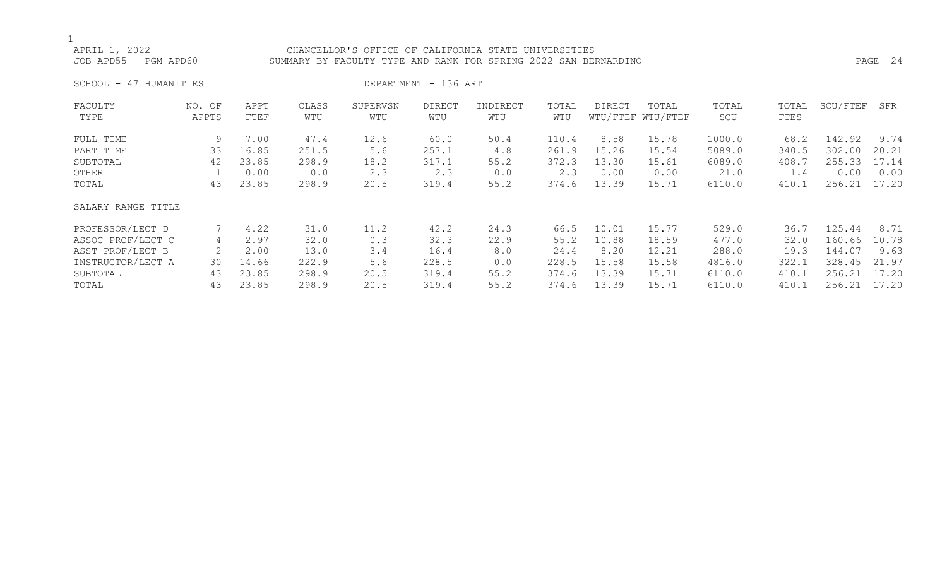## APRIL 1, 2022 CHANCELLOR'S OFFICE OF CALIFORNIA STATE UNIVERSITIES JOB APD55 PGM APD60 SUMMARY BY FACULTY TYPE AND RANK FOR SPRING 2022 SAN BERNARDINO PAGE 24

SCHOOL - 47 HUMANITIES DEPARTMENT - 136 ART

| FACULTY            | NO. OF | APPT  | CLASS | SUPERVSN | <b>DIRECT</b> | INDIRECT | TOTAL | DIRECT | TOTAL             | TOTAL  | TOTAL | SCU/FTEF | SFR   |
|--------------------|--------|-------|-------|----------|---------------|----------|-------|--------|-------------------|--------|-------|----------|-------|
| TYPE               | APPTS  | FTEF  | WTU   | WTU      | WTU           | WTU      | WTU   |        | WTU/FTEF WTU/FTEF | SCU    | FTES  |          |       |
| FULL TIME          | 9      | 7.00  | 47.4  | 12.6     | 60.0          | 50.4     | 110.4 | 8.58   | 15.78             | 1000.0 | 68.2  | 142.92   | 9.74  |
| PART TIME          | 33     | 16.85 | 251.5 | 5.6      | 257.1         | 4.8      | 261.9 | 15.26  | 15.54             | 5089.0 | 340.5 | 302.00   | 20.21 |
| SUBTOTAL           | 42     | 23.85 | 298.9 | 18.2     | 317.1         | 55.2     | 372.3 | 13.30  | 15.61             | 6089.0 | 408.7 | 255.33   | 17.14 |
| OTHER              |        | 0.00  | 0.0   | 2.3      | 2.3           | 0.0      | 2.3   | 0.00   | 0.00              | 21.0   | 1.4   | 0.00     | 0.00  |
| TOTAL              | 43     | 23.85 | 298.9 | 20.5     | 319.4         | 55.2     | 374.6 | 13.39  | 15.71             | 6110.0 | 410.1 | 256.21   | 17.20 |
| SALARY RANGE TITLE |        |       |       |          |               |          |       |        |                   |        |       |          |       |
| PROFESSOR/LECT D   |        | 4.22  | 31.0  | 11.2     | 42.2          | 24.3     | 66.5  | 10.01  | 15.77             | 529.0  | 36.7  | 125.44   | 8.71  |
| ASSOC PROF/LECT C  | 4      | 2.97  | 32.0  | 0.3      | 32.3          | 22.9     | 55.2  | 10.88  | 18.59             | 477.0  | 32.0  | 160.66   | 10.78 |
| ASST PROF/LECT B   | 2      | 2.00  | 13.0  | 3.4      | 16.4          | 8.0      | 24.4  | 8.20   | 12.21             | 288.0  | 19.3  | 144.07   | 9.63  |
| INSTRUCTOR/LECT A  | 30     | 14.66 | 222.9 | 5.6      | 228.5         | 0.0      | 228.5 | 15.58  | 15.58             | 4816.0 | 322.1 | 328.45   | 21.97 |
| SUBTOTAL           | 43     | 23.85 | 298.9 | 20.5     | 319.4         | 55.2     | 374.6 | 13.39  | 15.71             | 6110.0 | 410.1 | 256.21   | 17.20 |
| TOTAL              | 43     | 23.85 | 298.9 | 20.5     | 319.4         | 55.2     | 374.6 | 13.39  | 15.71             | 6110.0 | 410.1 | 256.21   | 17.20 |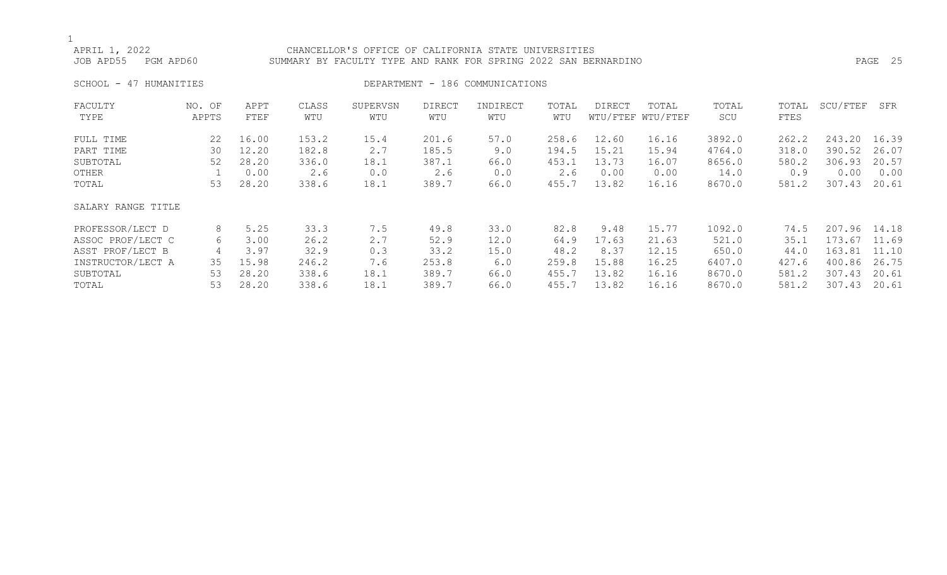## APRIL 1, 2022 CHANCELLOR'S OFFICE OF CALIFORNIA STATE UNIVERSITIES

JOB APD55 PGM APD60 SUMMARY BY FACULTY TYPE AND RANK FOR SPRING 2022 SAN BERNARDINO PAGE 25

## SCHOOL - 47 HUMANITIES DEPARTMENT - 186 COMMUNICATIONS

| FACULTY            | NO. OF | APPT  | CLASS | SUPERVSN | <b>DIRECT</b> | INDIRECT | TOTAL | <b>DIRECT</b> | TOTAL             | TOTAL  | TOTAL | SCU/FTEF | SFR   |
|--------------------|--------|-------|-------|----------|---------------|----------|-------|---------------|-------------------|--------|-------|----------|-------|
| TYPE               | APPTS  | FTEF  | WTU   | WTU      | WTU           | WTU      | WTU   |               | WTU/FTEF WTU/FTEF | SCU    | FTES  |          |       |
| FULL TIME          | 22     | 16.00 | 153.2 | 15.4     | 201.6         | 57.0     | 258.6 | 12.60         | 16.16             | 3892.0 | 262.2 | 243.20   | 16.39 |
| PART TIME          | 30     | 12.20 | 182.8 | 2.7      | 185.5         | 9.0      | 194.5 | 15.21         | 15.94             | 4764.0 | 318.0 | 390.52   | 26.07 |
| SUBTOTAL           | 52     | 28.20 | 336.0 | 18.1     | 387.1         | 66.0     | 453.1 | 13.73         | 16.07             | 8656.0 | 580.2 | 306.93   | 20.57 |
| OTHER              |        | 0.00  | 2.6   | 0.0      | 2.6           | 0.0      | 2.6   | 0.00          | 0.00              | 14.0   | 0.9   | 0.00     | 0.00  |
| TOTAL              | 53     | 28.20 | 338.6 | 18.1     | 389.7         | 66.0     | 455.7 | 13.82         | 16.16             | 8670.0 | 581.2 | 307.43   | 20.61 |
| SALARY RANGE TITLE |        |       |       |          |               |          |       |               |                   |        |       |          |       |
| PROFESSOR/LECT D   | 8      | 5.25  | 33.3  | 7.5      | 49.8          | 33.0     | 82.8  | 9.48          | 15.77             | 1092.0 | 74.5  | 207.96   | 14.18 |
| ASSOC PROF/LECT C  | 6      | 3.00  | 26.2  | 2.7      | 52.9          | 12.0     | 64.9  | 17.63         | 21.63             | 521.0  | 35.1  | 173.67   | 11.69 |
| ASST PROF/LECT B   | 4      | 3.97  | 32.9  | 0.3      | 33.2          | 15.0     | 48.2  | 8.37          | 12.15             | 650.0  | 44.0  | 163.81   | 11.10 |
| INSTRUCTOR/LECT A  | 35     | 15.98 | 246.2 | 7.6      | 253.8         | 6.0      | 259.8 | 15.88         | 16.25             | 6407.0 | 427.6 | 400.86   | 26.75 |
| SUBTOTAL           | 53     | 28.20 | 338.6 | 18.1     | 389.7         | 66.0     | 455.7 | 13.82         | 16.16             | 8670.0 | 581.2 | 307.43   | 20.61 |
| TOTAL              | 53     | 28.20 | 338.6 | 18.1     | 389.7         | 66.0     | 455.7 | 13.82         | 16.16             | 8670.0 | 581.2 | 307.43   | 20.61 |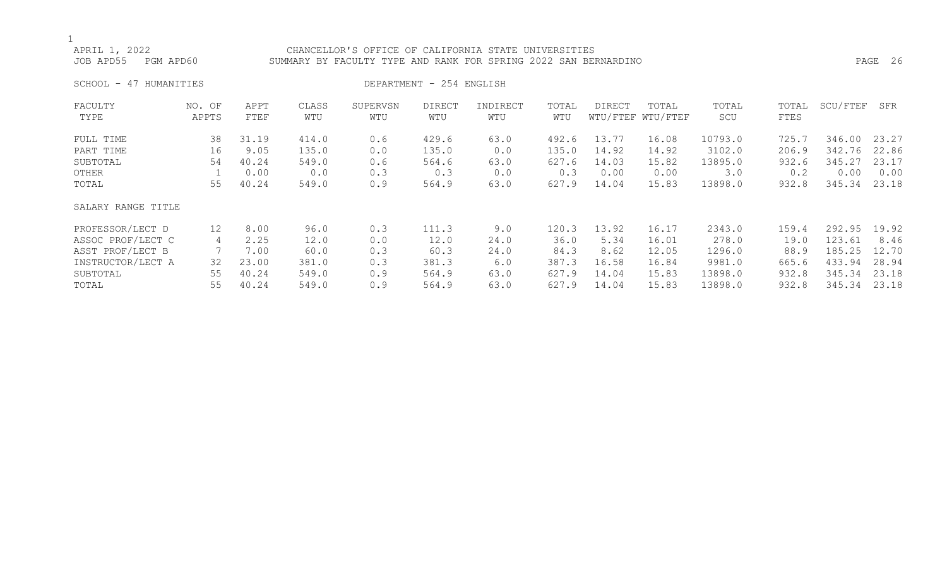## APRIL 1, 2022 CHANCELLOR'S OFFICE OF CALIFORNIA STATE UNIVERSITIES JOB APD55 PGM APD60 SUMMARY BY FACULTY TYPE AND RANK FOR SPRING 2022 SAN BERNARDINO PAGE 26

SCHOOL - 47 HUMANITIES DEPARTMENT - 254 ENGLISH

| FACULTY            | NO. OF | APPT  | CLASS | SUPERVSN | DIRECT | INDIRECT | TOTAL | DIRECT | TOTAL             | TOTAL   | TOTAL | SCU/FTEF | SFR   |
|--------------------|--------|-------|-------|----------|--------|----------|-------|--------|-------------------|---------|-------|----------|-------|
| TYPE               | APPTS  | FTEF  | WTU   | WTU      | WTU    | WTU      | WTU   |        | WTU/FTEF WTU/FTEF | SCU     | FTES  |          |       |
| FULL TIME          | 38     | 31.19 | 414.0 | 0.6      | 429.6  | 63.0     | 492.6 | 13.77  | 16.08             | 10793.0 | 725.7 | 346.00   | 23.27 |
| PART TIME          | 16     | 9.05  | 135.0 | 0.0      | 135.0  | 0.0      | 135.0 | 14.92  | 14.92             | 3102.0  | 206.9 | 342.76   | 22.86 |
| SUBTOTAL           | 54     | 40.24 | 549.0 | 0.6      | 564.6  | 63.0     | 627.6 | 14.03  | 15.82             | 13895.0 | 932.6 | 345.27   | 23.17 |
| OTHER              |        | 0.00  | 0.0   | 0.3      | 0.3    | 0.0      | 0.3   | 0.00   | 0.00              | 3.0     | 0.2   | 0.00     | 0.00  |
| TOTAL              | 55     | 40.24 | 549.0 | 0.9      | 564.9  | 63.0     | 627.9 | 14.04  | 15.83             | 13898.0 | 932.8 | 345.34   | 23.18 |
| SALARY RANGE TITLE |        |       |       |          |        |          |       |        |                   |         |       |          |       |
| PROFESSOR/LECT D   | 12     | 8.00  | 96.0  | 0.3      | 111.3  | 9.0      | 120.3 | 13.92  | 16.17             | 2343.0  | 159.4 | 292.95   | 19.92 |
| ASSOC PROF/LECT C  | 4      | 2.25  | 12.0  | 0.0      | 12.0   | 24.0     | 36.0  | 5.34   | 16.01             | 278.0   | 19.0  | 123.61   | 8.46  |
| ASST PROF/LECT B   |        | 7.00  | 60.0  | 0.3      | 60.3   | 24.0     | 84.3  | 8.62   | 12.05             | 1296.0  | 88.9  | 185.25   | 12.70 |
| INSTRUCTOR/LECT A  | 32     | 23.00 | 381.0 | 0.3      | 381.3  | 6.0      | 387.3 | 16.58  | 16.84             | 9981.0  | 665.6 | 433.94   | 28.94 |
| SUBTOTAL           | 55     | 40.24 | 549.0 | 0.9      | 564.9  | 63.0     | 627.9 | 14.04  | 15.83             | 13898.0 | 932.8 | 345.34   | 23.18 |
| TOTAL              | 55     | 40.24 | 549.0 | 0.9      | 564.9  | 63.0     | 627.9 | 14.04  | 15.83             | 13898.0 | 932.8 | 345.34   | 23.18 |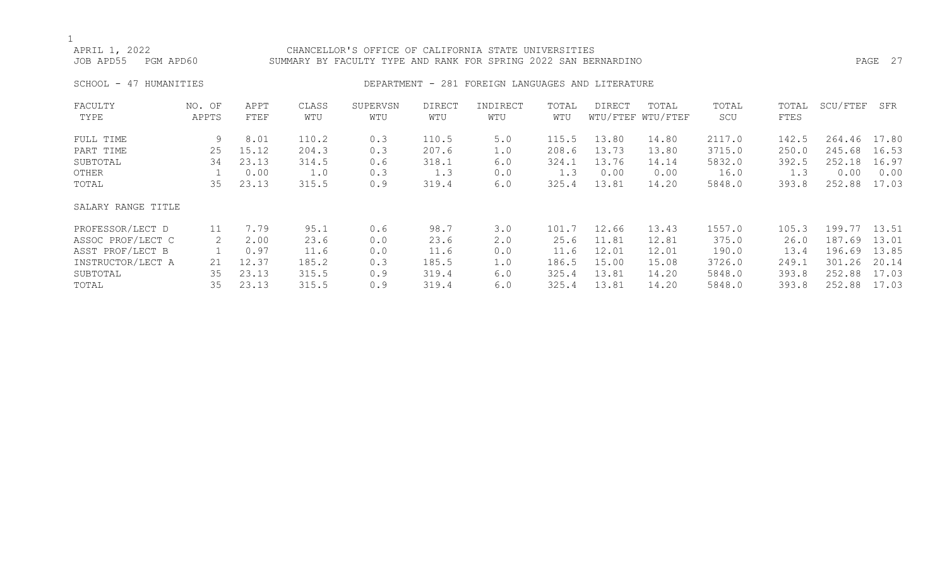## APRIL 1, 2022 CHANCELLOR'S OFFICE OF CALIFORNIA STATE UNIVERSITIES JOB APD55 PGM APD60 SUMMARY BY FACULTY TYPE AND RANK FOR SPRING 2022 SAN BERNARDINO PAGE 27

### SCHOOL - 47 HUMANITIES **DEPARTMENT - 281 FOREIGN LANGUAGES AND LITERATURE**

| FACULTY            | NO. OF | APPT  | CLASS | SUPERVSN | <b>DIRECT</b> | INDIRECT | TOTAL | <b>DIRECT</b> | TOTAL             | TOTAL  | TOTAL | SCU/FTEF | SFR   |
|--------------------|--------|-------|-------|----------|---------------|----------|-------|---------------|-------------------|--------|-------|----------|-------|
| TYPE               | APPTS  | FTEF  | WTU   | WTU      | WTU           | WTU      | WTU   |               | WTU/FTEF WTU/FTEF | SCU    | FTES  |          |       |
| FULL TIME          | 9      | 8.01  | 110.2 | 0.3      | 110.5         | 5.0      | 115.5 | 13.80         | 14.80             | 2117.0 | 142.5 | 264.46   | 17.80 |
| PART TIME          | 25     | 15.12 | 204.3 | 0.3      | 207.6         | 1.0      | 208.6 | 13.73         | 13.80             | 3715.0 | 250.0 | 245.68   | 16.53 |
| SUBTOTAL           | 34     | 23.13 | 314.5 | 0.6      | 318.1         | 6.0      | 324.1 | 13.76         | 14.14             | 5832.0 | 392.5 | 252.18   | 16.97 |
| OTHER              |        | 0.00  | 1.0   | 0.3      | 1.3           | 0.0      | 1.3   | 0.00          | 0.00              | 16.0   | 1.3   | 0.00     | 0.00  |
| TOTAL              | 35     | 23.13 | 315.5 | 0.9      | 319.4         | 6.0      | 325.4 | 13.81         | 14.20             | 5848.0 | 393.8 | 252.88   | 17.03 |
| SALARY RANGE TITLE |        |       |       |          |               |          |       |               |                   |        |       |          |       |
| PROFESSOR/LECT D   | 11     | 7.79  | 95.1  | 0.6      | 98.7          | 3.0      | 101.7 | 12.66         | 13.43             | 1557.0 | 105.3 | 199.77   | 13.51 |
| ASSOC PROF/LECT C  | 2      | 2.00  | 23.6  | 0.0      | 23.6          | 2.0      | 25.6  | 11.81         | 12.81             | 375.0  | 26.0  | 187.69   | 13.01 |
| ASST PROF/LECT B   |        | 0.97  | 11.6  | 0.0      | 11.6          | 0.0      | 11.6  | 12.01         | 12.01             | 190.0  | 13.4  | 196.69   | 13.85 |
| INSTRUCTOR/LECT A  | 21     | 12.37 | 185.2 | 0.3      | 185.5         | 1.0      | 186.5 | 15.00         | 15.08             | 3726.0 | 249.1 | 301.26   | 20.14 |
| SUBTOTAL           | 35     | 23.13 | 315.5 | 0.9      | 319.4         | 6.0      | 325.4 | 13.81         | 14.20             | 5848.0 | 393.8 | 252.88   | 17.03 |
| TOTAL              | 35     | 23.13 | 315.5 | 0.9      | 319.4         | 6.0      | 325.4 | 13.81         | 14.20             | 5848.0 | 393.8 | 252.88   | 17.03 |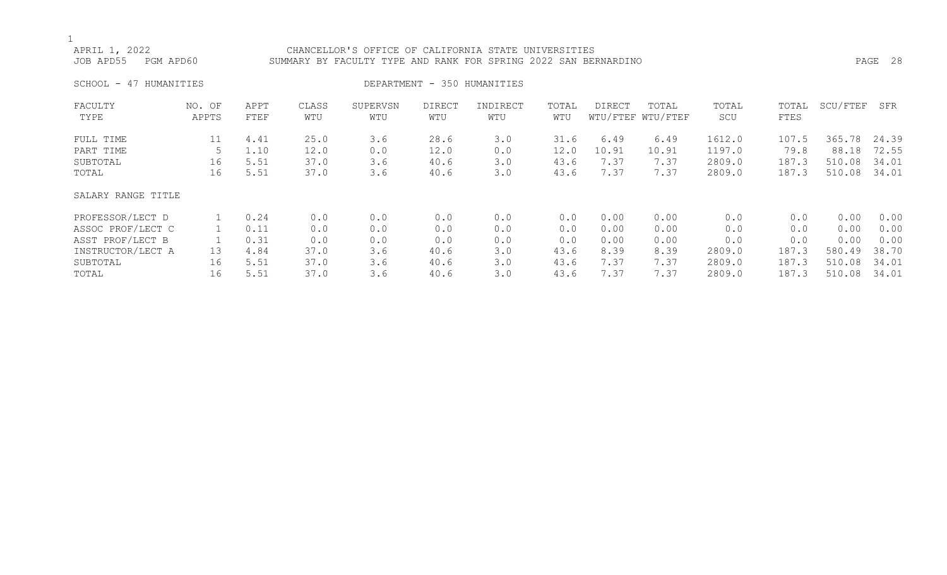## APRIL 1, 2022<br>JOB APD55 PGM APD60 SUMMARY BY FACULTY TYPE AND RANK FOR SPRING 2022 SAN BER SUMMARY BY FACULTY TYPE AND RANK FOR SPRING 2022 SAN BERNARDINO PASS PAGE 28 SCHOOL - 47 HUMANITIES **DEPARTMENT - 350 HUMANITIES** FACULTY NO. OF APPT CLASS SUPERVSN DIRECT INDIRECT TOTAL DIRECT TOTAL TOTAL TOTAL SCU/FTEF SFR

| TYPE               | APPTS | FTEF | WTU  | WTU | WTU  | WTU | WTU  |       | WTU/FTEF WTU/FTEF | SCU    | FTES  |        |       |
|--------------------|-------|------|------|-----|------|-----|------|-------|-------------------|--------|-------|--------|-------|
| FULL TIME          | 11    | 4.41 | 25.0 | 3.6 | 28.6 | 3.0 | 31.6 | 6.49  | 6.49              | 1612.0 | 107.5 | 365.78 | 24.39 |
| PART TIME          |       | 1.10 | 12.0 | 0.0 | 12.0 | 0.0 | 12.0 | 10.91 | 10.91             | 1197.0 | 79.8  | 88.18  | 72.55 |
| SUBTOTAL           | 16    | 5.51 | 37.0 | 3.6 | 40.6 | 3.0 | 43.6 | 7.37  | 7.37              | 2809.0 | 187.3 | 510.08 | 34.01 |
| TOTAL              | 16    | 5.51 | 37.0 | 3.6 | 40.6 | 3.0 | 43.6 | 7.37  | 7.37              | 2809.0 | 187.3 | 510.08 | 34.01 |
| SALARY RANGE TITLE |       |      |      |     |      |     |      |       |                   |        |       |        |       |
| PROFESSOR/LECT D   |       | 0.24 | 0.0  | 0.0 | 0.0  | 0.0 | 0.0  | 0.00  | 0.00              | 0.0    | 0.0   | 0.00   | 0.00  |
| ASSOC PROF/LECT C  |       | 0.11 | 0.0  | 0.0 | 0.0  | 0.0 | 0.0  | 0.00  | 0.00              | 0.0    | 0.0   | 0.00   | 0.00  |
| ASST PROF/LECT B   |       | 0.31 | 0.0  | 0.0 | 0.0  | 0.0 | 0.0  | 0.00  | 0.00              | 0.0    | 0.0   | 0.00   | 0.00  |
| INSTRUCTOR/LECT A  | 13    | 4.84 | 37.0 | 3.6 | 40.6 | 3.0 | 43.6 | 8.39  | 8.39              | 2809.0 | 187.3 | 580.49 | 38.70 |
| SUBTOTAL           | 16    | 5.51 | 37.0 | 3.6 | 40.6 | 3.0 | 43.6 | 7.37  | 7.37              | 2809.0 | 187.3 | 510.08 | 34.01 |
| TOTAL              | 16    | 5.51 | 37.0 | 3.6 | 40.6 | 3.0 | 43.6 | 7.37  | 7.37              | 2809.0 | 187.3 | 510.08 | 34.01 |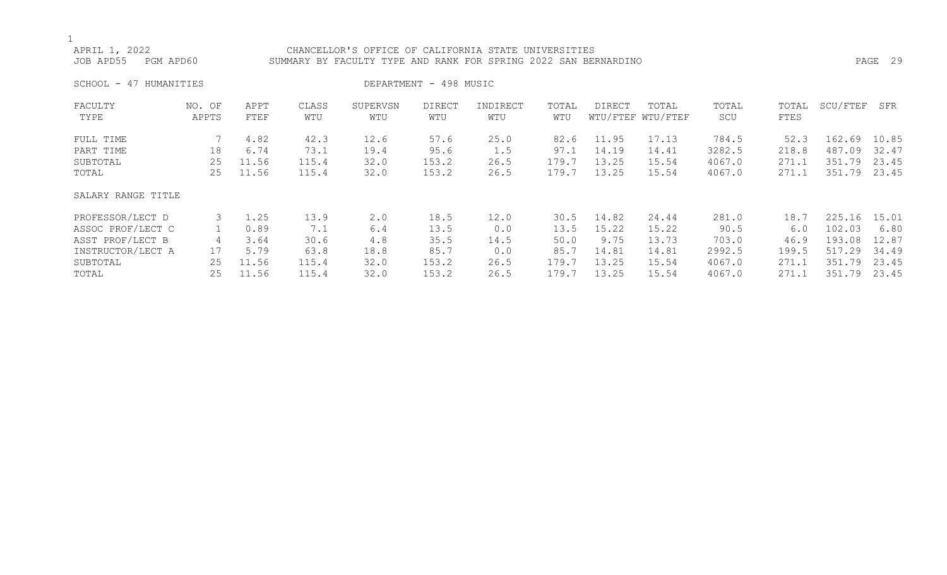## APRIL 1, 2022<br>JOB APD55 PGM APD60 SUMMARY BY FACULTY TYPE AND RANK FOR SPRING 2022 SAN BER SUMMARY BY FACULTY TYPE AND RANK FOR SPRING 2022 SAN BERNARDINO PAGE 29 SCHOOL - 47 HUMANITIES DEPARTMENT - 498 MUSIC FACULTY NO. OF APPT CLASS SUPERVSN DIRECT INDIRECT TOTAL DIRECT TOTAL TOTAL TOTAL SCU/FTEF SFR TYPE APPTS FTEF WTU WTU WTU WTU WTU WTU/FTEF WTU/FTEF SCU FTES

| FULL TIME          |    | 4.82  | 42.3  | 12.6 | 57.6  | 25.0 | 82.6  | 11.95 | 17.13 | 784.5  | 52.3  | 162.69       | 10.85 |
|--------------------|----|-------|-------|------|-------|------|-------|-------|-------|--------|-------|--------------|-------|
| PART TIME          | 18 | 6.74  | 73.1  | 19.4 | 95.6  | 1.5  | 97.1  | 14.19 | 14.41 | 3282.5 | 218.8 | 487.09       | 32.47 |
| SUBTOTAL           | 25 | 11.56 | 115.4 | 32.0 | 153.2 | 26.5 | 179.7 | 13.25 | 15.54 | 4067.0 | 271.1 | 351.79       | 23.45 |
| TOTAL              | 25 | 11.56 | 115.4 | 32.0 | 153.2 | 26.5 | 179.7 | 13.25 | 15.54 | 4067.0 | 271.1 | 351.79 23.45 |       |
| SALARY RANGE TITLE |    |       |       |      |       |      |       |       |       |        |       |              |       |
| PROFESSOR/LECT D   |    | 1.25  | 13.9  | 2.0  | 18.5  | 12.0 | 30.5  | 14.82 | 24.44 | 281.0  | 18.7  | 225.16       | 15.01 |
| ASSOC PROF/LECT C  |    | 0.89  | 7.1   | 6.4  | 13.5  | 0.0  | 13.5  | 15.22 | 15.22 | 90.5   | 6.0   | 102.03       | 6.80  |
| ASST PROF/LECT B   | 4  | 3.64  | 30.6  | 4.8  | 35.5  | 14.5 | 50.0  | 9.75  | 13.73 | 703.0  | 46.9  | 193.08       | 12.87 |
| INSTRUCTOR/LECT A  | 17 | 5.79  | 63.8  | 18.8 | 85.7  | 0.0  | 85.7  | 14.81 | 14.81 | 2992.5 | 199.5 | 517.29       | 34.49 |
| SUBTOTAL           | 25 | 11.56 | 115.4 | 32.0 | 153.2 | 26.5 | 179.7 | 13.25 | 15.54 | 4067.0 | 271.1 | 351.79       | 23.45 |
| TOTAL              | 25 | 11.56 | 115.4 | 32.0 | 153.2 | 26.5 | 179.7 | 13.25 | 15.54 | 4067.0 | 271.1 | 351.79 23.45 |       |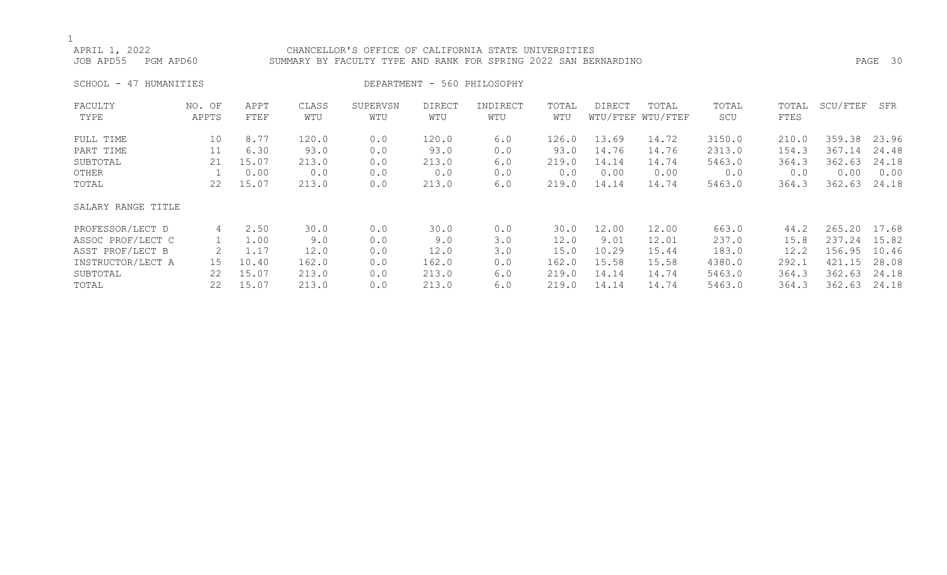## APRIL 1, 2022 CHANCELLOR'S OFFICE OF CALIFORNIA STATE UNIVERSITIES

JOB APD55 PGM APD60 SUMMARY BY FACULTY TYPE AND RANK FOR SPRING 2022 SAN BERNARDINO PAGE 30

SCHOOL - 47 HUMANITIES DEPARTMENT - 560 PHILOSOPHY

| FACULTY            | NO. OF | APPT  | CLASS | SUPERVSN | DIRECT | INDIRECT | TOTAL | DIRECT | TOTAL             | TOTAL  | TOTAL | SCU/FTEF | SFR   |
|--------------------|--------|-------|-------|----------|--------|----------|-------|--------|-------------------|--------|-------|----------|-------|
| TYPE               | APPTS  | FTEF  | WTU   | WTU      | WTU    | WTU      | WTU   |        | WTU/FTEF WTU/FTEF | SCU    | FTES  |          |       |
| FULL TIME          | 10     | 8.77  | 120.0 | 0.0      | 120.0  | 6.0      | 126.0 | 13.69  | 14.72             | 3150.0 | 210.0 | 359.38   | 23.96 |
| PART TIME          | 11     | 6.30  | 93.0  | 0.0      | 93.0   | 0.0      | 93.0  | 14.76  | 14.76             | 2313.0 | 154.3 | 367.14   | 24.48 |
| SUBTOTAL           | 21     | 15.07 | 213.0 | 0.0      | 213.0  | 6.0      | 219.0 | 14.14  | 14.74             | 5463.0 | 364.3 | 362.63   | 24.18 |
| OTHER              |        | 0.00  | 0.0   | 0.0      | 0.0    | 0.0      | 0.0   | 0.00   | 0.00              | 0.0    | 0.0   | 0.00     | 0.00  |
| TOTAL              | 22     | 15.07 | 213.0 | 0.0      | 213.0  | 6.0      | 219.0 | 14.14  | 14.74             | 5463.0 | 364.3 | 362.63   | 24.18 |
| SALARY RANGE TITLE |        |       |       |          |        |          |       |        |                   |        |       |          |       |
| PROFESSOR/LECT D   | 4      | 2.50  | 30.0  | 0.0      | 30.0   | 0.0      | 30.0  | 12.00  | 12.00             | 663.0  | 44.2  | 265.20   | 17.68 |
| ASSOC PROF/LECT C  |        | 1.00  | 9.0   | 0.0      | 9.0    | 3.0      | 12.0  | 9.01   | 12.01             | 237.0  | 15.8  | 237.24   | 15.82 |
| ASST PROF/LECT B   |        | 1.17  | 12.0  | 0.0      | 12.0   | 3.0      | 15.0  | 10.29  | 15.44             | 183.0  | 12.2  | 156.95   | 10.46 |
| INSTRUCTOR/LECT A  | 15     | 10.40 | 162.0 | 0.0      | 162.0  | 0.0      | 162.0 | 15.58  | 15.58             | 4380.0 | 292.1 | 421.15   | 28.08 |
| SUBTOTAL           | 22     | 15.07 | 213.0 | 0.0      | 213.0  | 6.0      | 219.0 | 14.14  | 14.74             | 5463.0 | 364.3 | 362.63   | 24.18 |
| TOTAL              | 22     | 15.07 | 213.0 | 0.0      | 213.0  | 6.0      | 219.0 | 14.14  | 14.74             | 5463.0 | 364.3 | 362.63   | 24.18 |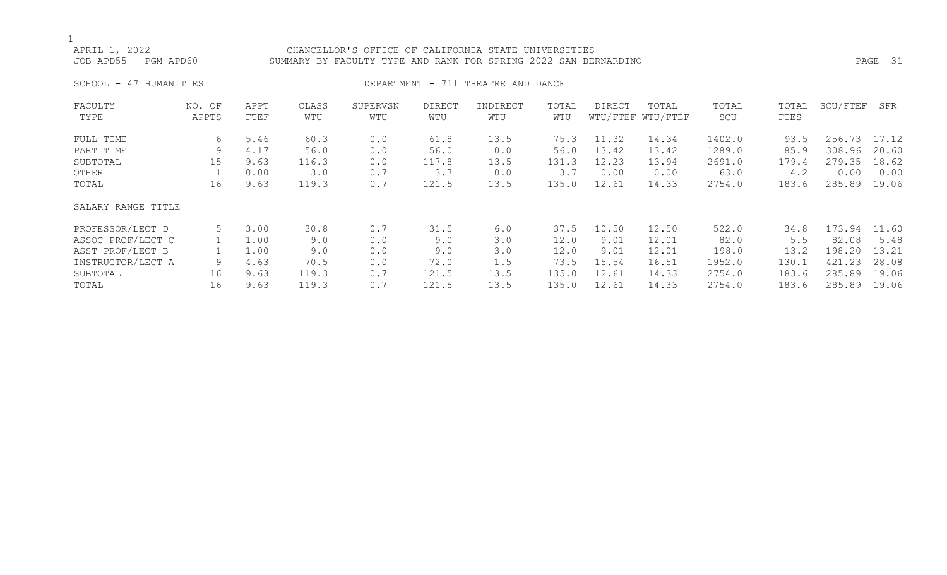## APRIL 1, 2022 CHANCELLOR'S OFFICE OF CALIFORNIA STATE UNIVERSITIES JOB APD55 PGM APD60 SUMMARY BY FACULTY TYPE AND RANK FOR SPRING 2022 SAN BERNARDINO PAGE 31

### SCHOOL - 47 HUMANITIES **DEPARTMENT - 711 THEATRE AND DANCE**

| FACULTY            | NO. OF | APPT | CLASS | SUPERVSN | <b>DIRECT</b> | INDIRECT | TOTAL | DIRECT | TOTAL             | TOTAL  | TOTAL | SCU/FTEF | SFR   |
|--------------------|--------|------|-------|----------|---------------|----------|-------|--------|-------------------|--------|-------|----------|-------|
| TYPE               | APPTS  | FTEF | WTU   | WTU      | WTU           | WTU      | WTU   |        | WTU/FTEF WTU/FTEF | SCU    | FTES  |          |       |
| FULL TIME          | 6      | 5.46 | 60.3  | 0.0      | 61.8          | 13.5     | 75.3  | 11.32  | 14.34             | 1402.0 | 93.5  | 256.73   | 17.12 |
| PART TIME          | 9      | 4.17 | 56.0  | 0.0      | 56.0          | 0.0      | 56.0  | 13.42  | 13.42             | 1289.0 | 85.9  | 308.96   | 20.60 |
| SUBTOTAL           | 15     | 9.63 | 116.3 | 0.0      | 117.8         | 13.5     | 131.3 | 12.23  | 13.94             | 2691.0 | 179.4 | 279.35   | 18.62 |
| OTHER              |        | 0.00 | 3.0   | 0.7      | 3.7           | 0.0      | 3.7   | 0.00   | 0.00              | 63.0   | 4.2   | 0.00     | 0.00  |
| TOTAL              | 16     | 9.63 | 119.3 | 0.7      | 121.5         | 13.5     | 135.0 | 12.61  | 14.33             | 2754.0 | 183.6 | 285.89   | 19.06 |
| SALARY RANGE TITLE |        |      |       |          |               |          |       |        |                   |        |       |          |       |
| PROFESSOR/LECT D   | 5      | 3.00 | 30.8  | 0.7      | 31.5          | 6.0      | 37.5  | 10.50  | 12.50             | 522.0  | 34.8  | 173.94   | 11.60 |
| ASSOC PROF/LECT C  |        | 1.00 | 9.0   | 0.0      | 9.0           | 3.0      | 12.0  | 9.01   | 12.01             | 82.0   | 5.5   | 82.08    | 5.48  |
| ASST PROF/LECT B   |        | 1.00 | 9.0   | 0.0      | 9.0           | 3.0      | 12.0  | 9.01   | 12.01             | 198.0  | 13.2  | 198.20   | 13.21 |
| INSTRUCTOR/LECT A  | 9      | 4.63 | 70.5  | 0.0      | 72.0          | 1.5      | 73.5  | 15.54  | 16.51             | 1952.0 | 130.1 | 421.23   | 28.08 |
| SUBTOTAL           | 16     | 9.63 | 119.3 | 0.7      | 121.5         | 13.5     | 135.0 | 12.61  | 14.33             | 2754.0 | 183.6 | 285.89   | 19.06 |
| TOTAL              | 16     | 9.63 | 119.3 | 0.7      | 121.5         | 13.5     | 135.0 | 12.61  | 14.33             | 2754.0 | 183.6 | 285.89   | 19.06 |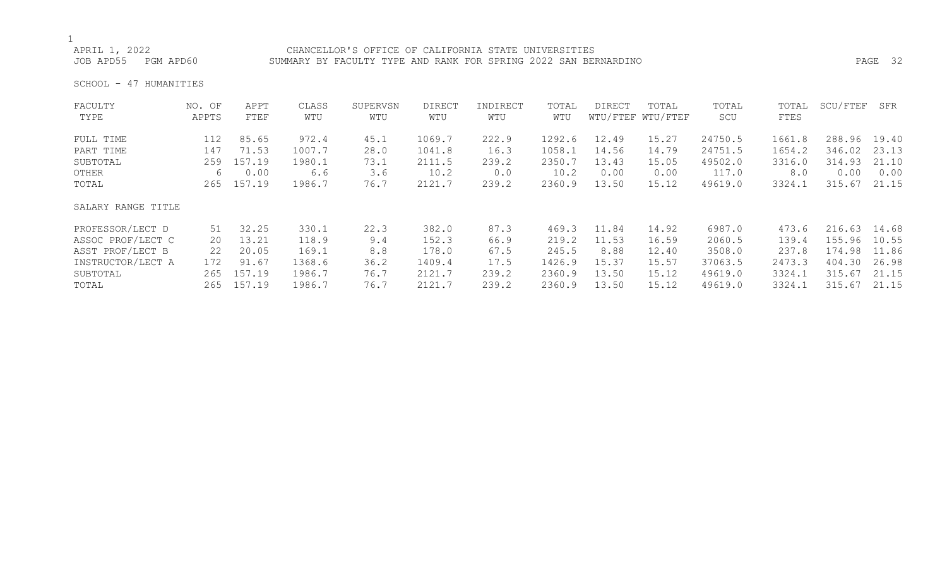# APRIL 1, 2022<br>JOB APD55 PGM APD60 SUMMARY BY FACULTY TYPE AND RANK FOR SPRING 2022 SAN BER

SUMMARY BY FACULTY TYPE AND RANK FOR SPRING 2022 SAN BERNARDINO **PAGE 32** 

SCHOOL - 47 HUMANITIES

| FACULTY            | NO. OF | APPT   | CLASS  | SUPERVSN | <b>DIRECT</b> | INDIRECT | TOTAL  | DIRECT | TOTAL             | TOTAL   | TOTAL  | SCU/FTEF | SFR   |
|--------------------|--------|--------|--------|----------|---------------|----------|--------|--------|-------------------|---------|--------|----------|-------|
| TYPE               | APPTS  | FTEF   | WTU    | WTU      | WTU           | WTU      | WTU    |        | WTU/FTEF WTU/FTEF | SCU     | FTES   |          |       |
| FULL TIME          | 112    | 85.65  | 972.4  | 45.1     | 1069.7        | 222.9    | 1292.6 | 12.49  | 15.27             | 24750.5 | 1661.8 | 288.96   | 19.40 |
| PART TIME          | 147    | 71.53  | 1007.7 | 28.0     | 1041.8        | 16.3     | 1058.1 | 14.56  | 14.79             | 24751.5 | 1654.2 | 346.02   | 23.13 |
| SUBTOTAL           | 259    | 157.19 | 1980.1 | 73.1     | 2111.5        | 239.2    | 2350.7 | 13.43  | 15.05             | 49502.0 | 3316.0 | 314.93   | 21.10 |
| OTHER              | 6      | 0.00   | 6.6    | 3.6      | 10.2          | 0.0      | 10.2   | 0.00   | 0.00              | 117.0   | 8.0    | 0.00     | 0.00  |
| TOTAL              | 265    | 157.19 | 1986.7 | 76.7     | 2121.7        | 239.2    | 2360.9 | 13.50  | 15.12             | 49619.0 | 3324.1 | 315.67   | 21.15 |
| SALARY RANGE TITLE |        |        |        |          |               |          |        |        |                   |         |        |          |       |
| PROFESSOR/LECT D   | 51     | 32.25  | 330.1  | 22.3     | 382.0         | 87.3     | 469.3  | 11.84  | 14.92             | 6987.0  | 473.6  | 216.63   | 14.68 |
| ASSOC PROF/LECT C  | 20     | 13.21  | 118.9  | 9.4      | 152.3         | 66.9     | 219.2  | 11.53  | 16.59             | 2060.5  | 139.4  | 155.96   | 10.55 |
| ASST PROF/LECT B   | 22     | 20.05  | 169.1  | 8.8      | 178.0         | 67.5     | 245.5  | 8.88   | 12.40             | 3508.0  | 237.8  | 174.98   | 11.86 |
| INSTRUCTOR/LECT A  | 172    | 91.67  | 1368.6 | 36.2     | 1409.4        | 17.5     | 1426.9 | 15.37  | 15.57             | 37063.5 | 2473.3 | 404.30   | 26.98 |
| SUBTOTAL           | 265    | 157.19 | 1986.7 | 76.7     | 2121.7        | 239.2    | 2360.9 | 13.50  | 15.12             | 49619.0 | 3324.1 | 315.67   | 21.15 |
| TOTAL              | 265    | 157.19 | 1986.7 | 76.7     | 2121.7        | 239.2    | 2360.9 | 13.50  | 15.12             | 49619.0 | 3324.1 | 315.67   | 21.15 |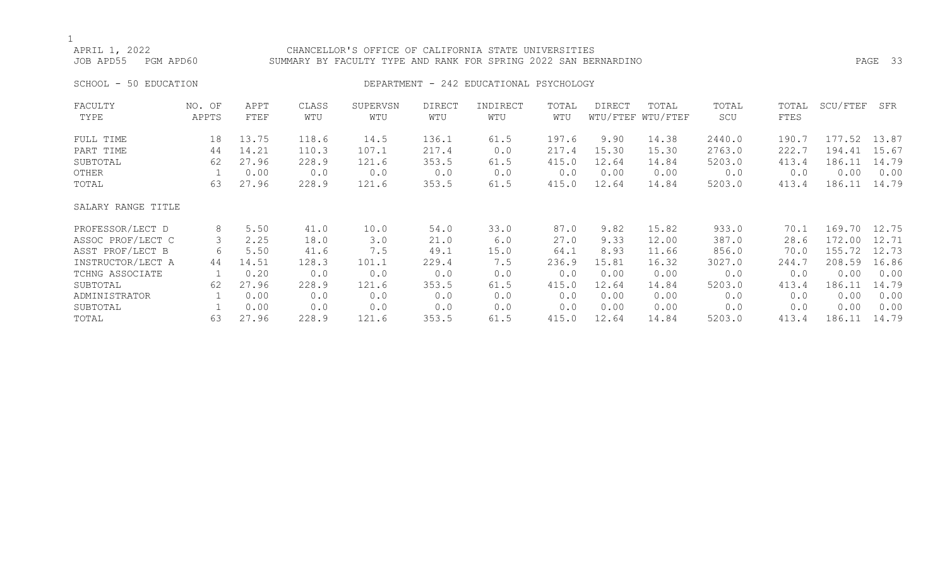## APRIL 1, 2022 CHANCELLOR'S OFFICE OF CALIFORNIA STATE UNIVERSITIES JOB APD55 PGM APD60 SUMMARY BY FACULTY TYPE AND RANK FOR SPRING 2022 SAN BERNARDINO PAGE 33

### SCHOOL - 50 EDUCATION DEPARTMENT - 242 EDUCATIONAL PSYCHOLOGY

| FACULTY            | NO. OF | APPT  | CLASS | SUPERVSN | <b>DIRECT</b> | INDIRECT | TOTAL | DIRECT | TOTAL             | TOTAL  | TOTAL | SCU/FTEF | SFR   |
|--------------------|--------|-------|-------|----------|---------------|----------|-------|--------|-------------------|--------|-------|----------|-------|
| TYPE               | APPTS  | FTEF  | WTU   | WTU      | WTU           | WTU      | WTU   |        | WTU/FTEF WTU/FTEF | SCU    | FTES  |          |       |
| FULL TIME          | 18     | 13.75 | 118.6 | 14.5     | 136.1         | 61.5     | 197.6 | 9.90   | 14.38             | 2440.0 | 190.7 | 177.52   | 13.87 |
| PART TIME          | 44     | 14.21 | 110.3 | 107.1    | 217.4         | 0.0      | 217.4 | 15.30  | 15.30             | 2763.0 | 222.7 | 194.41   | 15.67 |
| SUBTOTAL           | 62     | 27.96 | 228.9 | 121.6    | 353.5         | 61.5     | 415.0 | 12.64  | 14.84             | 5203.0 | 413.4 | 186.11   | 14.79 |
| OTHER              |        | 0.00  | 0.0   | 0.0      | 0.0           | 0.0      | 0.0   | 0.00   | 0.00              | 0.0    | 0.0   | 0.00     | 0.00  |
| TOTAL              | 63     | 27.96 | 228.9 | 121.6    | 353.5         | 61.5     | 415.0 | 12.64  | 14.84             | 5203.0 | 413.4 | 186.11   | 14.79 |
| SALARY RANGE TITLE |        |       |       |          |               |          |       |        |                   |        |       |          |       |
| PROFESSOR/LECT D   | 8      | 5.50  | 41.0  | 10.0     | 54.0          | 33.0     | 87.0  | 9.82   | 15.82             | 933.0  | 70.1  | 169.70   | 12.75 |
| ASSOC PROF/LECT C  | 3      | 2.25  | 18.0  | 3.0      | 21.0          | 6.0      | 27.0  | 9.33   | 12.00             | 387.0  | 28.6  | 172.00   | 12.71 |
| ASST PROF/LECT B   | 6      | 5.50  | 41.6  | 7.5      | 49.1          | 15.0     | 64.1  | 8.93   | 11.66             | 856.0  | 70.0  | 155.72   | 12.73 |
| INSTRUCTOR/LECT A  | 44     | 14.51 | 128.3 | 101.1    | 229.4         | 7.5      | 236.9 | 15.81  | 16.32             | 3027.0 | 244.7 | 208.59   | 16.86 |
| TCHNG ASSOCIATE    |        | 0.20  | 0.0   | 0.0      | 0.0           | 0.0      | 0.0   | 0.00   | 0.00              | 0.0    | 0.0   | 0.00     | 0.00  |
| SUBTOTAL           | 62     | 27.96 | 228.9 | 121.6    | 353.5         | 61.5     | 415.0 | 12.64  | 14.84             | 5203.0 | 413.4 | 186.11   | 14.79 |
| ADMINISTRATOR      |        | 0.00  | 0.0   | 0.0      | 0.0           | 0.0      | 0.0   | 0.00   | 0.00              | 0.0    | 0.0   | 0.00     | 0.00  |
| SUBTOTAL           |        | 0.00  | 0.0   | 0.0      | 0.0           | 0.0      | 0.0   | 0.00   | 0.00              | 0.0    | 0.0   | 0.00     | 0.00  |
| TOTAL              | 63     | 27.96 | 228.9 | 121.6    | 353.5         | 61.5     | 415.0 | 12.64  | 14.84             | 5203.0 | 413.4 | 186.11   | 14.79 |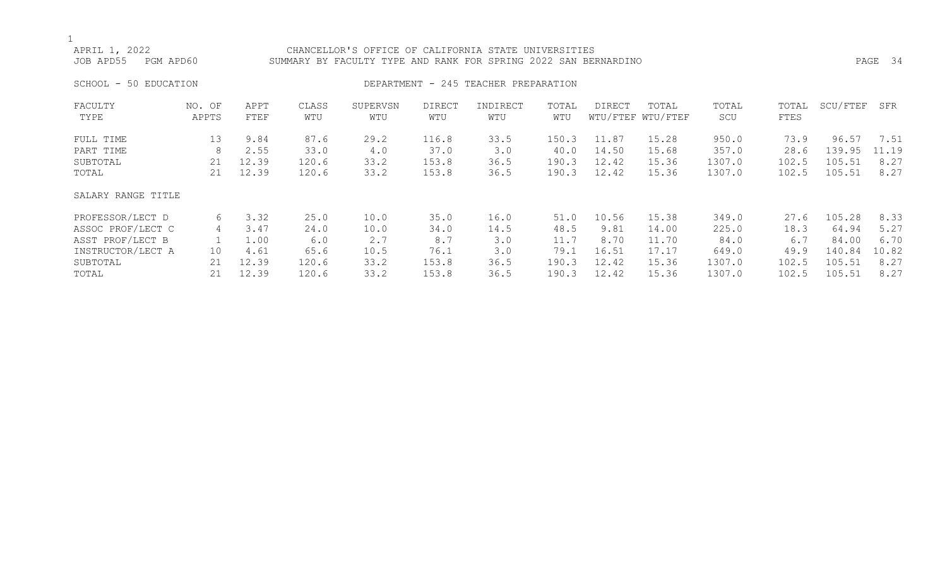## APRIL 1, 2022 CHANCELLOR'S OFFICE OF CALIFORNIA STATE UNIVERSITIES SUMMARY BY FACULTY TYPE AND RANK FOR SPRING 2022 SAN BERNARDINO PAGE 2008 FAGE 34 SCHOOL - 50 EDUCATION **DEPARTMENT - 245 TEACHER PREPARATION** FACULTY NO. OF APPT CLASS SUPERVSN DIRECT INDIRECT TOTAL DIRECT TOTAL TOTAL TOTAL SCU/FTEF SFR TYPE APPTS FTEF WTU WTU WTU WTU WTU WTU/FTEF WTU/FTEF SCU FTES FULL TIME 13 9.84 87.6 29.2 116.8 33.5 150.3 11.87 15.28 950.0 73.9 96.57 7.51

| PART TIME<br>SUBTOTAL<br>TOTAL | 8<br>21<br>21 | 2.55<br>12.39<br>12.39 | 33.0<br>120.6<br>120.6 | 4.0<br>33.2<br>33.2 | 37.0<br>153.8<br>153.8 | 3.0<br>36.5<br>36.5 | 40.0<br>190.3<br>190.3 | 14.50<br>12.42<br>12.42 | 15.68<br>15.36<br>15.36 | 357.0<br>1307.0<br>1307.0 | 28.6<br>102.5<br>102.5 | 139.95<br>105.51<br>105.51 | 11.19<br>8.27<br>8.27 |
|--------------------------------|---------------|------------------------|------------------------|---------------------|------------------------|---------------------|------------------------|-------------------------|-------------------------|---------------------------|------------------------|----------------------------|-----------------------|
| SALARY RANGE TITLE             |               |                        |                        |                     |                        |                     |                        |                         |                         |                           |                        |                            |                       |
| PROFESSOR/LECT D               | 6             | 3.32                   | 25.0                   | 10.0                | 35.0                   | 16.0                | 51.0                   | 10.56                   | 15.38                   | 349.0                     | 27.6                   | 105.28                     | 8.33                  |
| ASSOC PROF/LECT C              | 4             | 3.47                   | 24.0                   | 10.0                | 34.0                   | 14.5                | 48.5                   | 9.81                    | 14.00                   | 225.0                     | 18.3                   | 64.94                      | 5.27                  |
| ASST PROF/LECT B               |               | 1.00                   | 6.0                    | 2.7                 | 8.7                    | 3.0                 | 11.7                   | 8.70                    | 11.70                   | 84.0                      | 6.7                    | 84.00                      | 6.70                  |
| INSTRUCTOR/LECT A              | 10            | 4.61                   | 65.6                   | 10.5                | 76.1                   | 3.0                 | 79.1                   | 16.51                   | 17.17                   | 649.0                     | 49.9                   | 140.84                     | 10.82                 |
| SUBTOTAL                       | 21            | 12.39                  | 120.6                  | 33.2                | 153.8                  | 36.5                | 190.3                  | 12.42                   | 15.36                   | 1307.0                    | 102.5                  | 105.51                     | 8.27                  |
| TOTAL                          | 21            | 12.39                  | 120.6                  | 33.2                | 153.8                  | 36.5                | 190.3                  | 12.42                   | 15.36                   | 1307.0                    | 102.5                  | 105.51                     | 8.27                  |
|                                |               |                        |                        |                     |                        |                     |                        |                         |                         |                           |                        |                            |                       |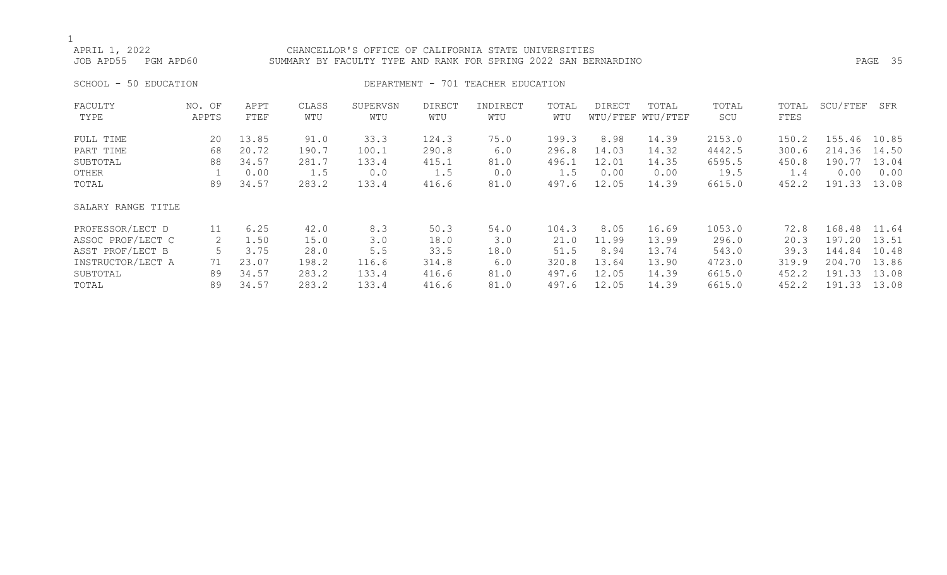## APRIL 1, 2022 CHANCELLOR'S OFFICE OF CALIFORNIA STATE UNIVERSITIES JOB APD55 PGM APD60 SUMMARY BY FACULTY TYPE AND RANK FOR SPRING 2022 SAN BERNARDINO PAGE 35

## SCHOOL - 50 EDUCATION **DEPARTMENT** - 701 TEACHER EDUCATION

| FACULTY<br>TYPE    | NO. OF<br>APPTS | APPT<br>FTEF | CLASS<br>WTU | SUPERVSN<br>WTU | <b>DIRECT</b><br>WTU | INDIRECT<br>WTU | TOTAL<br>WTU | DIRECT | TOTAL<br>WTU/FTEF WTU/FTEF | TOTAL<br>SCU | TOTAL<br>FTES | SCU/FTEF | SFR   |
|--------------------|-----------------|--------------|--------------|-----------------|----------------------|-----------------|--------------|--------|----------------------------|--------------|---------------|----------|-------|
| FULL TIME          | 20              | 13.85        | 91.0         | 33.3            | 124.3                | 75.0            | 199.3        | 8.98   | 14.39                      | 2153.0       | 150.2         | 155.46   | 10.85 |
| PART TIME          | 68              | 20.72        | 190.7        | 100.1           | 290.8                | 6.0             | 296.8        | 14.03  | 14.32                      | 4442.5       | 300.6         | 214.36   | 14.50 |
| SUBTOTAL           | 88              | 34.57        | 281.7        | 133.4           | 415.1                | 81.0            | 496.1        | 12.01  | 14.35                      | 6595.5       | 450.8         | 190.77   | 13.04 |
| OTHER              |                 | 0.00         | 1.5          | 0.0             | 1.5                  | 0.0             | 1.5          | 0.00   | 0.00                       | 19.5         | 1.4           | 0.00     | 0.00  |
| TOTAL              | 89              | 34.57        | 283.2        | 133.4           | 416.6                | 81.0            | 497.6        | 12.05  | 14.39                      | 6615.0       | 452.2         | 191.33   | 13.08 |
| SALARY RANGE TITLE |                 |              |              |                 |                      |                 |              |        |                            |              |               |          |       |
| PROFESSOR/LECT D   | 11              | 6.25         | 42.0         | 8.3             | 50.3                 | 54.0            | 104.3        | 8.05   | 16.69                      | 1053.0       | 72.8          | 168.48   | 11.64 |
| ASSOC PROF/LECT C  | 2               | 1.50         | 15.0         | 3.0             | 18.0                 | 3.0             | 21.0         | 11.99  | 13.99                      | 296.0        | 20.3          | 197.20   | 13.51 |
| ASST PROF/LECT B   |                 | 3.75         | 28.0         | 5.5             | 33.5                 | 18.0            | 51.5         | 8.94   | 13.74                      | 543.0        | 39.3          | 144.84   | 10.48 |
| INSTRUCTOR/LECT A  | 71              | 23.07        | 198.2        | 116.6           | 314.8                | 6.0             | 320.8        | 13.64  | 13.90                      | 4723.0       | 319.9         | 204.70   | 13.86 |
| SUBTOTAL           | 89              | 34.57        | 283.2        | 133.4           | 416.6                | 81.0            | 497.6        | 12.05  | 14.39                      | 6615.0       | 452.2         | 191.33   | 13.08 |
| TOTAL              | 89              | 34.57        | 283.2        | 133.4           | 416.6                | 81.0            | 497.6        | 12.05  | 14.39                      | 6615.0       | 452.2         | 191.33   | 13.08 |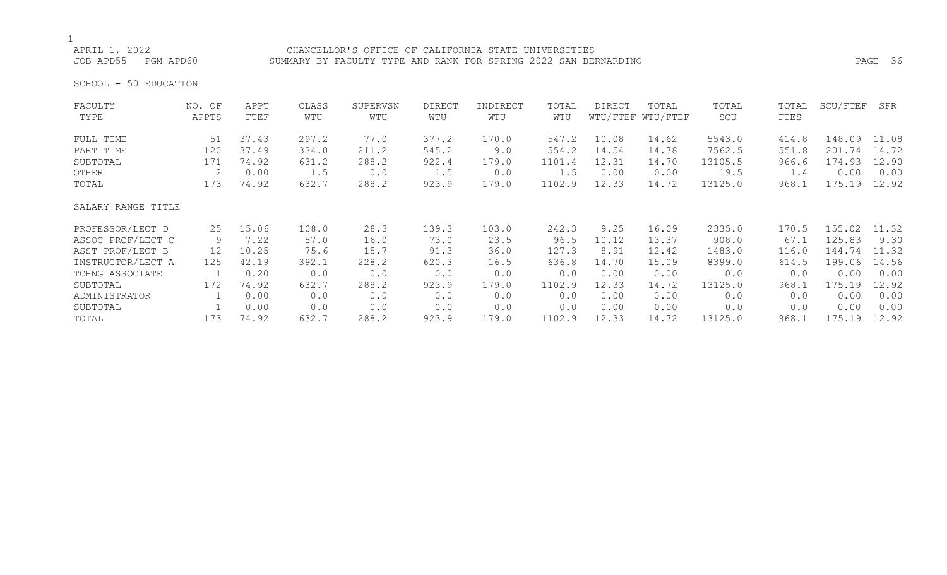APRIL 1, 2022<br>JOB APD55 PGM APD60 SUMMARY BY FACULTY TYPE AND RANK FOR SPRING 2022 SAN BER SUMMARY BY FACULTY TYPE AND RANK FOR SPRING 2022 SAN BERNARDINO **PAGE 36** 

SCHOOL - 50 EDUCATION

| FACULTY            | NO. OF | APPT  | CLASS | SUPERVSN | <b>DIRECT</b> | INDIRECT | TOTAL  | <b>DIRECT</b> | TOTAL             | TOTAL   | TOTAL | SCU/FTEF | SFR   |
|--------------------|--------|-------|-------|----------|---------------|----------|--------|---------------|-------------------|---------|-------|----------|-------|
| TYPE               | APPTS  | FTEF  | WTU   | WTU      | WTU           | WTU      | WTU    |               | WTU/FTEF WTU/FTEF | SCU     | FTES  |          |       |
| FULL TIME          | 51     | 37.43 | 297.2 | 77.0     | 377.2         | 170.0    | 547.2  | 10.08         | 14.62             | 5543.0  | 414.8 | 148.09   | 11.08 |
| PART TIME          | 120    | 37.49 | 334.0 | 211.2    | 545.2         | 9.0      | 554.2  | 14.54         | 14.78             | 7562.5  | 551.8 | 201.74   | 14.72 |
| SUBTOTAL           | 171    | 74.92 | 631.2 | 288.2    | 922.4         | 179.0    | 1101.4 | 12.31         | 14.70             | 13105.5 | 966.6 | 174.93   | 12.90 |
| OTHER              | 2      | 0.00  | 1.5   | 0.0      | 1.5           | 0.0      | 1.5    | 0.00          | 0.00              | 19.5    | 1.4   | 0.00     | 0.00  |
| TOTAL              | 173    | 74.92 | 632.7 | 288.2    | 923.9         | 179.0    | 1102.9 | 12.33         | 14.72             | 13125.0 | 968.1 | 175.19   | 12.92 |
| SALARY RANGE TITLE |        |       |       |          |               |          |        |               |                   |         |       |          |       |
| PROFESSOR/LECT D   | 25     | 15.06 | 108.0 | 28.3     | 139.3         | 103.0    | 242.3  | 9.25          | 16.09             | 2335.0  | 170.5 | 155.02   | 11.32 |
| ASSOC PROF/LECT C  | 9      | 7.22  | 57.0  | 16.0     | 73.0          | 23.5     | 96.5   | 10.12         | 13.37             | 908.0   | 67.1  | 125.83   | 9.30  |
| ASST PROF/LECT B   | 12     | 10.25 | 75.6  | 15.7     | 91.3          | 36.0     | 127.3  | 8.91          | 12.42             | 1483.0  | 116.0 | 144.74   | 11.32 |
| INSTRUCTOR/LECT A  | 125    | 42.19 | 392.1 | 228.2    | 620.3         | 16.5     | 636.8  | 14.70         | 15.09             | 8399.0  | 614.5 | 199.06   | 14.56 |
| TCHNG ASSOCIATE    | 1      | 0.20  | 0.0   | 0.0      | 0.0           | 0.0      | 0.0    | 0.00          | 0.00              | 0.0     | 0.0   | 0.00     | 0.00  |
| SUBTOTAL           | 172    | 74.92 | 632.7 | 288.2    | 923.9         | 179.0    | 1102.9 | 12.33         | 14.72             | 13125.0 | 968.1 | 175.19   | 12.92 |
| ADMINISTRATOR      |        | 0.00  | 0.0   | 0.0      | 0.0           | 0.0      | 0.0    | 0.00          | 0.00              | 0.0     | 0.0   | 0.00     | 0.00  |
| SUBTOTAL           |        | 0.00  | 0.0   | 0.0      | 0.0           | 0.0      | 0.0    | 0.00          | 0.00              | 0.0     | 0.0   | 0.00     | 0.00  |
| TOTAL              | 173    | 74.92 | 632.7 | 288.2    | 923.9         | 179.0    | 1102.9 | 12.33         | 14.72             | 13125.0 | 968.1 | 175.19   | 12.92 |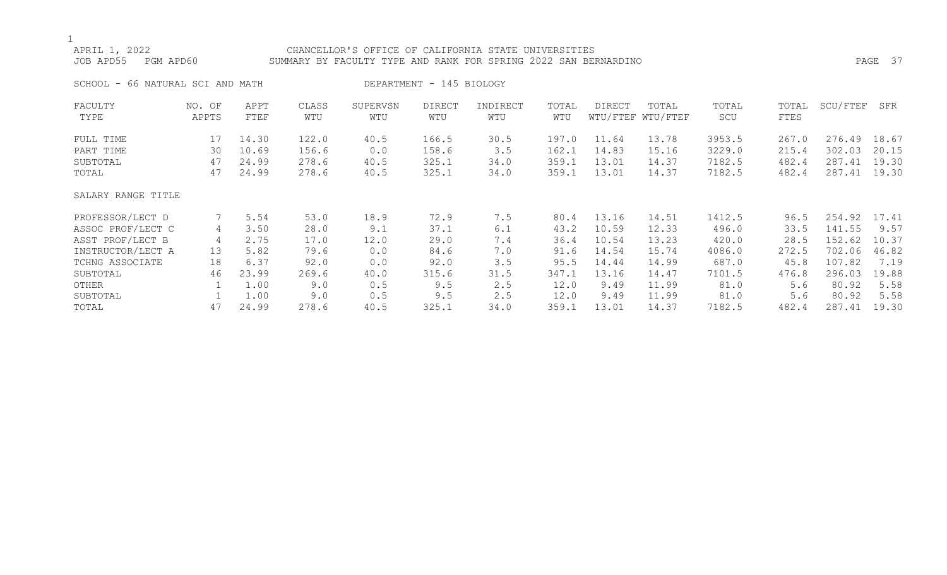## APRIL 1, 2022 CHANCELLOR'S OFFICE OF CALIFORNIA STATE UNIVERSITIES JOB APD55 PGM APD60 SUMMARY BY FACULTY TYPE AND RANK FOR SPRING 2022 SAN BERNARDINO PAGE 37 SCHOOL - 66 NATURAL SCI AND MATH DEPARTMENT - 145 BIOLOGY FACULTY NO. OF APPT CLASS SUPERVSN DIRECT INDIRECT TOTAL DIRECT TOTAL TOTAL TOTAL SCU/FTEF SFR TYPE APPTS FTEF WTU WTU WTU WTU WTU WTU/FTEF WTU/FTEF SCU FTES FULL TIME 17 14.30 122.0 40.5 166.5 30.5 197.0 11.64 13.78 3953.5 267.0 276.49 18.67 PART TIME 30 10.69 156.6 0.0 158.6 3.5 162.1 14.83 15.16 3229.0 215.4 302.03 20.15 SUBTOTAL 47 24.99 278.6 40.5 325.1 34.0 359.1 13.01 14.37 7182.5 482.4 287.41 19.30 TOTAL 47 24.99 278.6 40.5 325.1 34.0 359.1 13.01 14.37 7182.5 482.4 287.41 19.30 SALARY RANGE TITLE PROFESSOR/LECT D 7 5.54 53.0 18.9 72.9 7.5 80.4 13.16 14.51 1412.5 96.5 254.92 17.41 ASSOC PROF/LECT C 4 3.50 28.0 9.1 37.1 6.1 43.2 10.59 12.33 496.0 33.5 141.55 9.57 ASST PROF/LECT B 4 2.75 17.0 12.0 29.0 7.4 36.4 10.54 13.23 420.0 28.5 152.62 10.37 INSTRUCTOR/LECT A 13 5.82 79.6 0.0 84.6 7.0 91.6 14.54 15.74 4086.0 272.5 702.06 46.82 TCHNG ASSOCIATE 18 6.37 92.0 0.0 92.0 3.5 95.5 14.44 14.99 687.0 45.8 107.82 7.19

SUBTOTAL 46 23.99 269.6 40.0 315.6 31.5 347.1 13.16 14.47 7101.5 476.8 296.03 19.88 OTHER 1 1.00 9.0 0.5 9.5 2.5 12.0 9.49 11.99 81.0 5.6 80.92 5.58 SUBTOTAL 1 1.00 9.0 0.5 9.5 2.5 12.0 9.49 11.99 81.0 5.6 80.92 5.58 TOTAL 47 24.99 278.6 40.5 325.1 34.0 359.1 13.01 14.37 7182.5 482.4 287.41 19.30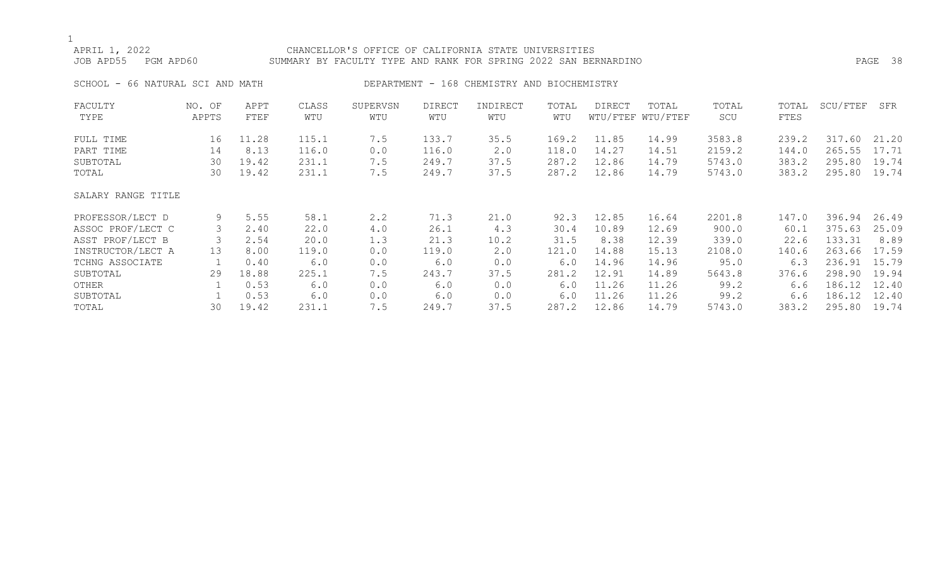## APRIL 1, 2022 CHANCELLOR'S OFFICE OF CALIFORNIA STATE UNIVERSITIES JOB APD55 PGM APD60 SUMMARY BY FACULTY TYPE AND RANK FOR SPRING 2022 SAN BERNARDINO PAGE 38 SCHOOL - 66 NATURAL SCI AND MATH DEPARTMENT - 168 CHEMISTRY AND BIOCHEMISTRY FACULTY NO. OF APPT CLASS SUPERVSN DIRECT INDIRECT TOTAL DIRECT TOTAL TOTAL TOTAL SCU/FTEF SFR

| TYPE               | APPTS | FTEF  | WTU   | WTU | WTU   | WTU  | WTU   |       | WTU/FTEF WTU/FTEF | SCU    | FTES  |        |       |
|--------------------|-------|-------|-------|-----|-------|------|-------|-------|-------------------|--------|-------|--------|-------|
| FULL TIME          | 16    | 11.28 | 115.1 | 7.5 | 133.7 | 35.5 | 169.2 | 11.85 | 14.99             | 3583.8 | 239.2 | 317.60 | 21.20 |
| PART TIME          | 14    | 8.13  | 116.0 | 0.0 | 116.0 | 2.0  | 118.0 | 14.27 | 14.51             | 2159.2 | 144.0 | 265.55 | 17.71 |
| SUBTOTAL           | 30    | 19.42 | 231.1 | 7.5 | 249.7 | 37.5 | 287.2 | 12.86 | 14.79             | 5743.0 | 383.2 | 295.80 | 19.74 |
| TOTAL              | 30    | 19.42 | 231.1 | 7.5 | 249.7 | 37.5 | 287.2 | 12.86 | 14.79             | 5743.0 | 383.2 | 295.80 | 19.74 |
| SALARY RANGE TITLE |       |       |       |     |       |      |       |       |                   |        |       |        |       |
| PROFESSOR/LECT D   | 9     | 5.55  | 58.1  | 2.2 | 71.3  | 21.0 | 92.3  | 12.85 | 16.64             | 2201.8 | 147.0 | 396.94 | 26.49 |
| ASSOC PROF/LECT C  | 3     | 2.40  | 22.0  | 4.0 | 26.1  | 4.3  | 30.4  | 10.89 | 12.69             | 900.0  | 60.1  | 375.63 | 25.09 |
| ASST PROF/LECT B   |       | 2.54  | 20.0  | 1.3 | 21.3  | 10.2 | 31.5  | 8.38  | 12.39             | 339.0  | 22.6  | 133.31 | 8.89  |
| INSTRUCTOR/LECT A  | 13    | 8.00  | 119.0 | 0.0 | 119.0 | 2.0  | 121.0 | 14.88 | 15.13             | 2108.0 | 140.6 | 263.66 | 17.59 |
| TCHNG ASSOCIATE    |       | 0.40  | 6.0   | 0.0 | 6.0   | 0.0  | 6.0   | 14.96 | 14.96             | 95.0   | 6.3   | 236.91 | 15.79 |
| SUBTOTAL           | 29    | 18.88 | 225.1 | 7.5 | 243.7 | 37.5 | 281.2 | 12.91 | 14.89             | 5643.8 | 376.6 | 298.90 | 19.94 |
| OTHER              |       | 0.53  | 6.0   | 0.0 | 6.0   | 0.0  | 6.0   | 11.26 | 11.26             | 99.2   | 6.6   | 186.12 | 12.40 |
| SUBTOTAL           |       | 0.53  | 6.0   | 0.0 | 6.0   | 0.0  | 6.0   | 11.26 | 11.26             | 99.2   | 6.6   | 186.12 | 12.40 |
| TOTAL              | 30    | 19.42 | 231.1 | 7.5 | 249.7 | 37.5 | 287.2 | 12.86 | 14.79             | 5743.0 | 383.2 | 295.80 | 19.74 |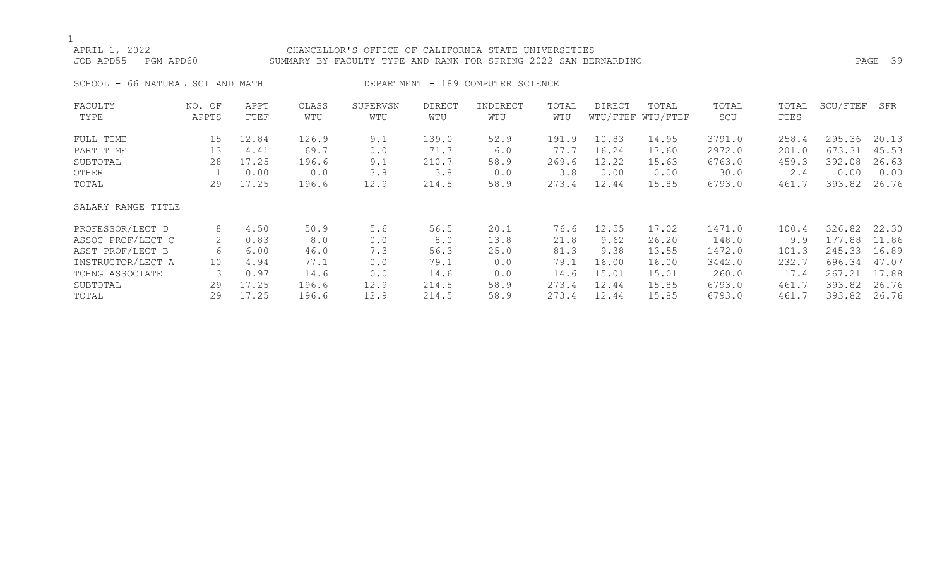## APRIL 1, 2022 CHANCELLOR'S OFFICE OF CALIFORNIA STATE UNIVERSITIES JOB APD55 PGM APD60 SUMMARY BY FACULTY TYPE AND RANK FOR SPRING 2022 SAN BERNARDINO PAGE 39

SCHOOL - 66 NATURAL SCI AND MATH DEPARTMENT - 189 COMPUTER SCIENCE

| FACULTY            | NO. OF | APPT  | CLASS | SUPERVSN | <b>DIRECT</b> | INDIRECT | TOTAL | DIRECT | TOTAL             | TOTAL  | TOTAL | SCU/FTEF | SFR   |
|--------------------|--------|-------|-------|----------|---------------|----------|-------|--------|-------------------|--------|-------|----------|-------|
| TYPE               | APPTS  | FTEF  | WTU   | WTU      | WTU           | WTU      | WTU   |        | WTU/FTEF WTU/FTEF | SCU    | FTES  |          |       |
| FULL TIME          | 15     | 12.84 | 126.9 | 9.1      | 139.0         | 52.9     | 191.9 | 10.83  | 14.95             | 3791.0 | 258.4 | 295.36   | 20.13 |
| PART TIME          | 13     | 4.41  | 69.7  | 0.0      | 71.7          | 6.0      | 77.7  | 16.24  | 17.60             | 2972.0 | 201.0 | 673.31   | 45.53 |
| SUBTOTAL           | 28     | 17.25 | 196.6 | 9.1      | 210.7         | 58.9     | 269.6 | 12.22  | 15.63             | 6763.0 | 459.3 | 392.08   | 26.63 |
| OTHER              |        | 0.00  | 0.0   | 3.8      | 3.8           | 0.0      | 3.8   | 0.00   | 0.00              | 30.0   | 2.4   | 0.00     | 0.00  |
| TOTAL              | 29     | 17.25 | 196.6 | 12.9     | 214.5         | 58.9     | 273.4 | 12.44  | 15.85             | 6793.0 | 461.7 | 393.82   | 26.76 |
| SALARY RANGE TITLE |        |       |       |          |               |          |       |        |                   |        |       |          |       |
| PROFESSOR/LECT D   | 8      | 4.50  | 50.9  | 5.6      | 56.5          | 20.1     | 76.6  | 12.55  | 17.02             | 1471.0 | 100.4 | 326.82   | 22.30 |
| ASSOC PROF/LECT C  | 2      | 0.83  | 8.0   | 0.0      | 8.0           | 13.8     | 21.8  | 9.62   | 26.20             | 148.0  | 9.9   | 177.88   | 11.86 |
| ASST PROF/LECT B   | 6      | 6.00  | 46.0  | 7.3      | 56.3          | 25.0     | 81.3  | 9.38   | 13.55             | 1472.0 | 101.3 | 245.33   | 16.89 |
| INSTRUCTOR/LECT A  | 10     | 4.94  | 77.1  | 0.0      | 79.1          | 0.0      | 79.1  | 16.00  | 16.00             | 3442.0 | 232.7 | 696.34   | 47.07 |
| TCHNG ASSOCIATE    | 3      | 0.97  | 14.6  | 0.0      | 14.6          | 0.0      | 14.6  | 15.01  | 15.01             | 260.0  | 17.4  | 267.21   | 17.88 |
| SUBTOTAL           | 29     | 17.25 | 196.6 | 12.9     | 214.5         | 58.9     | 273.4 | 12.44  | 15.85             | 6793.0 | 461.7 | 393.82   | 26.76 |
| TOTAL              | 29     | 17.25 | 196.6 | 12.9     | 214.5         | 58.9     | 273.4 | 12.44  | 15.85             | 6793.0 | 461.7 | 393.82   | 26.76 |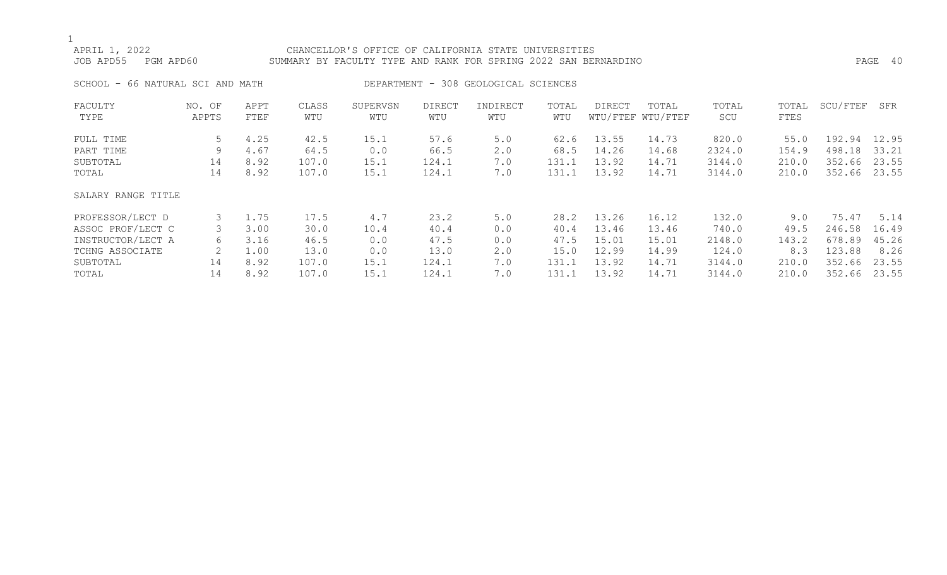## APRIL 1, 2022 CHANCELLOR'S OFFICE OF CALIFORNIA STATE UNIVERSITIES JOB APD55 PGM APD60 SUMMARY BY FACULTY TYPE AND RANK FOR SPRING 2022 SAN BERNARDINO PAGE 40

SCHOOL - 66 NATURAL SCI AND MATH DEPARTMENT - 308 GEOLOGICAL SCIENCES

| FACULTY            | NO. OF | APPT | CLASS | SUPERVSN | <b>DIRECT</b> | INDIRECT | TOTAL | DIRECT | TOTAL             | TOTAL  | TOTAL | SCU/FTEF | SFR   |
|--------------------|--------|------|-------|----------|---------------|----------|-------|--------|-------------------|--------|-------|----------|-------|
| TYPE               | APPTS  | FTEF | WTU   | WTU      | WTU           | WTU      | WTU   |        | WTU/FTEF WTU/FTEF | SCU    | FTES  |          |       |
| FULL TIME          | 5      | 4.25 | 42.5  | 15.1     | 57.6          | 5.0      | 62.6  | 13.55  | 14.73             | 820.0  | 55.0  | 192.94   | 12.95 |
| PART TIME          | 9      | 4.67 | 64.5  | 0.0      | 66.5          | 2.0      | 68.5  | 14.26  | 14.68             | 2324.0 | 154.9 | 498.18   | 33.21 |
| SUBTOTAL           | 14     | 8.92 | 107.0 | 15.1     | 124.1         | 7.0      | 131.1 | 13.92  | 14.71             | 3144.0 | 210.0 | 352.66   | 23.55 |
| TOTAL              | 14     | 8.92 | 107.0 | 15.1     | 124.1         | 7.0      | 131.1 | 13.92  | 14.71             | 3144.0 | 210.0 | 352.66   | 23.55 |
| SALARY RANGE TITLE |        |      |       |          |               |          |       |        |                   |        |       |          |       |
| PROFESSOR/LECT D   | 3      | 1.75 | 17.5  | 4.7      | 23.2          | 5.0      | 28.2  | 13.26  | 16.12             | 132.0  | 9.0   | 75.47    | 5.14  |
| ASSOC PROF/LECT C  |        | 3.00 | 30.0  | 10.4     | 40.4          | 0.0      | 40.4  | 13.46  | 13.46             | 740.0  | 49.5  | 246.58   | 16.49 |
| INSTRUCTOR/LECT A  | 6      | 3.16 | 46.5  | 0.0      | 47.5          | 0.0      | 47.5  | 15.01  | 15.01             | 2148.0 | 143.2 | 678.89   | 45.26 |
| TCHNG ASSOCIATE    |        | 1.00 | 13.0  | 0.0      | 13.0          | 2.0      | 15.0  | 12.99  | 14.99             | 124.0  | 8.3   | 123.88   | 8.26  |
| SUBTOTAL           | 14     | 8.92 | 107.0 | 15.1     | 124.1         | 7.0      | 131.1 | 13.92  | 14.71             | 3144.0 | 210.0 | 352.66   | 23.55 |
| TOTAL              | 14     | 8.92 | 107.0 | 15.1     | 124.1         | 7.0      | 131.1 | 13.92  | 14.71             | 3144.0 | 210.0 | 352.66   | 23.55 |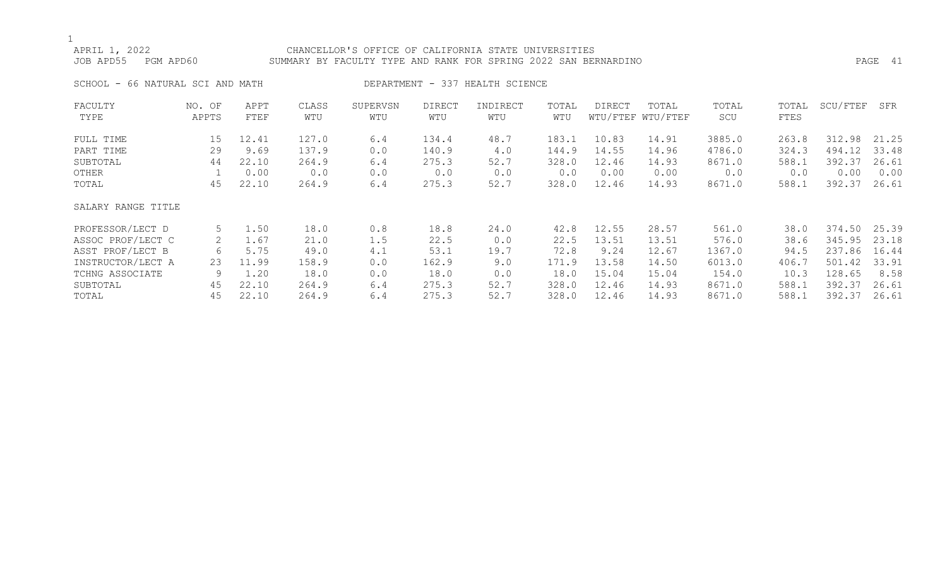## APRIL 1, 2022 CHANCELLOR'S OFFICE OF CALIFORNIA STATE UNIVERSITIES JOB APD55 PGM APD60 SUMMARY BY FACULTY TYPE AND RANK FOR SPRING 2022 SAN BERNARDINO PAGE 41

SCHOOL - 66 NATURAL SCI AND MATH DEPARTMENT - 337 HEALTH SCIENCE

| FACULTY            | NO. OF | APPT  | CLASS | SUPERVSN | DIRECT | INDIRECT | TOTAL | DIRECT | TOTAL             | TOTAL  | TOTAL | SCU/FTEF | SFR   |
|--------------------|--------|-------|-------|----------|--------|----------|-------|--------|-------------------|--------|-------|----------|-------|
| TYPE               | APPTS  | FTEF  | WTU   | WTU      | WTU    | WTU      | WTU   |        | WTU/FTEF WTU/FTEF | SCU    | FTES  |          |       |
| FULL TIME          | 15     | 12.41 | 127.0 | 6.4      | 134.4  | 48.7     | 183.1 | 10.83  | 14.91             | 3885.0 | 263.8 | 312.98   | 21.25 |
| PART TIME          | 29     | 9.69  | 137.9 | 0.0      | 140.9  | 4.0      | 144.9 | 14.55  | 14.96             | 4786.0 | 324.3 | 494.12   | 33.48 |
| SUBTOTAL           | 44     | 22.10 | 264.9 | 6.4      | 275.3  | 52.7     | 328.0 | 12.46  | 14.93             | 8671.0 | 588.1 | 392.37   | 26.61 |
| OTHER              |        | 0.00  | 0.0   | 0.0      | 0.0    | 0.0      | 0.0   | 0.00   | 0.00              | 0.0    | 0.0   | 0.00     | 0.00  |
| TOTAL              | 45     | 22.10 | 264.9 | 6.4      | 275.3  | 52.7     | 328.0 | 12.46  | 14.93             | 8671.0 | 588.1 | 392.37   | 26.61 |
| SALARY RANGE TITLE |        |       |       |          |        |          |       |        |                   |        |       |          |       |
| PROFESSOR/LECT D   | 5      | 1.50  | 18.0  | 0.8      | 18.8   | 24.0     | 42.8  | 12.55  | 28.57             | 561.0  | 38.0  | 374.50   | 25.39 |
| ASSOC PROF/LECT C  | 2      | 1.67  | 21.0  | 1.5      | 22.5   | 0.0      | 22.5  | 13.51  | 13.51             | 576.0  | 38.6  | 345.95   | 23.18 |
| ASST PROF/LECT B   | 6      | 5.75  | 49.0  | 4.1      | 53.1   | 19.7     | 72.8  | 9.24   | 12.67             | 1367.0 | 94.5  | 237.86   | 16.44 |
| INSTRUCTOR/LECT A  | 23     | 11.99 | 158.9 | 0.0      | 162.9  | 9.0      | 171.9 | 13.58  | 14.50             | 6013.0 | 406.7 | 501.42   | 33.91 |
| TCHNG ASSOCIATE    | 9      | 1.20  | 18.0  | 0.0      | 18.0   | 0.0      | 18.0  | 15.04  | 15.04             | 154.0  | 10.3  | 128.65   | 8.58  |
| SUBTOTAL           | 45     | 22.10 | 264.9 | 6.4      | 275.3  | 52.7     | 328.0 | 12.46  | 14.93             | 8671.0 | 588.1 | 392.37   | 26.61 |
| TOTAL              | 45     | 22.10 | 264.9 | 6.4      | 275.3  | 52.7     | 328.0 | 12.46  | 14.93             | 8671.0 | 588.1 | 392.37   | 26.61 |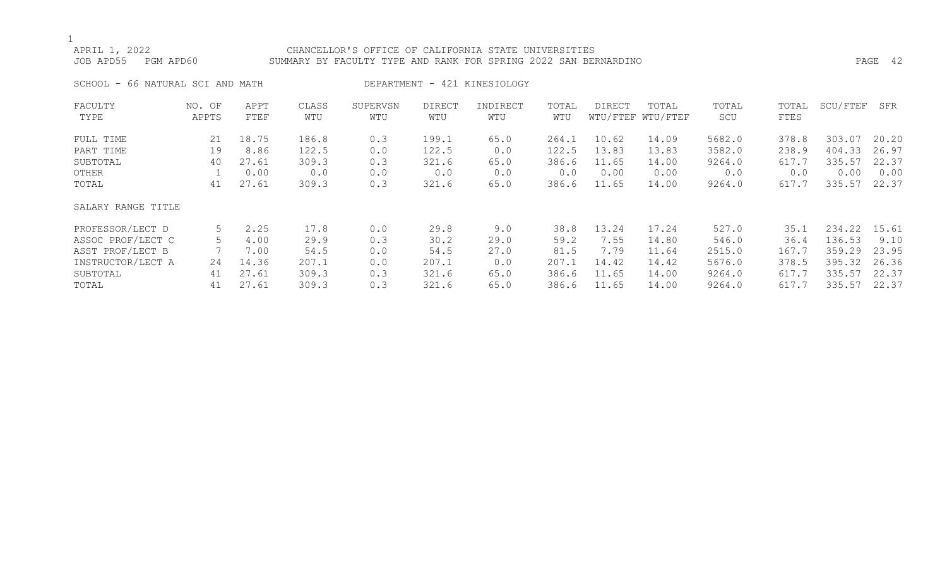## APRIL 1, 2022 CHANCELLOR'S OFFICE OF CALIFORNIA STATE UNIVERSITIES JOB APD55 PGM APD60 SUMMARY BY FACULTY TYPE AND RANK FOR SPRING 2022 SAN BERNARDINO PAGE 42

SCHOOL - 66 NATURAL SCI AND MATH DEPARTMENT - 421 KINESIOLOGY

| FACULTY            | NO. OF | APPT  | CLASS | SUPERVSN | <b>DIRECT</b> | INDIRECT | TOTAL | DIRECT | TOTAL             | TOTAL  | TOTAL | SCU/FTEF | SFR   |
|--------------------|--------|-------|-------|----------|---------------|----------|-------|--------|-------------------|--------|-------|----------|-------|
| TYPE               | APPTS  | FTEF  | WTU   | WTU      | WTU           | WTU      | WTU   |        | WTU/FTEF WTU/FTEF | SCU    | FTES  |          |       |
| FULL TIME          | 21     | 18.75 | 186.8 | 0.3      | 199.1         | 65.0     | 264.1 | 10.62  | 14.09             | 5682.0 | 378.8 | 303.07   | 20.20 |
| PART TIME          | 19     | 8.86  | 122.5 | 0.0      | 122.5         | 0.0      | 122.5 | 13.83  | 13.83             | 3582.0 | 238.9 | 404.33   | 26.97 |
| SUBTOTAL           | 40     | 27.61 | 309.3 | 0.3      | 321.6         | 65.0     | 386.6 | 11.65  | 14.00             | 9264.0 | 617.7 | 335.57   | 22.37 |
| OTHER              |        | 0.00  | 0.0   | 0.0      | 0.0           | 0.0      | 0.0   | 0.00   | 0.00              | 0.0    | 0.0   | 0.00     | 0.00  |
| TOTAL              | 41     | 27.61 | 309.3 | 0.3      | 321.6         | 65.0     | 386.6 | 11.65  | 14.00             | 9264.0 | 617.7 | 335.57   | 22.37 |
| SALARY RANGE TITLE |        |       |       |          |               |          |       |        |                   |        |       |          |       |
| PROFESSOR/LECT D   | 5      | 2.25  | 17.8  | 0.0      | 29.8          | 9.0      | 38.8  | 13.24  | 17.24             | 527.0  | 35.1  | 234.22   | 15.61 |
| ASSOC PROF/LECT C  |        | 4.00  | 29.9  | 0.3      | 30.2          | 29.0     | 59.2  | 7.55   | 14.80             | 546.0  | 36.4  | 136.53   | 9.10  |
| ASST PROF/LECT B   |        | 7.00  | 54.5  | 0.0      | 54.5          | 27.0     | 81.5  | 7.79   | 11.64             | 2515.0 | 167.7 | 359.29   | 23.95 |
| INSTRUCTOR/LECT A  | 24     | 14.36 | 207.1 | 0.0      | 207.1         | 0.0      | 207.1 | 14.42  | 14.42             | 5676.0 | 378.5 | 395.32   | 26.36 |
| SUBTOTAL           | 41     | 27.61 | 309.3 | 0.3      | 321.6         | 65.0     | 386.6 | 11.65  | 14.00             | 9264.0 | 617.7 | 335.57   | 22.37 |
| TOTAL              | 41     | 27.61 | 309.3 | 0.3      | 321.6         | 65.0     | 386.6 | 11.65  | 14.00             | 9264.0 | 617.7 | 335.57   | 22.37 |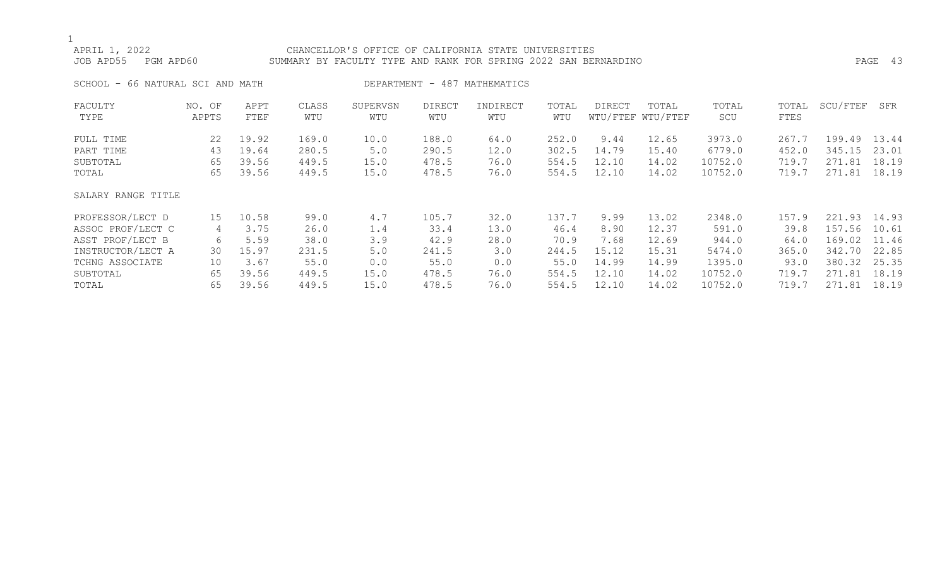## APRIL 1, 2022 CHANCELLOR'S OFFICE OF CALIFORNIA STATE UNIVERSITIES JOB APD55 PGM APD60 SUMMARY BY FACULTY TYPE AND RANK FOR SPRING 2022 SAN BERNARDINO PAGE 43 SCHOOL - 66 NATURAL SCI AND MATH DEPARTMENT - 487 MATHEMATICS FACULTY NO. OF APPT CLASS SUPERVSN DIRECT INDIRECT TOTAL DIRECT TOTAL TOTAL TOTAL SCU/FTEF SFR TYPE APPTS FTEF WTU WTU WTU WTU WTU WTU/FTEF WTU/FTEF SCU FTES FULL TIME 22 19.92 169.0 10.0 188.0 64.0 252.0 9.44 12.65 3973.0 267.7 199.49 13.44 PART TIME 43 19.64 280.5 5.0 290.5 12.0 302.5 14.79 15.40 6779.0 452.0 345.15 23.01 SUBTOTAL 65 39.56 449.5 15.0 478.5 76.0 554.5 12.10 14.02 10752.0 719.7 271.81 18.19 TOTAL 65 39.56 449.5 15.0 478.5 76.0 554.5 12.10 14.02 10752.0 719.7 271.81 18.19

### SALARY RANGE TITLE

| PROFESSOR/LECT D  | 1.5 | 10.58 | 99.0  | 4.7  | 105.7 | 32.0 | 137.7 | 9.99  | 13.02 | 2348.0  | 157.9 | 93<br>221.   | 14.93 |
|-------------------|-----|-------|-------|------|-------|------|-------|-------|-------|---------|-------|--------------|-------|
| ASSOC PROF/LECT C |     | 3.75  | 26.0  |      | 33.4  | 13.0 | 46.4  | 8.90  | 12.37 | 591.0   | 39.8  | 157.56 10.61 |       |
| ASST PROF/LECT B  |     | 5.59  | 38.0  | 3.9  | 42.9  | 28.0 | 70.9  | 7.68  | 12.69 | 944.0   | 64.0  | 169.02       | 11.46 |
| INSTRUCTOR/LECT A | 30  | 15.97 | 231.5 | 5.0  | 241.5 | 3.0  | 244.5 | 15.12 | 15.31 | 5474.0  | 365.0 | 342.70       | 22.85 |
| TCHNG ASSOCIATE   | 10  | 3.67  | 55.0  | 0.0  | 55.0  | 0.0  | 55.0  | 14.99 | 14.99 | 1395.0  | 93.0  | 380.32       | 25.35 |
| SUBTOTAL          | 65  | 39.56 | 449.5 | 15.0 | 478.5 | 76.0 | 554.5 | 12.10 | 14.02 | 10752.0 | 719.  | .81          | 18.19 |
| TOTAL             | 65  | 39.56 | 449.5 | 15.0 | 478.5 | 76.0 | 554.5 | 12.10 | 4.02  | 10752.0 | 719.  | -81          | 18.19 |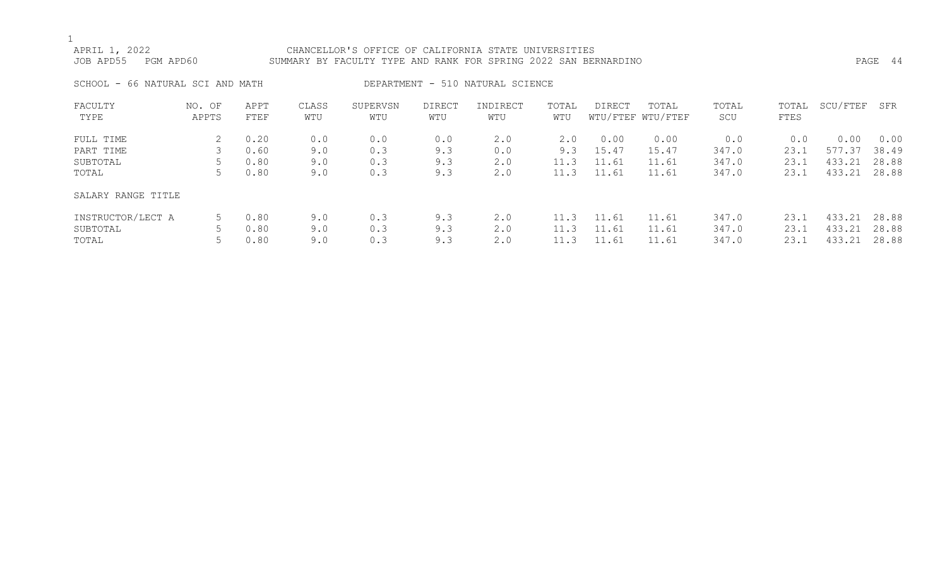## APRIL 1, 2022 CHANCELLOR'S OFFICE OF CALIFORNIA STATE UNIVERSITIES JOB APD55 PGM APD60 SUMMARY BY FACULTY TYPE AND RANK FOR SPRING 2022 SAN BERNARDINO PAGE 44 SCHOOL - 66 NATURAL SCI AND MATH DEPARTMENT - 510 NATURAL SCIENCE

| FACULTY<br>TYPE    | NO. OF<br>APPTS | APPT<br>FTEF | CLASS<br>WTU | SUPERVSN<br>WTU | DIRECT<br>WTU | INDIRECT<br>WTU | TOTAL<br>WTU | DIRECT | TOTAL<br>WTU/FTEF WTU/FTEF | TOTAL<br>SCU | TOTAL<br>FTES | SCU/FTEF | SFR   |
|--------------------|-----------------|--------------|--------------|-----------------|---------------|-----------------|--------------|--------|----------------------------|--------------|---------------|----------|-------|
| FULL TIME          |                 | 0.20         | 0.0          | 0.0             | 0.0           | 2.0             | 2.0          | 0.00   | 0.00                       | 0.0          | 0.0           | 0.00     | 0.00  |
| PART TIME          | 3               | 0.60         | 9.0          | 0.3             | 9.3           | 0.0             | 9.3          | 15.47  | 15.47                      | 347.0        | 23.1          | 577.37   | 38.49 |
| SUBTOTAL           |                 | 0.80         | 9.0          | 0.3             | 9.3           | 2.0             | 11.3         | 11.61  | 11.61                      | 347.0        | 23.1          | 433.21   | 28.88 |
| TOTAL              | 5               | 0.80         | 9.0          | 0.3             | 9.3           | 2.0             | 11.3         | 11.61  | 11.61                      | 347.0        | 23.1          | 433.21   | 28.88 |
| SALARY RANGE TITLE |                 |              |              |                 |               |                 |              |        |                            |              |               |          |       |
| INSTRUCTOR/LECT A  | 5.              | 0.80         | 9.0          | 0.3             | 9.3           | 2.0             | 11.3         | 11.61  | 11.61                      | 347.0        | 23.1          | 433.21   | 28.88 |
| SUBTOTAL           |                 | 0.80         | 9.0          | 0.3             | 9.3           | 2.0             | 11.3         | 11.61  | 11.61                      | 347.0        | 23.1          | 433.21   | 28.88 |
| TOTAL              |                 | 0.80         | 9.0          | 0.3             | 9.3           | 2.0             | 11.3         | 11.61  | 11.61                      | 347.0        | 23.1          | 433.21   | 28.88 |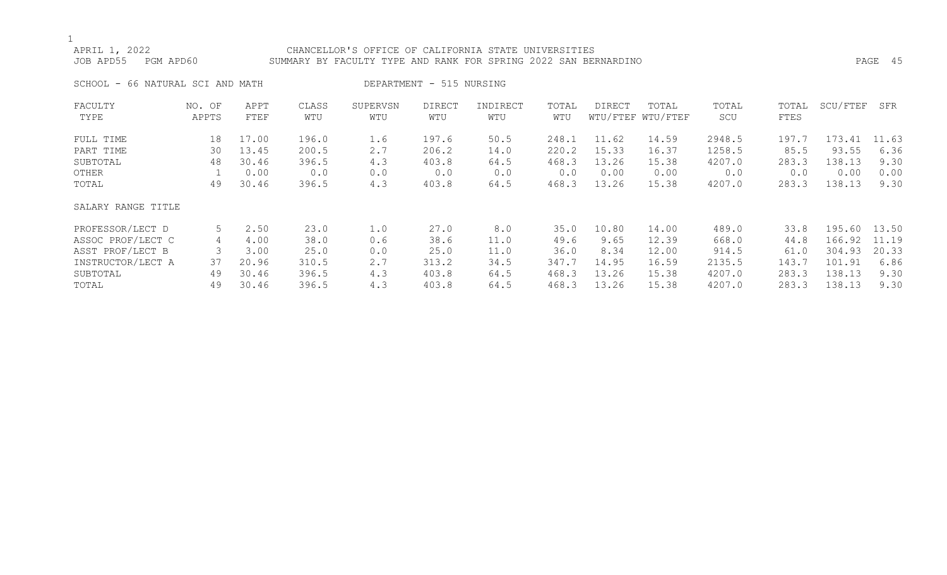## APRIL 1, 2022 CHANCELLOR'S OFFICE OF CALIFORNIA STATE UNIVERSITIES JOB APD55 PGM APD60 SUMMARY BY FACULTY TYPE AND RANK FOR SPRING 2022 SAN BERNARDINO PAGE 45

SCHOOL - 66 NATURAL SCI AND MATH DEPARTMENT - 515 NURSING

| FACULTY            | NO. OF | APPT  | CLASS | SUPERVSN | <b>DIRECT</b> | INDIRECT | TOTAL | DIRECT | TOTAL             | TOTAL  | TOTAL | SCU/FTEF | SFR   |
|--------------------|--------|-------|-------|----------|---------------|----------|-------|--------|-------------------|--------|-------|----------|-------|
| TYPE               | APPTS  | FTEF  | WTU   | WTU      | WTU           | WTU      | WTU   |        | WTU/FTEF WTU/FTEF | SCU    | FTES  |          |       |
| FULL TIME          | 18     | 17.00 | 196.0 | 1.6      | 197.6         | 50.5     | 248.1 | 11.62  | 14.59             | 2948.5 | 197.7 | 173.41   | 11.63 |
| PART TIME          | 30     | 13.45 | 200.5 | 2.7      | 206.2         | 14.0     | 220.2 | 15.33  | 16.37             | 1258.5 | 85.5  | 93.55    | 6.36  |
| SUBTOTAL           | 48     | 30.46 | 396.5 | 4.3      | 403.8         | 64.5     | 468.3 | 13.26  | 15.38             | 4207.0 | 283.3 | 138.13   | 9.30  |
| OTHER              |        | 0.00  | 0.0   | 0.0      | 0.0           | 0.0      | 0.0   | 0.00   | 0.00              | 0.0    | 0.0   | 0.00     | 0.00  |
| TOTAL              | 49     | 30.46 | 396.5 | 4.3      | 403.8         | 64.5     | 468.3 | 13.26  | 15.38             | 4207.0 | 283.3 | 138.13   | 9.30  |
| SALARY RANGE TITLE |        |       |       |          |               |          |       |        |                   |        |       |          |       |
| PROFESSOR/LECT D   | 5      | 2.50  | 23.0  | 1.0      | 27.0          | 8.0      | 35.0  | 10.80  | 14.00             | 489.0  | 33.8  | 195.60   | 13.50 |
| ASSOC PROF/LECT C  | 4      | 4.00  | 38.0  | 0.6      | 38.6          | 11.0     | 49.6  | 9.65   | 12.39             | 668.0  | 44.8  | 166.92   | 11.19 |
| ASST PROF/LECT B   |        | 3.00  | 25.0  | 0.0      | 25.0          | 11.0     | 36.0  | 8.34   | 12.00             | 914.5  | 61.0  | 304.93   | 20.33 |
| INSTRUCTOR/LECT A  | 37     | 20.96 | 310.5 | 2.7      | 313.2         | 34.5     | 347.7 | 14.95  | 16.59             | 2135.5 | 143.7 | 101.91   | 6.86  |
| SUBTOTAL           | 49     | 30.46 | 396.5 | 4.3      | 403.8         | 64.5     | 468.3 | 13.26  | 15.38             | 4207.0 | 283.3 | 138.13   | 9.30  |
| TOTAL              | 49     | 30.46 | 396.5 | 4.3      | 403.8         | 64.5     | 468.3 | 13.26  | 15.38             | 4207.0 | 283.3 | 138.13   | 9.30  |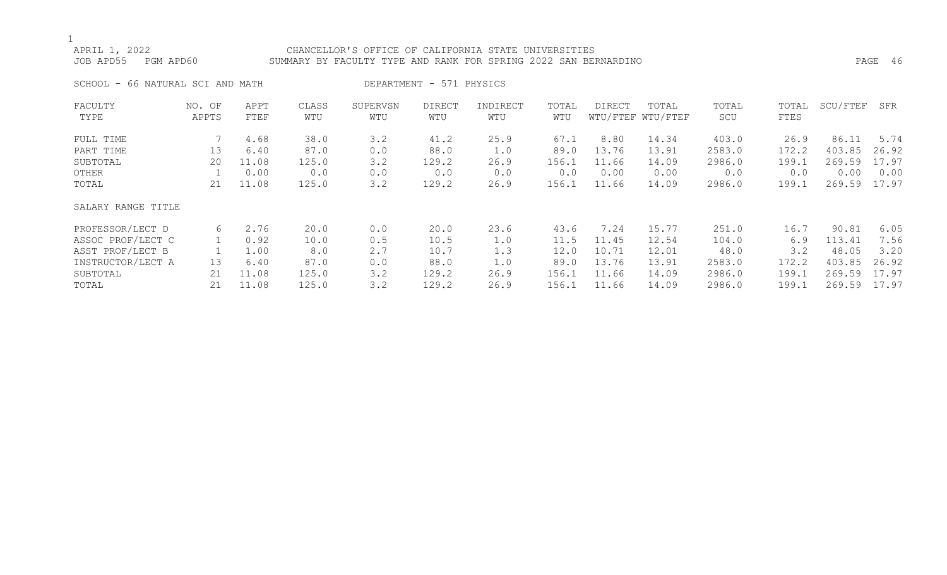## APRIL 1, 2022 CHANCELLOR'S OFFICE OF CALIFORNIA STATE UNIVERSITIES JOB APD55 PGM APD60 SUMMARY BY FACULTY TYPE AND RANK FOR SPRING 2022 SAN BERNARDINO PAGE 46

SCHOOL - 66 NATURAL SCI AND MATH DEPARTMENT - 571 PHYSICS

| FACULTY            | NO. OF | APPT  | CLASS | SUPERVSN | <b>DIRECT</b> | INDIRECT | TOTAL | DIRECT | TOTAL             | TOTAL  | TOTAL | SCU/FTEF | SFR   |
|--------------------|--------|-------|-------|----------|---------------|----------|-------|--------|-------------------|--------|-------|----------|-------|
| TYPE               | APPTS  | FTEF  | WTU   | WTU      | WTU           | WTU      | WTU   |        | WTU/FTEF WTU/FTEF | SCU    | FTES  |          |       |
| FULL TIME          |        | 4.68  | 38.0  | 3.2      | 41.2          | 25.9     | 67.1  | 8.80   | 14.34             | 403.0  | 26.9  | 86.11    | 5.74  |
| PART TIME          | 13     | 6.40  | 87.0  | 0.0      | 88.0          | 1.0      | 89.0  | 13.76  | 13.91             | 2583.0 | 172.2 | 403.85   | 26.92 |
| SUBTOTAL           | 20     | 11.08 | 125.0 | 3.2      | 129.2         | 26.9     | 156.1 | 11.66  | 14.09             | 2986.0 | 199.1 | 269.59   | 17.97 |
| OTHER              |        | 0.00  | 0.0   | 0.0      | 0.0           | 0.0      | 0.0   | 0.00   | 0.00              | 0.0    | 0.0   | 0.00     | 0.00  |
| TOTAL              | 21     | 11.08 | 125.0 | 3.2      | 129.2         | 26.9     | 156.1 | 11.66  | 14.09             | 2986.0 | 199.1 | 269.59   | 17.97 |
| SALARY RANGE TITLE |        |       |       |          |               |          |       |        |                   |        |       |          |       |
| PROFESSOR/LECT D   | 6      | 2.76  | 20.0  | 0.0      | 20.0          | 23.6     | 43.6  | 7.24   | 15.77             | 251.0  | 16.7  | 90.81    | 6.05  |
| ASSOC PROF/LECT C  |        | 0.92  | 10.0  | 0.5      | 10.5          | 1.0      | 11.5  | 11.45  | 12.54             | 104.0  | 6.9   | 113.41   | 7.56  |
| ASST PROF/LECT B   |        | 1.00  | 8.0   | 2.7      | 10.7          | 1.3      | 12.0  | 10.71  | 12.01             | 48.0   | 3.2   | 48.05    | 3.20  |
| INSTRUCTOR/LECT A  | 13     | 6.40  | 87.0  | 0.0      | 88.0          | 1.0      | 89.0  | 13.76  | 13.91             | 2583.0 | 172.2 | 403.85   | 26.92 |
| SUBTOTAL           | 21     | 11.08 | 125.0 | 3.2      | 129.2         | 26.9     | 156.1 | 11.66  | 14.09             | 2986.0 | 199.1 | 269.59   | 17.97 |
| TOTAL              | 21     | 11.08 | 125.0 | 3.2      | 129.2         | 26.9     | 156.1 | 11.66  | 14.09             | 2986.0 | 199.1 | 269.59   | 17.97 |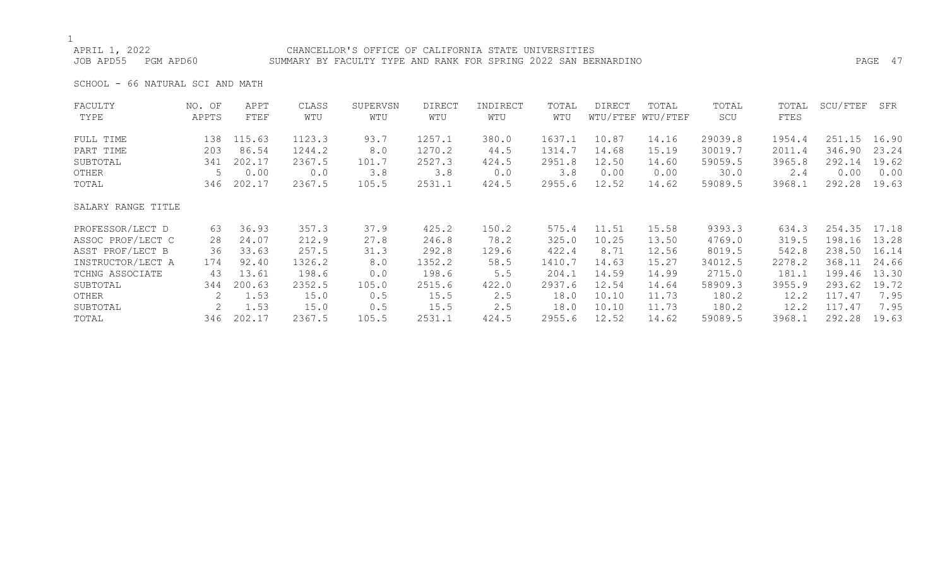APRIL 1, 2022 CHANCELLOR'S OFFICE OF CALIFORNIA STATE UNIVERSITIES JOB APD55 PGM APD60 SUMMARY BY FACULTY TYPE AND RANK FOR SPRING 2022 SAN BERNARDINO PAGE 47

SCHOOL - 66 NATURAL SCI AND MATH

| FACULTY            | NO. OF | APPT   | CLASS  | SUPERVSN | <b>DIRECT</b> | INDIRECT | TOTAL  | DIRECT | TOTAL             | TOTAL   | TOTAL  | SCU/FTEF | SFR   |
|--------------------|--------|--------|--------|----------|---------------|----------|--------|--------|-------------------|---------|--------|----------|-------|
| TYPE               | APPTS  | FTEF   | WTU    | WTU      | WTU           | WTU      | WTU    |        | WTU/FTEF WTU/FTEF | SCU     | FTES   |          |       |
| FULL TIME          | 138    | 115.63 | 1123.3 | 93.7     | 1257.1        | 380.0    | 1637.1 | 10.87  | 14.16             | 29039.8 | 1954.4 | 251.15   | 16.90 |
| PART TIME          | 203    | 86.54  | 1244.2 | 8.0      | 1270.2        | 44.5     | 1314.7 | 14.68  | 15.19             | 30019.7 | 2011.4 | 346.90   | 23.24 |
| SUBTOTAL           | 341    | 202.17 | 2367.5 | 101.7    | 2527.3        | 424.5    | 2951.8 | 12.50  | 14.60             | 59059.5 | 3965.8 | 292.14   | 19.62 |
| OTHER              |        | 0.00   | 0.0    | 3.8      | 3.8           | 0.0      | 3.8    | 0.00   | 0.00              | 30.0    | 2.4    | 0.00     | 0.00  |
| TOTAL              | 346    | 202.17 | 2367.5 | 105.5    | 2531.1        | 424.5    | 2955.6 | 12.52  | 14.62             | 59089.5 | 3968.1 | 292.28   | 19.63 |
| SALARY RANGE TITLE |        |        |        |          |               |          |        |        |                   |         |        |          |       |
| PROFESSOR/LECT D   | 63     | 36.93  | 357.3  | 37.9     | 425.2         | 150.2    | 575.4  | 11.51  | 15.58             | 9393.3  | 634.3  | 254.35   | 17.18 |
| ASSOC PROF/LECT C  | 28     | 24.07  | 212.9  | 27.8     | 246.8         | 78.2     | 325.0  | 10.25  | 13.50             | 4769.0  | 319.5  | 198.16   | 13.28 |
| ASST PROF/LECT B   | 36     | 33.63  | 257.5  | 31.3     | 292.8         | 129.6    | 422.4  | 8.71   | 12.56             | 8019.5  | 542.8  | 238.50   | 16.14 |
| INSTRUCTOR/LECT A  | 174    | 92.40  | 1326.2 | 8.0      | 1352.2        | 58.5     | 1410.7 | 14.63  | 15.27             | 34012.5 | 2278.2 | 368.11   | 24.66 |
| TCHNG ASSOCIATE    | 43     | 13.61  | 198.6  | 0.0      | 198.6         | 5.5      | 204.1  | 14.59  | 14.99             | 2715.0  | 181.1  | 199.46   | 13.30 |
| SUBTOTAL           | 344    | 200.63 | 2352.5 | 105.0    | 2515.6        | 422.0    | 2937.6 | 12.54  | 14.64             | 58909.3 | 3955.9 | 293.62   | 19.72 |
| OTHER              | 2      | 1.53   | 15.0   | 0.5      | 15.5          | 2.5      | 18.0   | 10.10  | 11.73             | 180.2   | 12.2   | 117.47   | 7.95  |
| SUBTOTAL           |        | 1.53   | 15.0   | 0.5      | 15.5          | 2.5      | 18.0   | 10.10  | 11.73             | 180.2   | 12.2   | 117.47   | 7.95  |
| TOTAL              | 346    | 202.17 | 2367.5 | 105.5    | 2531.1        | 424.5    | 2955.6 | 12.52  | 14.62             | 59089.5 | 3968.1 | 292.28   | 19.63 |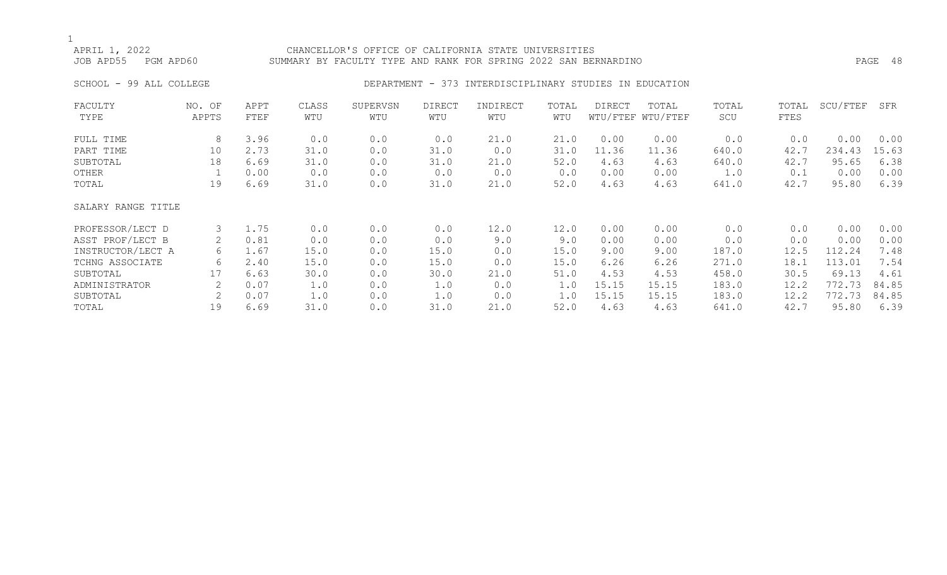## APRIL 1, 2022 CHANCELLOR'S OFFICE OF CALIFORNIA STATE UNIVERSITIES JOB APD55 PGM APD60 SUMMARY BY FACULTY TYPE AND RANK FOR SPRING 2022 SAN BERNARDINO PAGE 48

## SCHOOL - 99 ALL COLLEGE CORRECTED STORE DEPARTMENT - 373 INTERDISCIPLINARY STUDIES IN EDUCATION

| FACULTY            | NO. OF | APPT | CLASS | SUPERVSN | <b>DIRECT</b> | INDIRECT | TOTAL | DIRECT | TOTAL             | TOTAL | TOTAL | SCU/FTEF | SFR   |
|--------------------|--------|------|-------|----------|---------------|----------|-------|--------|-------------------|-------|-------|----------|-------|
| TYPE               | APPTS  | FTEF | WTU   | WTU      | WTU           | WTU      | WTU   |        | WTU/FTEF WTU/FTEF | SCU   | FTES  |          |       |
|                    |        |      |       |          |               |          |       |        |                   |       |       |          |       |
| FULL TIME          | 8      | 3.96 | 0.0   | 0.0      | 0.0           | 21.0     | 21.0  | 0.00   | 0.00              | 0.0   | 0.0   | 0.00     | 0.00  |
| PART TIME          | 10     | 2.73 | 31.0  | 0.0      | 31.0          | 0.0      | 31.0  | 11.36  | 11.36             | 640.0 | 42.7  | 234.43   | 15.63 |
| SUBTOTAL           | 18     | 6.69 | 31.0  | 0.0      | 31.0          | 21.0     | 52.0  | 4.63   | 4.63              | 640.0 | 42.7  | 95.65    | 6.38  |
| OTHER              |        | 0.00 | 0.0   | 0.0      | 0.0           | 0.0      | 0.0   | 0.00   | 0.00              | 1.0   | 0.1   | 0.00     | 0.00  |
| TOTAL              | 19     | 6.69 | 31.0  | 0.0      | 31.0          | 21.0     | 52.0  | 4.63   | 4.63              | 641.0 | 42.7  | 95.80    | 6.39  |
| SALARY RANGE TITLE |        |      |       |          |               |          |       |        |                   |       |       |          |       |
| PROFESSOR/LECT D   | 3      | 1.75 | 0.0   | 0.0      | 0.0           | 12.0     | 12.0  | 0.00   | 0.00              | 0.0   | 0.0   | 0.00     | 0.00  |
| ASST PROF/LECT B   | 2      | 0.81 | 0.0   | 0.0      | 0.0           | 9.0      | 9.0   | 0.00   | 0.00              | 0.0   | 0.0   | 0.00     | 0.00  |
| INSTRUCTOR/LECT A  | 6      | 1.67 | 15.0  | 0.0      | 15.0          | 0.0      | 15.0  | 9.00   | 9.00              | 187.0 | 12.5  | 112.24   | 7.48  |
| TCHNG ASSOCIATE    | 6      | 2.40 | 15.0  | 0.0      | 15.0          | 0.0      | 15.0  | 6.26   | 6.26              | 271.0 | 18.1  | 113.01   | 7.54  |
| SUBTOTAL           | 17     | 6.63 | 30.0  | 0.0      | 30.0          | 21.0     | 51.0  | 4.53   | 4.53              | 458.0 | 30.5  | 69.13    | 4.61  |
| ADMINISTRATOR      | 2      | 0.07 | 1.0   | 0.0      | 1.0           | 0.0      | 1.0   | 15.15  | 15.15             | 183.0 | 12.2  | 772.73   | 84.85 |
| SUBTOTAL           | 2      | 0.07 | 1.0   | 0.0      | 1.0           | 0.0      | 1.0   | 15.15  | 15.15             | 183.0 | 12.2  | 772.73   | 84.85 |
| TOTAL              | 19     | 6.69 | 31.0  | 0.0      | 31.0          | 21.0     | 52.0  | 4.63   | 4.63              | 641.0 | 42.7  | 95.80    | 6.39  |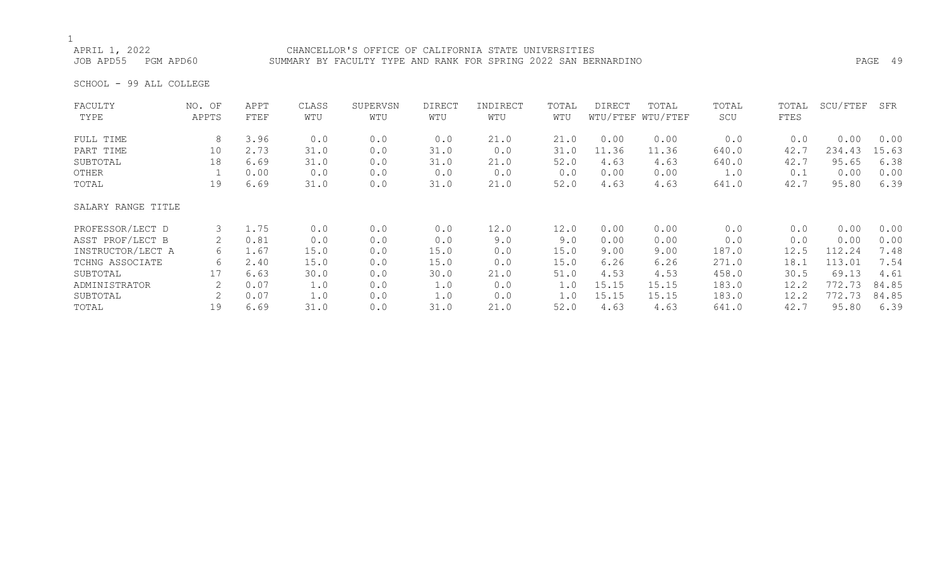APRIL 1, 2022<br>JOB APD55 PGM APD60 SUMMARY BY FACULTY TYPE AND RANK FOR SPRING 2022 SAN BER SUMMARY BY FACULTY TYPE AND RANK FOR SPRING 2022 SAN BERNARDINO PART AND RANK FAGE 49

SCHOOL - 99 ALL COLLEGE

| FACULTY            | NO. OF | APPT | CLASS | SUPERVSN | <b>DIRECT</b> | INDIRECT | TOTAL | <b>DIRECT</b> | TOTAL             | TOTAL | TOTAL | SCU/FTEF | SFR   |
|--------------------|--------|------|-------|----------|---------------|----------|-------|---------------|-------------------|-------|-------|----------|-------|
| TYPE               | APPTS  | FTEF | WTU   | WTU      | WTU           | WTU      | WTU   |               | WTU/FTEF WTU/FTEF | SCU   | FTES  |          |       |
| FULL TIME          | 8      | 3.96 | 0.0   | 0.0      | 0.0           | 21.0     | 21.0  | 0.00          | 0.00              | 0.0   | 0.0   | 0.00     | 0.00  |
| PART TIME          | 10     | 2.73 | 31.0  | 0.0      | 31.0          | 0.0      | 31.0  | 11.36         | 11.36             | 640.0 | 42.7  | 234.43   | 15.63 |
| SUBTOTAL           | 18     | 6.69 | 31.0  | 0.0      | 31.0          | 21.0     | 52.0  | 4.63          | 4.63              | 640.0 | 42.7  | 95.65    | 6.38  |
| OTHER              |        | 0.00 | 0.0   | 0.0      | 0.0           | 0.0      | 0.0   | 0.00          | 0.00              | 1.0   | 0.1   | 0.00     | 0.00  |
| TOTAL              | 19     | 6.69 | 31.0  | 0.0      | 31.0          | 21.0     | 52.0  | 4.63          | 4.63              | 641.0 | 42.7  | 95.80    | 6.39  |
| SALARY RANGE TITLE |        |      |       |          |               |          |       |               |                   |       |       |          |       |
| PROFESSOR/LECT D   | 3      | 1.75 | 0.0   | 0.0      | 0.0           | 12.0     | 12.0  | 0.00          | 0.00              | 0.0   | 0.0   | 0.00     | 0.00  |
| ASST PROF/LECT B   | 2      | 0.81 | 0.0   | 0.0      | 0.0           | 9.0      | 9.0   | 0.00          | 0.00              | 0.0   | 0.0   | 0.00     | 0.00  |
| INSTRUCTOR/LECT A  | 6      | 1.67 | 15.0  | 0.0      | 15.0          | 0.0      | 15.0  | 9.00          | 9.00              | 187.0 | 12.5  | 112.24   | 7.48  |
| TCHNG ASSOCIATE    | 6      | 2.40 | 15.0  | 0.0      | 15.0          | 0.0      | 15.0  | 6.26          | 6.26              | 271.0 | 18.1  | 113.01   | 7.54  |
| SUBTOTAL           | 17     | 6.63 | 30.0  | 0.0      | 30.0          | 21.0     | 51.0  | 4.53          | 4.53              | 458.0 | 30.5  | 69.13    | 4.61  |
| ADMINISTRATOR      |        | 0.07 | 1.0   | 0.0      | 1.0           | 0.0      | 1.0   | 15.15         | 15.15             | 183.0 | 12.2  | 772.73   | 84.85 |
| SUBTOTAL           | 2      | 0.07 | 1.0   | 0.0      | 1.0           | 0.0      | 1.0   | 15.15         | 15.15             | 183.0 | 12.2  | 772.73   | 84.85 |
| TOTAL              | 19     | 6.69 | 31.0  | 0.0      | 31.0          | 21.0     | 52.0  | 4.63          | 4.63              | 641.0 | 42.7  | 95.80    | 6.39  |